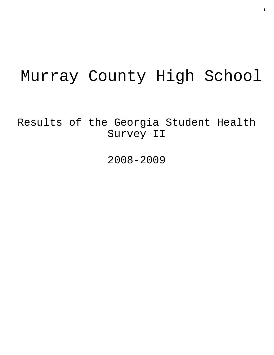# Murray County High School

Results of the Georgia Student Health Survey II

2008-2009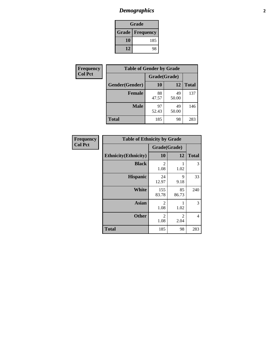# *Demographics* **2**

| Grade |                          |  |
|-------|--------------------------|--|
|       | <b>Grade   Frequency</b> |  |
| 10    | 185                      |  |
| 12    | 98                       |  |

| Frequency      | <b>Table of Gender by Grade</b> |              |             |              |
|----------------|---------------------------------|--------------|-------------|--------------|
| <b>Col Pct</b> |                                 | Grade(Grade) |             |              |
|                | Gender(Gender)                  | 10           | 12          | <b>Total</b> |
|                | <b>Female</b>                   | 88<br>47.57  | 49<br>50.00 | 137          |
|                | <b>Male</b>                     | 97<br>52.43  | 49<br>50.00 | 146          |
|                | <b>Total</b>                    | 185          | 98          | 283          |

| Frequency |       |
|-----------|-------|
| Col Pct   |       |
|           | Ethni |

| <b>Table of Ethnicity by Grade</b> |                        |                        |              |  |  |
|------------------------------------|------------------------|------------------------|--------------|--|--|
|                                    | Grade(Grade)           |                        |              |  |  |
| <b>Ethnicity</b> (Ethnicity)       | 10                     | 12                     | <b>Total</b> |  |  |
| <b>Black</b>                       | $\mathfrak{D}$<br>1.08 | 1.02                   | 3            |  |  |
| <b>Hispanic</b>                    | 24<br>12.97            | 9<br>9.18              | 33           |  |  |
| <b>White</b>                       | 155<br>83.78           | 85<br>86.73            | 240          |  |  |
| <b>Asian</b>                       | 2<br>1.08              | 1.02                   | 3            |  |  |
| <b>Other</b>                       | 2<br>1.08              | $\mathfrak{D}$<br>2.04 | 4            |  |  |
| <b>Total</b>                       | 185                    | 98                     | 283          |  |  |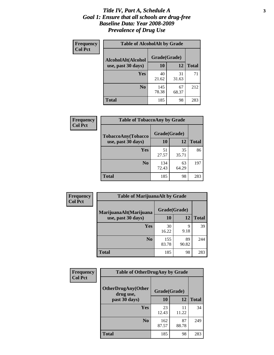#### *Title IV, Part A, Schedule A* **3** *Goal 1: Ensure that all schools are drug-free Baseline Data: Year 2008-2009 Prevalence of Drug Use*

| Frequency<br><b>Col Pct</b> | <b>Table of AlcoholAlt by Grade</b> |              |             |              |  |
|-----------------------------|-------------------------------------|--------------|-------------|--------------|--|
|                             | AlcoholAlt(Alcohol                  | Grade(Grade) |             |              |  |
|                             | use, past 30 days)                  | <b>10</b>    | 12          | <b>Total</b> |  |
|                             | Yes                                 | 40<br>21.62  | 31<br>31.63 | 71           |  |
|                             | N <sub>0</sub>                      | 145<br>78.38 | 67<br>68.37 | 212          |  |
|                             | Total                               | 185          | 98          | 283          |  |

| Frequency      | <b>Table of TobaccoAny by Grade</b> |              |             |              |
|----------------|-------------------------------------|--------------|-------------|--------------|
| <b>Col Pct</b> | TobaccoAny(Tobacco                  | Grade(Grade) |             |              |
|                | use, past 30 days)                  | <b>10</b>    | 12          | <b>Total</b> |
|                | Yes                                 | 51<br>27.57  | 35<br>35.71 | 86           |
|                | N <sub>0</sub>                      | 134<br>72.43 | 63<br>64.29 | 197          |
|                | Total                               | 185          | 98          | 283          |

| Frequency<br><b>Col Pct</b> | <b>Table of MarijuanaAlt by Grade</b> |              |             |              |  |
|-----------------------------|---------------------------------------|--------------|-------------|--------------|--|
|                             | MarijuanaAlt(Marijuana                | Grade(Grade) |             |              |  |
|                             | use, past 30 days)                    | 10           | 12          | <b>Total</b> |  |
|                             | <b>Yes</b>                            | 30<br>16.22  | 9<br>9.18   | 39           |  |
|                             | N <sub>0</sub>                        | 155<br>83.78 | 89<br>90.82 | 244          |  |
|                             | <b>Total</b>                          | 185          | 98          | 283          |  |

| Frequency<br><b>Col Pct</b> | <b>Table of OtherDrugAny by Grade</b>  |              |             |              |  |
|-----------------------------|----------------------------------------|--------------|-------------|--------------|--|
|                             | <b>OtherDrugAny(Other</b><br>drug use, | Grade(Grade) |             |              |  |
|                             | past 30 days)                          | 10           | 12          | <b>Total</b> |  |
|                             | Yes                                    | 23<br>12.43  | 11<br>11.22 | 34           |  |
|                             | N <sub>0</sub>                         | 162<br>87.57 | 87<br>88.78 | 249          |  |
|                             | <b>Total</b>                           | 185          | 98          | 283          |  |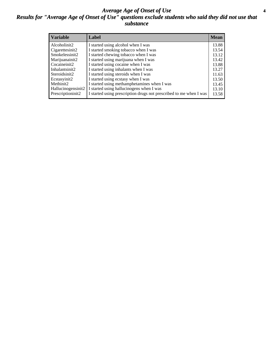#### *Average Age of Onset of Use* **4** *Results for "Average Age of Onset of Use" questions exclude students who said they did not use that substance*

| <b>Variable</b>    | Label                                                              | <b>Mean</b> |
|--------------------|--------------------------------------------------------------------|-------------|
| Alcoholinit2       | I started using alcohol when I was                                 | 13.88       |
| Cigarettesinit2    | I started smoking tobacco when I was                               | 13.54       |
| Smokelessinit2     | I started chewing tobacco when I was                               | 13.12       |
| Marijuanainit2     | I started using marijuana when I was                               | 13.42       |
| Cocaineinit2       | I started using cocaine when I was                                 | 13.88       |
| Inhalantsinit2     | I started using inhalants when I was                               | 13.27       |
| Steroidsinit2      | I started using steroids when I was                                | 11.63       |
| Ecstasyinit2       | I started using ecstasy when I was                                 | 13.50       |
| Methinit2          | I started using methamphetamines when I was                        | 13.45       |
| Hallucinogensinit2 | I started using hallucinogens when I was                           | 13.10       |
| Prescriptioninit2  | I started using prescription drugs not prescribed to me when I was | 13.58       |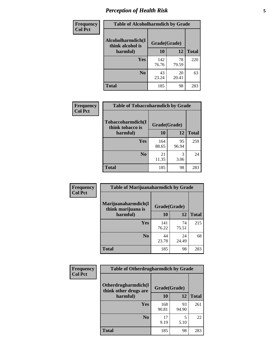# *Perception of Health Risk* **5**

| Frequency      | <b>Table of Alcoholharmdich by Grade</b> |              |             |              |  |
|----------------|------------------------------------------|--------------|-------------|--------------|--|
| <b>Col Pct</b> | Alcoholharmdich(I<br>think alcohol is    | Grade(Grade) |             |              |  |
|                | harmful)                                 | 10           | 12          | <b>Total</b> |  |
|                | Yes                                      | 142<br>76.76 | 78<br>79.59 | 220          |  |
|                | N <sub>0</sub>                           | 43<br>23.24  | 20<br>20.41 | 63           |  |
|                | <b>Total</b>                             | 185          | 98          | 283          |  |

| Frequency      | <b>Table of Tobaccoharmdich by Grade</b>              |              |             |              |
|----------------|-------------------------------------------------------|--------------|-------------|--------------|
| <b>Col Pct</b> | Tobaccoharmdich(I<br>Grade(Grade)<br>think tobacco is |              |             |              |
|                | harmful)                                              | 10           | 12          | <b>Total</b> |
|                | Yes                                                   | 164<br>88.65 | 95<br>96.94 | 259          |
|                | N <sub>0</sub>                                        | 21<br>11.35  | 3<br>3.06   | 24           |
|                | <b>Total</b>                                          | 185          | 98          | 283          |

| Frequency      | <b>Table of Marijuanaharmdich by Grade</b>                |              |             |              |  |  |
|----------------|-----------------------------------------------------------|--------------|-------------|--------------|--|--|
| <b>Col Pct</b> | Marijuanaharmdich(I<br>Grade(Grade)<br>think marijuana is |              |             |              |  |  |
|                | harmful)                                                  | 10           | 12          | <b>Total</b> |  |  |
|                | <b>Yes</b>                                                | 141<br>76.22 | 74<br>75.51 | 215          |  |  |
|                | N <sub>0</sub>                                            | 44<br>23.78  | 24<br>24.49 | 68           |  |  |
|                | <b>Total</b>                                              | 185          | 98          | 283          |  |  |

| Frequency      | <b>Table of Otherdrugharmdich by Grade</b>   |              |             |              |  |  |  |  |
|----------------|----------------------------------------------|--------------|-------------|--------------|--|--|--|--|
| <b>Col Pct</b> | Otherdrugharmdich(I<br>think other drugs are | Grade(Grade) |             |              |  |  |  |  |
|                | harmful)                                     | 10           | 12          | <b>Total</b> |  |  |  |  |
|                | <b>Yes</b>                                   | 168<br>90.81 | 93<br>94.90 | 261          |  |  |  |  |
|                | N <sub>0</sub>                               | 17<br>9.19   | 5<br>5.10   | 22           |  |  |  |  |
|                | <b>Total</b>                                 | 185          | 98          | 283          |  |  |  |  |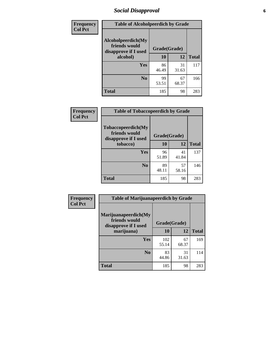# *Social Disapproval* **6**

| Frequency      | <b>Table of Alcoholpeerdich by Grade</b>                    |              |              |     |
|----------------|-------------------------------------------------------------|--------------|--------------|-----|
| <b>Col Pct</b> | Alcoholpeerdich(My<br>friends would<br>disapprove if I used | Grade(Grade) |              |     |
|                | alcohol)                                                    | 10           | <b>Total</b> |     |
|                | <b>Yes</b>                                                  | 86<br>46.49  | 31<br>31.63  | 117 |
|                | N <sub>0</sub>                                              | 99<br>53.51  | 67<br>68.37  | 166 |
|                | <b>Total</b>                                                | 185          | 98           | 283 |

| <b>Frequency</b> |
|------------------|
| <b>Col Pct</b>   |

| <b>Table of Tobaccopeerdich by Grade</b>                    |              |             |              |  |  |  |
|-------------------------------------------------------------|--------------|-------------|--------------|--|--|--|
| Tobaccopeerdich(My<br>friends would<br>disapprove if I used | Grade(Grade) |             |              |  |  |  |
| tobacco)                                                    | 10           | 12          | <b>Total</b> |  |  |  |
| Yes                                                         | 96<br>51.89  | 41<br>41.84 | 137          |  |  |  |
| N <sub>0</sub>                                              | 89<br>48.11  | 57<br>58.16 | 146          |  |  |  |
| <b>Total</b>                                                | 185          | 98          | 283          |  |  |  |

| <b>Frequency</b> | <b>Table of Marijuanapeerdich by Grade</b>                    |              |             |              |  |  |  |  |
|------------------|---------------------------------------------------------------|--------------|-------------|--------------|--|--|--|--|
| <b>Col Pct</b>   | Marijuanapeerdich(My<br>friends would<br>disapprove if I used | Grade(Grade) |             |              |  |  |  |  |
|                  | marijuana)                                                    | 10           | 12          | <b>Total</b> |  |  |  |  |
|                  | <b>Yes</b>                                                    | 102<br>55.14 | 67<br>68.37 | 169          |  |  |  |  |
|                  | N <sub>0</sub>                                                | 83<br>44.86  | 31<br>31.63 | 114          |  |  |  |  |
|                  | <b>Total</b>                                                  | 185          | 98          | 283          |  |  |  |  |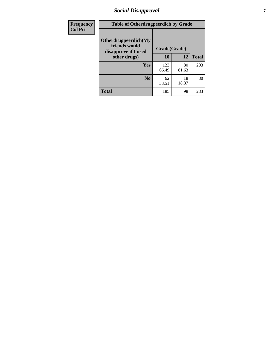# *Social Disapproval* **7**

| Frequency      | <b>Table of Otherdrugpeerdich by Grade</b>                    |              |             |              |  |  |  |  |
|----------------|---------------------------------------------------------------|--------------|-------------|--------------|--|--|--|--|
| <b>Col Pct</b> | Otherdrugpeerdich(My<br>friends would<br>disapprove if I used | Grade(Grade) |             |              |  |  |  |  |
|                | other drugs)                                                  | 10           | 12          | <b>Total</b> |  |  |  |  |
|                | Yes                                                           | 123<br>66.49 | 80<br>81.63 | 203          |  |  |  |  |
|                | N <sub>0</sub>                                                | 62<br>33.51  | 18<br>18.37 | 80           |  |  |  |  |
|                | <b>Total</b>                                                  | 185          | 98          | 283          |  |  |  |  |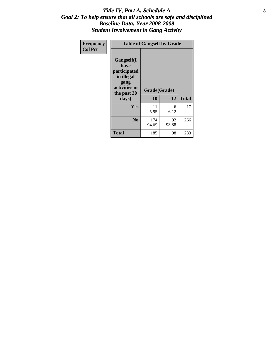#### Title IV, Part A, Schedule A **8** *Goal 2: To help ensure that all schools are safe and disciplined Baseline Data: Year 2008-2009 Student Involvement in Gang Activity*

| Frequency      | <b>Table of Gangself by Grade</b>                                                                 |                    |             |              |
|----------------|---------------------------------------------------------------------------------------------------|--------------------|-------------|--------------|
| <b>Col Pct</b> | Gangself(I<br>have<br>participated<br>in illegal<br>gang<br>activities in<br>the past 30<br>days) | Grade(Grade)<br>10 | 12          | <b>Total</b> |
|                | Yes                                                                                               | 11<br>5.95         | 6<br>6.12   | 17           |
|                | N <sub>0</sub>                                                                                    | 174<br>94.05       | 92<br>93.88 | 266          |
|                | <b>Total</b>                                                                                      | 185                | 98          | 283          |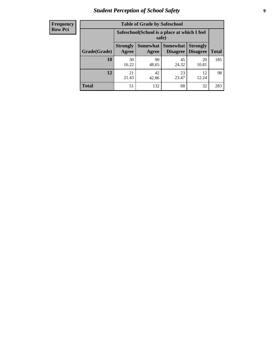# *Student Perception of School Safety* **9**

| <b>Frequency</b><br>Row Pct |
|-----------------------------|
|                             |

| <b>Table of Grade by Safeschool</b> |                                                                                                                                    |                                                        |             |             |     |  |  |  |
|-------------------------------------|------------------------------------------------------------------------------------------------------------------------------------|--------------------------------------------------------|-------------|-------------|-----|--|--|--|
|                                     |                                                                                                                                    | Safeschool (School is a place at which I feel<br>safe) |             |             |     |  |  |  |
| Grade(Grade)                        | Somewhat<br><b>Somewhat</b><br><b>Strongly</b><br><b>Strongly</b><br><b>Disagree</b><br>Agree<br>Disagree<br><b>Total</b><br>Agree |                                                        |             |             |     |  |  |  |
| 10                                  | 30<br>16.22                                                                                                                        | 90<br>48.65                                            | 45<br>24.32 | 20<br>10.81 | 185 |  |  |  |
| 12                                  | 21<br>21.43                                                                                                                        | 42<br>42.86                                            | 23<br>23.47 | 12<br>12.24 | 98  |  |  |  |
| <b>Total</b>                        | 51                                                                                                                                 | 132                                                    | 68          | 32          | 283 |  |  |  |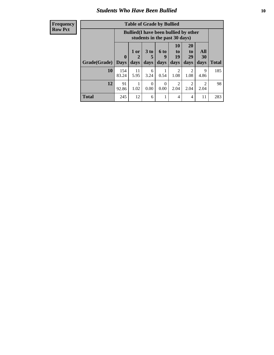#### *Students Who Have Been Bullied* **10**

| <b>Frequency</b> |
|------------------|
| Row Pct          |

| <b>Table of Grade by Bullied</b> |                            |                                                                               |                              |                          |                        |                        |                                 |              |
|----------------------------------|----------------------------|-------------------------------------------------------------------------------|------------------------------|--------------------------|------------------------|------------------------|---------------------------------|--------------|
|                                  |                            | <b>Bullied</b> (I have been bullied by other<br>students in the past 30 days) |                              |                          |                        |                        |                                 |              |
| Grade(Grade)                     | $\mathbf 0$<br><b>Days</b> | 1 or<br>2<br>days                                                             | 3 <sub>to</sub><br>5<br>days | <b>6 to</b><br>9<br>days | 10<br>to<br>19<br>days | 20<br>to<br>29<br>days | <b>All</b><br><b>30</b><br>days | <b>Total</b> |
| 10                               | 154<br>83.24               | 11<br>5.95                                                                    | 6<br>3.24                    | 0.54                     | $\overline{2}$<br>1.08 | $\overline{2}$<br>1.08 | 9<br>4.86                       | 185          |
| 12                               | 91<br>92.86                | 1.02                                                                          | 0<br>0.00                    | $\Omega$<br>0.00         | 2<br>2.04              | 2<br>2.04              | $\mathcal{D}$<br>2.04           | 98           |
| <b>Total</b>                     | 245                        | 12                                                                            | 6                            |                          | 4                      | $\overline{4}$         | 11                              | 283          |

 $\blacksquare$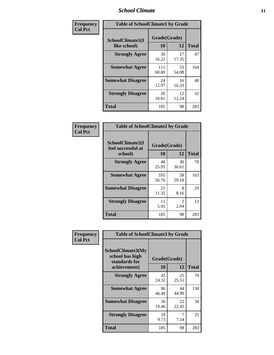### *School Climate* **11**

| Frequency      | <b>Table of SchoolClimate1 by Grade</b> |                    |             |              |  |  |
|----------------|-----------------------------------------|--------------------|-------------|--------------|--|--|
| <b>Col Pct</b> | SchoolClimate1(I<br>like school)        | Grade(Grade)<br>10 | 12          | <b>Total</b> |  |  |
|                | <b>Strongly Agree</b>                   | 30<br>16.22        | 17<br>17.35 | 47           |  |  |
|                | <b>Somewhat Agree</b>                   | 111<br>60.00       | 53<br>54.08 | 164          |  |  |
|                | <b>Somewhat Disagree</b>                | 24<br>12.97        | 16<br>16.33 | 40           |  |  |
|                | <b>Strongly Disagree</b>                | 20<br>10.81        | 12<br>12.24 | 32           |  |  |
|                | <b>Total</b>                            | 185                | 98          | 283          |  |  |

| Frequency      |  |
|----------------|--|
| <b>Col Pct</b> |  |

| <b>Table of SchoolClimate2 by Grade</b>           |                    |                       |              |  |  |
|---------------------------------------------------|--------------------|-----------------------|--------------|--|--|
| SchoolClimate2(I<br>feel successful at<br>school) | Grade(Grade)<br>10 | 12                    | <b>Total</b> |  |  |
| <b>Strongly Agree</b>                             | 48<br>25.95        | 30<br>30.61           | 78           |  |  |
| <b>Somewhat Agree</b>                             | 105<br>56.76       | 58<br>59.18           | 163          |  |  |
| <b>Somewhat Disagree</b>                          | 21<br>11.35        | 8<br>8.16             | 29           |  |  |
| <b>Strongly Disagree</b>                          | 11<br>5.95         | $\mathcal{L}$<br>2.04 | 13           |  |  |
| <b>Total</b>                                      | 185                | 98                    | 283          |  |  |

| <b>Table of SchoolClimate3 by Grade</b>                      |              |             |                    |  |  |
|--------------------------------------------------------------|--------------|-------------|--------------------|--|--|
| <b>SchoolClimate3(My</b><br>school has high<br>standards for |              |             |                    |  |  |
|                                                              |              |             | <b>Total</b>       |  |  |
| <b>Strongly Agree</b>                                        | 45<br>24.32  | 25<br>25.51 | 70                 |  |  |
| <b>Somewhat Agree</b>                                        | 86<br>46.49  | 44<br>44.90 | 130                |  |  |
| <b>Somewhat Disagree</b>                                     | 36<br>19.46  | 22<br>22.45 | 58                 |  |  |
| <b>Strongly Disagree</b>                                     | 18<br>9.73   | 7<br>7.14   | 25                 |  |  |
| Total                                                        | 185          | 98          | 283                |  |  |
|                                                              | achievement) | 10          | Grade(Grade)<br>12 |  |  |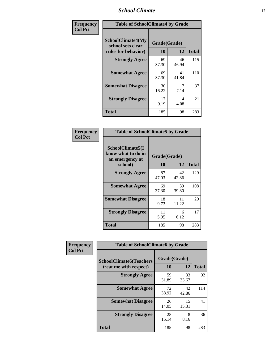### *School Climate* **12**

| Frequency      | <b>Table of SchoolClimate4 by Grade</b>                       |                    |             |              |
|----------------|---------------------------------------------------------------|--------------------|-------------|--------------|
| <b>Col Pct</b> | SchoolClimate4(My<br>school sets clear<br>rules for behavior) | Grade(Grade)<br>10 | 12          | <b>Total</b> |
|                | <b>Strongly Agree</b>                                         | 69<br>37.30        | 46<br>46.94 | 115          |
|                | <b>Somewhat Agree</b>                                         | 69<br>37.30        | 41<br>41.84 | 110          |
|                | <b>Somewhat Disagree</b>                                      | 30<br>16.22        | 7.14        | 37           |
|                | <b>Strongly Disagree</b>                                      | 17<br>9.19         | 4<br>4.08   | 21           |
|                | <b>Total</b>                                                  | 185                | 98          | 283          |

| <b>Table of SchoolClimate5 by Grade</b>                   |              |             |              |  |  |
|-----------------------------------------------------------|--------------|-------------|--------------|--|--|
| SchoolClimate5(I<br>know what to do in<br>an emergency at | Grade(Grade) |             |              |  |  |
| school)                                                   | 10           | 12          | <b>Total</b> |  |  |
| <b>Strongly Agree</b>                                     | 87<br>47.03  | 42<br>42.86 | 129          |  |  |
| <b>Somewhat Agree</b>                                     | 69<br>37.30  | 39<br>39.80 | 108          |  |  |
| <b>Somewhat Disagree</b>                                  | 18<br>9.73   | 11<br>11.22 | 29           |  |  |
| <b>Strongly Disagree</b>                                  | 11<br>5.95   | 6<br>6.12   | 17           |  |  |
| <b>Total</b>                                              | 185          | 98          | 283          |  |  |

| Frequency      | <b>Table of SchoolClimate6 by Grade</b>                  |                    |             |              |  |
|----------------|----------------------------------------------------------|--------------------|-------------|--------------|--|
| <b>Col Pct</b> | <b>SchoolClimate6(Teachers</b><br>treat me with respect) | Grade(Grade)<br>10 | 12          | <b>Total</b> |  |
|                | <b>Strongly Agree</b>                                    | 59<br>31.89        | 33<br>33.67 | 92           |  |
|                | <b>Somewhat Agree</b>                                    | 72<br>38.92        | 42<br>42.86 | 114          |  |
|                | <b>Somewhat Disagree</b>                                 | 26<br>14.05        | 15<br>15.31 | 41           |  |
|                | <b>Strongly Disagree</b>                                 | 28<br>15.14        | 8<br>8.16   | 36           |  |
|                | <b>Total</b>                                             | 185                | 98          | 283          |  |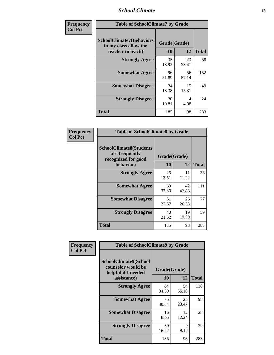### *School Climate* **13**

| Frequency      | <b>Table of SchoolClimate7 by Grade</b>                                       |                           |             |              |
|----------------|-------------------------------------------------------------------------------|---------------------------|-------------|--------------|
| <b>Col Pct</b> | <b>SchoolClimate7(Behaviors</b><br>in my class allow the<br>teacher to teach) | Grade(Grade)<br><b>10</b> | 12          | <b>Total</b> |
|                | <b>Strongly Agree</b>                                                         | 35<br>18.92               | 23<br>23.47 | 58           |
|                | <b>Somewhat Agree</b>                                                         | 96<br>51.89               | 56<br>57.14 | 152          |
|                | <b>Somewhat Disagree</b>                                                      | 34<br>18.38               | 15<br>15.31 | 49           |
|                | <b>Strongly Disagree</b>                                                      | 20<br>10.81               | 4<br>4.08   | 24           |
|                | <b>Total</b>                                                                  | 185                       | 98          | 283          |

| Frequency      | <b>Table of SchoolClimate8 by Grade</b>                                 |              |             |              |  |
|----------------|-------------------------------------------------------------------------|--------------|-------------|--------------|--|
| <b>Col Pct</b> | <b>SchoolClimate8(Students</b><br>are frequently<br>recognized for good | Grade(Grade) |             |              |  |
|                | behavior)                                                               | 10           | 12          | <b>Total</b> |  |
|                | <b>Strongly Agree</b>                                                   | 25<br>13.51  | 11<br>11.22 | 36           |  |
|                | <b>Somewhat Agree</b>                                                   | 69<br>37.30  | 42<br>42.86 | 111          |  |
|                | <b>Somewhat Disagree</b>                                                | 51<br>27.57  | 26<br>26.53 | 77           |  |
|                | <b>Strongly Disagree</b>                                                | 40<br>21.62  | 19<br>19.39 | 59           |  |
|                | <b>Total</b>                                                            | 185          | 98          | 283          |  |

| Frequency      | <b>Table of SchoolClimate9 by Grade</b>                                           |                    |             |              |  |
|----------------|-----------------------------------------------------------------------------------|--------------------|-------------|--------------|--|
| <b>Col Pct</b> | SchoolClimate9(School<br>counselor would be<br>helpful if I needed<br>assistance) | Grade(Grade)<br>10 | 12          | <b>Total</b> |  |
|                | <b>Strongly Agree</b>                                                             | 64<br>34.59        | 54<br>55.10 | 118          |  |
|                | <b>Somewhat Agree</b>                                                             | 75<br>40.54        | 23<br>23.47 | 98           |  |
|                | <b>Somewhat Disagree</b>                                                          | 16<br>8.65         | 12<br>12.24 | 28           |  |
|                | <b>Strongly Disagree</b>                                                          | 30<br>16.22        | 9<br>9.18   | 39           |  |
|                | Total                                                                             | 185                | 98          | 283          |  |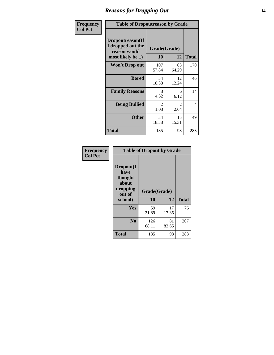### *Reasons for Dropping Out* **14**

| Frequency      | <b>Table of Dropoutreason by Grade</b>                                   |              |                    |                |  |
|----------------|--------------------------------------------------------------------------|--------------|--------------------|----------------|--|
| <b>Col Pct</b> | Dropoutreason(If<br>I dropped out the<br>reason would<br>most likely be) | 10           | Grade(Grade)<br>12 | <b>Total</b>   |  |
|                | <b>Won't Drop out</b>                                                    | 107<br>57.84 | 63<br>64.29        | 170            |  |
|                | <b>Bored</b>                                                             | 34<br>18.38  | 12<br>12.24        | 46             |  |
|                | <b>Family Reasons</b>                                                    | 8<br>4.32    | 6<br>6.12          | 14             |  |
|                | <b>Being Bullied</b>                                                     | 2<br>1.08    | 2<br>2.04          | $\overline{4}$ |  |
|                | <b>Other</b>                                                             | 34<br>18.38  | 15<br>15.31        | 49             |  |
|                | <b>Total</b>                                                             | 185          | 98                 | 283            |  |

| Frequency<br><b>Col Pct</b> |                                                             | <b>Table of Dropout by Grade</b> |             |              |
|-----------------------------|-------------------------------------------------------------|----------------------------------|-------------|--------------|
|                             | Dropout(I<br>have<br>thought<br>about<br>dropping<br>out of | Grade(Grade)                     |             |              |
|                             | school)                                                     | 10                               | 12          | <b>Total</b> |
|                             | Yes                                                         | 59<br>31.89                      | 17<br>17.35 | 76           |
|                             | N <sub>0</sub>                                              | 126<br>68.11                     | 81<br>82.65 | 207          |
|                             |                                                             |                                  |             |              |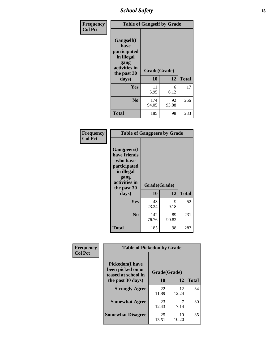*School Safety* **15**

| Frequency<br><b>Col Pct</b> | <b>Table of Gangself by Grade</b>                                                                 |                    |             |              |  |
|-----------------------------|---------------------------------------------------------------------------------------------------|--------------------|-------------|--------------|--|
|                             | Gangself(I<br>have<br>participated<br>in illegal<br>gang<br>activities in<br>the past 30<br>days) | Grade(Grade)<br>10 | 12          | <b>Total</b> |  |
|                             | Yes                                                                                               | 11<br>5.95         | 6<br>6.12   | 17           |  |
|                             | N <sub>0</sub>                                                                                    | 174<br>94.05       | 92<br>93.88 | 266          |  |
|                             | Total                                                                                             | 185                | 98          | 283          |  |

| Frequency<br><b>Col Pct</b> | <b>Table of Gangpeers by Grade</b>                                                                                             |                    |             |              |  |  |  |  |  |  |
|-----------------------------|--------------------------------------------------------------------------------------------------------------------------------|--------------------|-------------|--------------|--|--|--|--|--|--|
|                             | <b>Gangpeers</b> (I<br>have friends<br>who have<br>participated<br>in illegal<br>gang<br>activities in<br>the past 30<br>days) | Grade(Grade)<br>10 | 12          | <b>Total</b> |  |  |  |  |  |  |
|                             | Yes                                                                                                                            | 43<br>23.24        | 9<br>9.18   | 52           |  |  |  |  |  |  |
|                             | N <sub>0</sub>                                                                                                                 | 142<br>76.76       | 89<br>90.82 | 231          |  |  |  |  |  |  |
|                             | <b>Total</b>                                                                                                                   | 185                | 98          | 283          |  |  |  |  |  |  |

| Frequency      | <b>Table of Pickedon by Grade</b>                                                       |                    |             |              |
|----------------|-----------------------------------------------------------------------------------------|--------------------|-------------|--------------|
| <b>Col Pct</b> | <b>Pickedon(I have</b><br>been picked on or<br>teased at school in<br>the past 30 days) | Grade(Grade)<br>10 | 12          | <b>Total</b> |
|                | <b>Strongly Agree</b>                                                                   | 22<br>11.89        | 12<br>12.24 | 34           |
|                | <b>Somewhat Agree</b>                                                                   | 23<br>12.43        | 7.14        | 30           |
|                | <b>Somewhat Disagree</b>                                                                | 25<br>13.51        | 10<br>10.20 | 35           |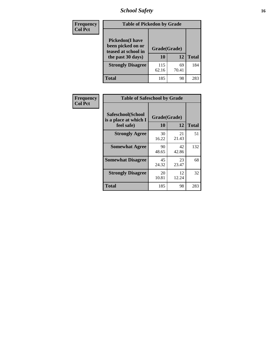# *School Safety* **16**

| <b>Frequency</b> |                                                                                          | <b>Table of Pickedon by Grade</b> |             |              |  |  |  |  |  |  |
|------------------|------------------------------------------------------------------------------------------|-----------------------------------|-------------|--------------|--|--|--|--|--|--|
| <b>Col Pct</b>   | <b>Pickedon</b> (I have<br>been picked on or<br>teased at school in<br>the past 30 days) | Grade(Grade)<br>10                | 12          | <b>Total</b> |  |  |  |  |  |  |
|                  | <b>Strongly Disagree</b>                                                                 | 115<br>62.16                      | 69<br>70.41 | 184          |  |  |  |  |  |  |
|                  | Total                                                                                    | 185                               | 98          | 283          |  |  |  |  |  |  |

| Frequency      |                                                          | <b>Table of Safeschool by Grade</b> |             |              |  |  |  |  |  |  |
|----------------|----------------------------------------------------------|-------------------------------------|-------------|--------------|--|--|--|--|--|--|
| <b>Col Pct</b> | Safeschool(School<br>is a place at which I<br>feel safe) | Grade(Grade)<br>10                  | 12          | <b>Total</b> |  |  |  |  |  |  |
|                | <b>Strongly Agree</b>                                    | 30<br>16.22                         | 21<br>21.43 | 51           |  |  |  |  |  |  |
|                | <b>Somewhat Agree</b>                                    | 90<br>48.65                         | 42<br>42.86 | 132          |  |  |  |  |  |  |
|                | <b>Somewhat Disagree</b>                                 | 45<br>24.32                         | 23<br>23.47 | 68           |  |  |  |  |  |  |
|                | <b>Strongly Disagree</b>                                 | 20<br>10.81                         | 12<br>12.24 | 32           |  |  |  |  |  |  |
|                | <b>Total</b>                                             | 185                                 | 98          | 283          |  |  |  |  |  |  |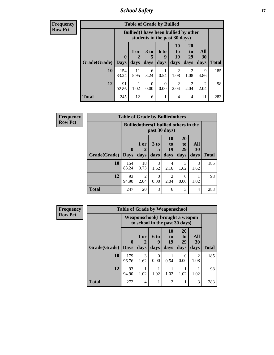*School Safety* **17**

| <b>Frequency</b> |
|------------------|
| <b>Row Pct</b>   |

| <b>Table of Grade by Bullied</b> |                                 |                                                                               |                         |                          |                               |                               |                        |              |  |  |
|----------------------------------|---------------------------------|-------------------------------------------------------------------------------|-------------------------|--------------------------|-------------------------------|-------------------------------|------------------------|--------------|--|--|
|                                  |                                 | <b>Bullied</b> (I have been bullied by other<br>students in the past 30 days) |                         |                          |                               |                               |                        |              |  |  |
| <b>Grade(Grade)</b>              | $\boldsymbol{0}$<br><b>Days</b> | 1 or<br>$\boldsymbol{2}$<br>days                                              | 3 <sub>to</sub><br>days | <b>6 to</b><br>9<br>days | <b>10</b><br>to<br>19<br>days | <b>20</b><br>to<br>29<br>days | All<br>30<br>days      | <b>Total</b> |  |  |
| 10                               | 154<br>83.24                    | 11<br>5.95                                                                    | 6<br>3.24               | 0.54                     | 2<br>1.08                     | 2<br>1.08                     | 9<br>4.86              | 185          |  |  |
| 12                               | 91<br>92.86                     | 1.02                                                                          | $\theta$<br>0.00        | 0<br>0.00                | 2<br>2.04                     | $\mathfrak{D}$<br>2.04        | $\mathfrak{D}$<br>2.04 | 98           |  |  |
| <b>Total</b>                     | 245                             | 12                                                                            | 6                       | 1                        | 4                             | 4                             | 11                     | 283          |  |  |

| <b>Frequency</b> | <b>Table of Grade by Bulliedothers</b> |                             |                                                                |                              |                        |                               |                   |              |  |  |  |
|------------------|----------------------------------------|-----------------------------|----------------------------------------------------------------|------------------------------|------------------------|-------------------------------|-------------------|--------------|--|--|--|
| <b>Row Pct</b>   |                                        |                             | <b>Bulliedothers</b> (I bullied others in the<br>past 30 days) |                              |                        |                               |                   |              |  |  |  |
|                  | Grade(Grade)                           | $\mathbf{0}$<br><b>Days</b> | 1 or<br>days                                                   | 3 <sub>to</sub><br>5<br>days | 10<br>to<br>19<br>days | <b>20</b><br>to<br>29<br>days | All<br>30<br>days | <b>Total</b> |  |  |  |
|                  | 10                                     | 154<br>83.24                | 18<br>9.73                                                     | 3<br>1.62                    | 4<br>2.16              | 3<br>1.62                     | 3<br>1.62         | 185          |  |  |  |
|                  | 12                                     | 93<br>94.90                 | 2<br>2.04                                                      | 0<br>0.00                    | $\mathfrak{D}$<br>2.04 | 0<br>0.00                     | 1.02              | 98           |  |  |  |
|                  | <b>Total</b>                           | 247                         | 20                                                             | 3                            | 6                      | 3                             | 4                 | 283          |  |  |  |

| <b>Frequency</b> |              |                                                                   |                   | <b>Table of Grade by Weaponschool</b> |                        |                        |                   |              |  |
|------------------|--------------|-------------------------------------------------------------------|-------------------|---------------------------------------|------------------------|------------------------|-------------------|--------------|--|
| <b>Row Pct</b>   |              | Weaponschool(I brought a weapon<br>to school in the past 30 days) |                   |                                       |                        |                        |                   |              |  |
|                  | Grade(Grade) | $\mathbf 0$<br><b>Days</b>                                        | 1 or<br>2<br>days | <b>6 to</b><br>g<br>days              | 10<br>to<br>19<br>days | 20<br>to<br>29<br>days | All<br>30<br>days | <b>Total</b> |  |
|                  | 10           | 179<br>96.76                                                      | 3<br>1.62         | 0<br>0.00                             | 0.54                   | $\Omega$<br>0.00       | 2<br>1.08         | 185          |  |
|                  | 12           | 93<br>94.90                                                       | 1.02              | 1.02                                  | 1.02                   | 1.02                   | 1.02              | 98           |  |
|                  | <b>Total</b> | 272                                                               | 4                 |                                       | $\mathfrak{D}$         |                        | 3                 | 283          |  |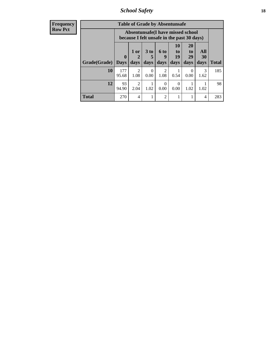*School Safety* **18**

| <b>Frequency</b> |              |              |                        | <b>Table of Grade by Absentunsafe</b>                                           |                        |                  |                |           |              |
|------------------|--------------|--------------|------------------------|---------------------------------------------------------------------------------|------------------------|------------------|----------------|-----------|--------------|
| <b>Row Pct</b>   |              |              |                        | Absentunsafe(I have missed school<br>because I felt unsafe in the past 30 days) |                        |                  |                |           |              |
|                  |              | $\mathbf{0}$ | 1 or<br>2              | 3 <sub>to</sub><br>5                                                            | 6 to<br>9              | 10<br>to<br>19   | 20<br>to<br>29 | All<br>30 |              |
|                  | Grade(Grade) | <b>Days</b>  | days                   | days                                                                            | days                   | days             | days           | days      | <b>Total</b> |
|                  | 10           | 177<br>95.68 | $\overline{2}$<br>1.08 | $\Omega$<br>0.00                                                                | $\overline{2}$<br>1.08 | 0.54             | 0<br>0.00      | 3<br>1.62 | 185          |
|                  | 12           | 93<br>94.90  | $\mathfrak{D}$<br>2.04 | 1.02                                                                            | $\Omega$<br>0.00       | $\Omega$<br>0.00 | 1.02           | 1.02      | 98           |
|                  | <b>Total</b> | 270          | 4                      |                                                                                 | 2                      |                  |                | 4         | 283          |
|                  |              |              |                        |                                                                                 |                        |                  |                |           |              |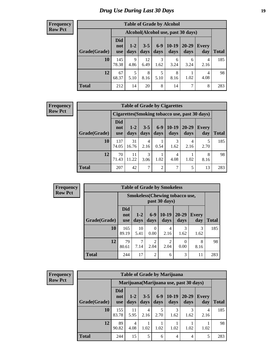# *Drug Use During Last 30 Days* **19**

#### **Frequency Row Pct**

| <b>Table of Grade by Alcohol</b> |                                 |                                    |                 |               |                 |               |              |              |  |  |  |  |
|----------------------------------|---------------------------------|------------------------------------|-----------------|---------------|-----------------|---------------|--------------|--------------|--|--|--|--|
|                                  |                                 | Alcohol(Alcohol use, past 30 days) |                 |               |                 |               |              |              |  |  |  |  |
| Grade(Grade)                     | <b>Did</b><br>not<br><b>use</b> | $1 - 2$<br>days                    | $3 - 5$<br>days | $6-9$<br>days | $10-19$<br>days | 20-29<br>days | Every<br>day | <b>Total</b> |  |  |  |  |
| 10                               | 145<br>78.38                    | 9<br>4.86                          | 12<br>6.49      | 3<br>1.62     | 6<br>3.24       | 6<br>3.24     | 4<br>2.16    | 185          |  |  |  |  |
| 12                               | 67<br>68.37                     | 5<br>5.10                          | 8<br>8.16       | 5<br>5.10     | 8<br>8.16       | 1.02          | 4<br>4.08    | 98           |  |  |  |  |
| <b>Total</b>                     | 212                             | 14                                 | 20              | 8             | 14              | 7             | 8            | 283          |  |  |  |  |

#### **Frequency Row Pct**

| <b>Table of Grade by Cigarettes</b>            |                          |                 |                 |                 |                 |               |              |       |  |  |  |  |
|------------------------------------------------|--------------------------|-----------------|-----------------|-----------------|-----------------|---------------|--------------|-------|--|--|--|--|
| Cigarettes (Smoking tobacco use, past 30 days) |                          |                 |                 |                 |                 |               |              |       |  |  |  |  |
| Grade(Grade)                                   | Did<br>not<br><b>use</b> | $1 - 2$<br>days | $3 - 5$<br>days | $6 - 9$<br>days | $10-19$<br>days | 20-29<br>days | Every<br>day | Total |  |  |  |  |
| 10                                             | 137<br>74.05             | 31<br>16.76     | 4<br>2.16       | 0.54            | 3<br>1.62       | 4<br>2.16     | 5<br>2.70    | 185   |  |  |  |  |
| 12                                             | 70<br>71.43              | 11<br>11.22     | 3<br>3.06       | 1.02            | 4<br>4.08       | 1.02          | 8<br>8.16    | 98    |  |  |  |  |
| <b>Total</b>                                   | 207                      | 42              | 7               | $\overline{2}$  | 7               | 5             | 13           | 283   |  |  |  |  |

| <b>Frequency</b> | <b>Table of Grade by Smokeless</b> |                                 |               |                                     |                                                        |                       |                     |              |
|------------------|------------------------------------|---------------------------------|---------------|-------------------------------------|--------------------------------------------------------|-----------------------|---------------------|--------------|
| <b>Row Pct</b>   |                                    |                                 |               |                                     | <b>Smokeless</b> (Chewing tobaccouse,<br>past 30 days) |                       |                     |              |
|                  | Grade(Grade)                       | <b>Did</b><br>not<br><b>use</b> | $1-2$<br>days | $6-9$<br>days                       | $10-19$<br>days                                        | $20 - 29$<br>days     | <b>Every</b><br>day | <b>Total</b> |
|                  | 10                                 | 165<br>89.19                    | 10<br>5.41    | 0<br>0.00                           | 4<br>2.16                                              | $\mathcal{R}$<br>1.62 | 3<br>1.62           | 185          |
|                  | 12                                 | 79<br>80.61                     | 7.14          | $\mathcal{D}_{\mathcal{L}}$<br>2.04 | $\overline{c}$<br>2.04                                 | 0<br>0.00             | 8<br>8.16           | 98           |
|                  | <b>Total</b>                       | 244                             | 17            | $\overline{2}$                      | 6                                                      | 3                     | 11                  | 283          |

| <b>Frequency</b> |
|------------------|
| <b>Row Pct</b>   |

| <b>Table of Grade by Marijuana</b> |                          |                                         |                 |                 |                 |               |                     |       |  |  |  |
|------------------------------------|--------------------------|-----------------------------------------|-----------------|-----------------|-----------------|---------------|---------------------|-------|--|--|--|
|                                    |                          | Marijuana (Marijuana use, past 30 days) |                 |                 |                 |               |                     |       |  |  |  |
| Grade(Grade)                       | Did<br>not<br><b>use</b> | $1 - 2$<br>days                         | $3 - 5$<br>days | $6 - 9$<br>days | $10-19$<br>days | 20-29<br>days | <b>Every</b><br>day | Total |  |  |  |
| 10                                 | 155<br>83.78             | 11<br>5.95                              | 4<br>2.16       | 5<br>2.70       | 3<br>1.62       | 3<br>1.62     | 4<br>2.16           | 185   |  |  |  |
| 12                                 | 89<br>90.82              | 4<br>4.08                               | 1.02            | 1.02            | 1.02            | 1.02          | 1.02                | 98    |  |  |  |
| <b>Total</b>                       | 244                      | 15                                      | 5               | 6               | $\overline{4}$  | 4             | 5                   | 283   |  |  |  |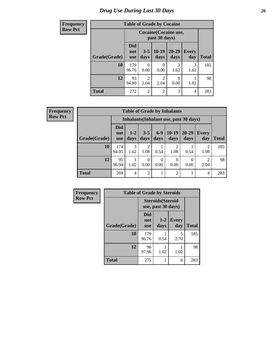# *Drug Use During Last 30 Days* 20

# **Frequency Row Pct**

| <b>Table of Grade by Cocaine</b>            |
|---------------------------------------------|
| <b>Cocaine</b> (Cocaine us<br>past 30 days) |

|              |                                 | Cocaine (Cocaine use,<br>past 30 days) |                        |                  |                     |              |  |  |  |  |
|--------------|---------------------------------|----------------------------------------|------------------------|------------------|---------------------|--------------|--|--|--|--|
| Grade(Grade) | <b>Did</b><br>not<br><b>use</b> | $3 - 5$<br>days                        | $10-19$<br>days        | 20-29<br>days    | <b>Every</b><br>day | <b>Total</b> |  |  |  |  |
| 10           | 179<br>96.76                    | $\theta$<br>0.00                       | 0.00                   | 3<br>1.62        | 3<br>1.62           | 185          |  |  |  |  |
| 12           | 93<br>94.90                     | 2<br>2.04                              | $\mathfrak{D}$<br>2.04 | $\theta$<br>0.00 | 1.02                | 98           |  |  |  |  |
| <b>Total</b> | 272                             | $\overline{2}$                         | $\overline{2}$         | 3                | 4                   | 283          |  |  |  |  |

**Frequency Row Pct**

| <b>Table of Grade by Inhalants</b> |                                 |                                        |                        |                  |                  |                   |                        |       |  |  |
|------------------------------------|---------------------------------|----------------------------------------|------------------------|------------------|------------------|-------------------|------------------------|-------|--|--|
|                                    |                                 | Inhalants (Inhalant use, past 30 days) |                        |                  |                  |                   |                        |       |  |  |
| Grade(Grade)                       | <b>Did</b><br>not<br><b>use</b> | $1 - 2$<br>days                        | $3 - 5$<br>days        | $6-9$<br>days    | $10-19$<br>days  | $20 - 29$<br>days | Every<br>day           | Total |  |  |
| 10                                 | 174<br>94.05                    | 3<br>1.62                              | $\overline{2}$<br>1.08 | 0.54             | 2<br>1.08        | 0.54              | 2<br>1.08              | 185   |  |  |
| 12                                 | 95<br>96.94                     | 1.02                                   | 0<br>0.00              | $\Omega$<br>0.00 | $\theta$<br>0.00 | 0<br>0.00         | $\mathfrak{D}$<br>2.04 | 98    |  |  |
| <b>Total</b>                       | 269                             | 4                                      | $\overline{2}$         |                  | $\overline{2}$   |                   | 4                      | 283   |  |  |

| Frequency      |              | <b>Table of Grade by Steroids</b> |                                                |                     |              |
|----------------|--------------|-----------------------------------|------------------------------------------------|---------------------|--------------|
| <b>Row Pct</b> |              |                                   | <b>Steroids</b> (Steroid<br>use, past 30 days) |                     |              |
|                | Grade(Grade) | Did<br>not<br><b>use</b>          | $1 - 2$<br>days                                | <b>Every</b><br>day | <b>Total</b> |
|                | 10           | 179<br>96.76                      | 0.54                                           | 5<br>2.70           | 185          |
|                | 12           | 96<br>97.96                       | 1.02                                           | 1.02                | 98           |
|                | <b>Total</b> | 275                               | 2                                              | 6                   | 283          |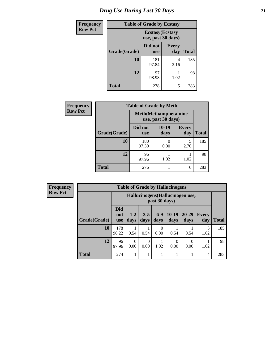# *Drug Use During Last 30 Days* **21**

| <b>Frequency</b> | <b>Table of Grade by Ecstasy</b> |                       |                                               |              |  |  |
|------------------|----------------------------------|-----------------------|-----------------------------------------------|--------------|--|--|
| <b>Row Pct</b>   |                                  |                       | <b>Ecstasy</b> (Ecstasy<br>use, past 30 days) |              |  |  |
|                  | Grade(Grade)                     | Did not<br><b>use</b> | <b>Every</b><br>day                           | <b>Total</b> |  |  |
|                  | 10                               | 181<br>97.84          | 4<br>2.16                                     | 185          |  |  |
|                  | 12                               | 97<br>98.98           | 1.02                                          | 98           |  |  |
|                  | <b>Total</b>                     | 278                   | 5                                             | 283          |  |  |

| Frequency      | <b>Table of Grade by Meth</b>                      |                       |                 |                     |              |  |  |
|----------------|----------------------------------------------------|-----------------------|-----------------|---------------------|--------------|--|--|
| <b>Row Pct</b> | <b>Meth</b> (Methamphetamine<br>use, past 30 days) |                       |                 |                     |              |  |  |
|                | Grade(Grade)                                       | Did not<br><b>use</b> | $10-19$<br>days | <b>Every</b><br>day | <b>Total</b> |  |  |
|                | 10                                                 | 180<br>97.30          | 0.00            | 5<br>2.70           | 185          |  |  |
|                | 12                                                 | 96<br>97.96           | 1.02            | 1.02                | 98           |  |  |
|                | <b>Total</b>                                       | 276                   |                 | 6                   | 283          |  |  |

| Frequency      |              | <b>Table of Grade by Hallucinogens</b> |                                                   |                 |               |                       |                   |                     |              |  |
|----------------|--------------|----------------------------------------|---------------------------------------------------|-----------------|---------------|-----------------------|-------------------|---------------------|--------------|--|
| <b>Row Pct</b> |              |                                        | Hallucinogens (Hallucinogen use,<br>past 30 days) |                 |               |                       |                   |                     |              |  |
|                | Grade(Grade) | <b>Did</b><br>not<br><b>use</b>        | $1 - 2$<br>days                                   | $3 - 5$<br>days | $6-9$<br>days | $10-19$<br>days       | $20 - 29$<br>days | <b>Every</b><br>day | <b>Total</b> |  |
|                | 10           | 178<br>96.22                           | 0.54                                              | 0.54            | 0.00          | 0.54                  | 0.54              | 3<br>1.62           | 185          |  |
|                | 12           | 96<br>97.96                            | $\Omega$<br>0.00                                  | 0<br>0.00       | 1.02          | $\mathcal{O}$<br>0.00 | $\Omega$<br>0.00  | 1.02                | 98           |  |
|                | <b>Total</b> | 274                                    |                                                   |                 |               |                       |                   | 4                   | 283          |  |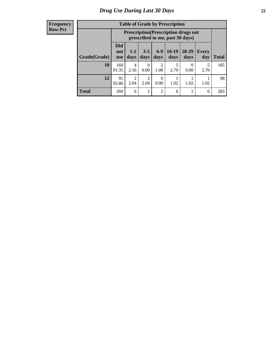#### **Frequency Row Pct**

| <b>Table of Grade by Prescription</b> |                                                                                                                                                |                                                                                |           |                        |           |                  |           |       |  |  |
|---------------------------------------|------------------------------------------------------------------------------------------------------------------------------------------------|--------------------------------------------------------------------------------|-----------|------------------------|-----------|------------------|-----------|-------|--|--|
|                                       |                                                                                                                                                | <b>Prescription</b> (Prescription drugs not<br>prescribed to me, past 30 days) |           |                        |           |                  |           |       |  |  |
| Grade(Grade)                          | Did<br>$10-19$<br>$6-9$<br>$20 - 29$<br>$3 - 5$<br>$1 - 2$<br><b>Every</b><br>not<br>days<br>days<br>days<br>days<br>day<br>days<br><b>use</b> |                                                                                |           |                        |           |                  |           | Total |  |  |
| 10                                    | 169<br>91.35                                                                                                                                   | 4<br>2.16                                                                      | 0<br>0.00 | $\overline{2}$<br>1.08 | 5<br>2.70 | $\Omega$<br>0.00 | 5<br>2.70 | 185   |  |  |
| 12                                    | 91<br>92.86                                                                                                                                    | $\overline{c}$<br>2.04                                                         | 2<br>2.04 | 0<br>0.00              | 1.02      | 1.02             | 1.02      | 98    |  |  |
| <b>Total</b>                          | 260                                                                                                                                            | 6                                                                              | 2         | $\overline{2}$         | 6         |                  | 6         | 283   |  |  |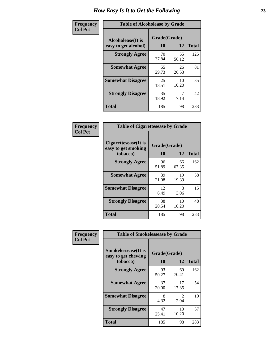| Frequency      | <b>Table of Alcoholease by Grade</b>              |                    |             |              |  |  |
|----------------|---------------------------------------------------|--------------------|-------------|--------------|--|--|
| <b>Col Pct</b> | <b>Alcoholease</b> (It is<br>easy to get alcohol) | Grade(Grade)<br>10 | 12          | <b>Total</b> |  |  |
|                | <b>Strongly Agree</b>                             | 70<br>37.84        | 55<br>56.12 | 125          |  |  |
|                | <b>Somewhat Agree</b>                             | 55<br>29.73        | 26<br>26.53 | 81           |  |  |
|                | <b>Somewhat Disagree</b>                          | 25<br>13.51        | 10<br>10.20 | 35           |  |  |
|                | <b>Strongly Disagree</b>                          | 35<br>18.92        | 7.14        | 42           |  |  |
|                | <b>Total</b>                                      | 185                | 98          | 283          |  |  |

| Frequency      |                                                         | <b>Table of Cigarettesease by Grade</b> |             |              |  |  |  |
|----------------|---------------------------------------------------------|-----------------------------------------|-------------|--------------|--|--|--|
| <b>Col Pct</b> | Cigarettesease(It is<br>easy to get smoking<br>tobacco) | Grade(Grade)<br>10                      | 12          | <b>Total</b> |  |  |  |
|                | <b>Strongly Agree</b>                                   | 96<br>51.89                             | 66<br>67.35 | 162          |  |  |  |
|                | <b>Somewhat Agree</b>                                   | 39<br>21.08                             | 19<br>19.39 | 58           |  |  |  |
|                | <b>Somewhat Disagree</b>                                | 12<br>6.49                              | 3<br>3.06   | 15           |  |  |  |
|                | <b>Strongly Disagree</b>                                | 38<br>20.54                             | 10<br>10.20 | 48           |  |  |  |
|                | Total                                                   | 185                                     | 98          | 283          |  |  |  |

| Frequency      | <b>Table of Smokelessease by Grade</b>             |              |                        |              |  |  |  |  |  |  |
|----------------|----------------------------------------------------|--------------|------------------------|--------------|--|--|--|--|--|--|
| <b>Col Pct</b> | <b>Smokelessease</b> (It is<br>easy to get chewing | Grade(Grade) |                        |              |  |  |  |  |  |  |
|                | tobacco)                                           | 10           | 12                     | <b>Total</b> |  |  |  |  |  |  |
|                | <b>Strongly Agree</b>                              | 93<br>50.27  | 69<br>70.41            | 162          |  |  |  |  |  |  |
|                | <b>Somewhat Agree</b>                              | 37<br>20.00  | 17<br>17.35            | 54           |  |  |  |  |  |  |
|                | <b>Somewhat Disagree</b>                           | 8<br>4.32    | $\mathfrak{D}$<br>2.04 | 10           |  |  |  |  |  |  |
|                | <b>Strongly Disagree</b>                           | 47<br>25.41  | 10<br>10.20            | 57           |  |  |  |  |  |  |
|                | <b>Total</b>                                       | 185          | 98                     | 283          |  |  |  |  |  |  |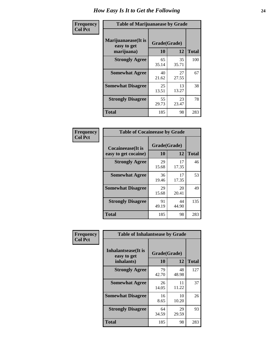| Frequency      | <b>Table of Marijuanaease by Grade</b>           |                    |              |     |  |  |  |  |  |
|----------------|--------------------------------------------------|--------------------|--------------|-----|--|--|--|--|--|
| <b>Col Pct</b> | Marijuanaease(It is<br>easy to get<br>marijuana) | Grade(Grade)<br>10 | <b>Total</b> |     |  |  |  |  |  |
|                | <b>Strongly Agree</b>                            | 65<br>35.14        | 35<br>35.71  | 100 |  |  |  |  |  |
|                | <b>Somewhat Agree</b>                            | 40<br>21.62        | 27<br>27.55  | 67  |  |  |  |  |  |
|                | <b>Somewhat Disagree</b>                         | 25<br>13.51        | 13<br>13.27  | 38  |  |  |  |  |  |
|                | <b>Strongly Disagree</b>                         | 55<br>29.73        | 23<br>23.47  | 78  |  |  |  |  |  |
|                | <b>Total</b>                                     | 185                | 98           | 283 |  |  |  |  |  |

| <b>Table of Cocaineease by Grade</b>              |             |                    |                    |  |  |  |  |  |  |  |
|---------------------------------------------------|-------------|--------------------|--------------------|--|--|--|--|--|--|--|
| <b>Cocaineease</b> (It is<br>easy to get cocaine) | 10          | Grade(Grade)<br>12 |                    |  |  |  |  |  |  |  |
| <b>Strongly Agree</b>                             | 29<br>15.68 | 17<br>17.35        | <b>Total</b><br>46 |  |  |  |  |  |  |  |
| <b>Somewhat Agree</b>                             | 36<br>19.46 | 17<br>17.35        | 53                 |  |  |  |  |  |  |  |
| <b>Somewhat Disagree</b>                          | 29<br>15.68 | 20<br>20.41        | 49                 |  |  |  |  |  |  |  |
| <b>Strongly Disagree</b>                          | 91<br>49.19 | 44<br>44.90        | 135                |  |  |  |  |  |  |  |
| <b>Total</b>                                      | 185         | 98                 | 283                |  |  |  |  |  |  |  |

| Frequency      | <b>Table of Inhalantsease by Grade</b>                   |             |                    |     |  |  |  |  |  |  |
|----------------|----------------------------------------------------------|-------------|--------------------|-----|--|--|--|--|--|--|
| <b>Col Pct</b> | <b>Inhalantsease</b> (It is<br>easy to get<br>inhalants) | <b>10</b>   | Grade(Grade)<br>12 |     |  |  |  |  |  |  |
|                | <b>Strongly Agree</b>                                    | 79<br>42.70 | 48<br>48.98        | 127 |  |  |  |  |  |  |
|                | <b>Somewhat Agree</b>                                    | 26<br>14.05 | 11<br>11.22        | 37  |  |  |  |  |  |  |
|                | <b>Somewhat Disagree</b>                                 | 16<br>8.65  | 10<br>10.20        | 26  |  |  |  |  |  |  |
|                | <b>Strongly Disagree</b>                                 | 64<br>34.59 | 29<br>29.59        | 93  |  |  |  |  |  |  |
|                | <b>Total</b>                                             | 185         | 98                 | 283 |  |  |  |  |  |  |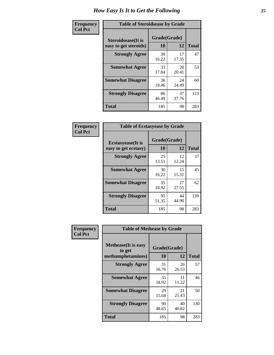| Frequency      | <b>Table of Steroidsease by Grade</b>               |                    |              |     |  |  |  |  |  |  |
|----------------|-----------------------------------------------------|--------------------|--------------|-----|--|--|--|--|--|--|
| <b>Col Pct</b> | <b>Steroidsease</b> (It is<br>easy to get steroids) | Grade(Grade)<br>10 | <b>Total</b> |     |  |  |  |  |  |  |
|                | <b>Strongly Agree</b>                               | 30<br>16.22        | 17<br>17.35  | 47  |  |  |  |  |  |  |
|                | <b>Somewhat Agree</b>                               | 33<br>17.84        | 20<br>20.41  | 53  |  |  |  |  |  |  |
|                | <b>Somewhat Disagree</b>                            | 36<br>19.46        | 24<br>24.49  | 60  |  |  |  |  |  |  |
|                | <b>Strongly Disagree</b>                            | 86<br>46.49        | 37<br>37.76  | 123 |  |  |  |  |  |  |
|                | <b>Total</b>                                        | 185                | 98           | 283 |  |  |  |  |  |  |

| Frequency      | <b>Table of Ecstasyease by Grade</b>              |                    |              |     |  |  |  |  |  |  |
|----------------|---------------------------------------------------|--------------------|--------------|-----|--|--|--|--|--|--|
| <b>Col Pct</b> | <b>Ecstasyease</b> (It is<br>easy to get ecstasy) | Grade(Grade)<br>10 | <b>Total</b> |     |  |  |  |  |  |  |
|                | <b>Strongly Agree</b>                             | 25<br>13.51        | 12<br>12.24  | 37  |  |  |  |  |  |  |
|                | <b>Somewhat Agree</b>                             | 30<br>16.22        | 15<br>15.31  | 45  |  |  |  |  |  |  |
|                | <b>Somewhat Disagree</b>                          | 35<br>18.92        | 27<br>27.55  | 62  |  |  |  |  |  |  |
|                | <b>Strongly Disagree</b>                          | 95<br>51.35        | 44<br>44.90  | 139 |  |  |  |  |  |  |
|                | Total                                             | 185                | 98           | 283 |  |  |  |  |  |  |

| Frequency      | <b>Table of Methease by Grade</b>                          |             |                    |     |  |  |  |  |  |  |  |
|----------------|------------------------------------------------------------|-------------|--------------------|-----|--|--|--|--|--|--|--|
| <b>Col Pct</b> | <b>Methease</b> (It is easy<br>to get<br>methamphetamines) | 10          | Grade(Grade)<br>12 |     |  |  |  |  |  |  |  |
|                | <b>Strongly Agree</b>                                      | 31<br>16.76 | 26<br>26.53        | 57  |  |  |  |  |  |  |  |
|                | <b>Somewhat Agree</b>                                      | 35<br>18.92 | 11<br>11.22        | 46  |  |  |  |  |  |  |  |
|                | <b>Somewhat Disagree</b>                                   | 29<br>15.68 | 21<br>21.43        | 50  |  |  |  |  |  |  |  |
|                | <b>Strongly Disagree</b>                                   | 90<br>48.65 | 40<br>40.82        | 130 |  |  |  |  |  |  |  |
|                | Total                                                      | 185         | 98                 | 283 |  |  |  |  |  |  |  |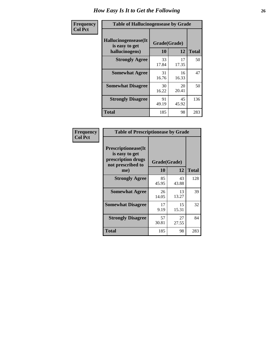| <b>Frequency</b> | <b>Table of Hallucinogensease by Grade</b>               |                    |             |              |  |  |  |  |  |  |
|------------------|----------------------------------------------------------|--------------------|-------------|--------------|--|--|--|--|--|--|
| <b>Col Pct</b>   | Hallucinogensease(It<br>is easy to get<br>hallucinogens) | Grade(Grade)<br>10 | 12          | <b>Total</b> |  |  |  |  |  |  |
|                  | <b>Strongly Agree</b>                                    | 33<br>17.84        | 17<br>17.35 | 50           |  |  |  |  |  |  |
|                  | <b>Somewhat Agree</b>                                    | 31<br>16.76        | 16<br>16.33 | 47           |  |  |  |  |  |  |
|                  | <b>Somewhat Disagree</b>                                 | 30<br>16.22        | 20<br>20.41 | 50           |  |  |  |  |  |  |
|                  | <b>Strongly Disagree</b>                                 | 91<br>49.19        | 45<br>45.92 | 136          |  |  |  |  |  |  |
|                  | <b>Total</b>                                             | 185                | 98          | 283          |  |  |  |  |  |  |

| Frequency<br>Col Pct |
|----------------------|
|                      |

| <b>Table of Prescriptionease by Grade</b>                                                |              |             |              |  |  |  |  |  |  |  |
|------------------------------------------------------------------------------------------|--------------|-------------|--------------|--|--|--|--|--|--|--|
| <b>Prescriptionease</b> (It<br>is easy to get<br>prescription drugs<br>not prescribed to | Grade(Grade) |             |              |  |  |  |  |  |  |  |
| me)                                                                                      | 10           | 12          | <b>Total</b> |  |  |  |  |  |  |  |
| <b>Strongly Agree</b>                                                                    | 85<br>45.95  | 43<br>43.88 | 128          |  |  |  |  |  |  |  |
| <b>Somewhat Agree</b>                                                                    | 26<br>14.05  | 13<br>13.27 | 39           |  |  |  |  |  |  |  |
| <b>Somewhat Disagree</b>                                                                 | 17<br>9.19   | 15<br>15.31 | 32           |  |  |  |  |  |  |  |
| <b>Strongly Disagree</b>                                                                 | 57<br>30.81  | 27<br>27.55 | 84           |  |  |  |  |  |  |  |
| Total                                                                                    | 185          | 98          | 283          |  |  |  |  |  |  |  |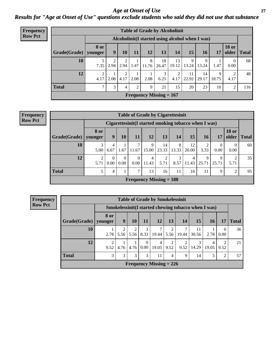*Age at Onset of Use* **27** *Results for "Age at Onset of Use" questions exclude students who said they did not use that substance*

| Frequency      | <b>Table of Grade by Alcoholinit</b> |                                                  |                  |           |                |            |                           |                        |             |             |            |                       |              |  |
|----------------|--------------------------------------|--------------------------------------------------|------------------|-----------|----------------|------------|---------------------------|------------------------|-------------|-------------|------------|-----------------------|--------------|--|
| <b>Row Pct</b> |                                      | Alcoholinit (I started using alcohol when I was) |                  |           |                |            |                           |                        |             |             |            |                       |              |  |
|                | Grade(Grade)                         | <b>8 or</b><br>younger                           | $\boldsymbol{9}$ | <b>10</b> | 11             | 12         | 13                        | 14                     | 15          | <b>16</b>   | 17         | <b>18 or</b><br>older | <b>Total</b> |  |
|                | 10                                   | 7.35                                             | 2.94             | ↑<br>2.94 | 1.47           | 8<br>11.76 | 18<br>26.47               | 13<br>19.12            | 9<br>13.24  | 9<br>13.24  | 1.47       | $\theta$<br>0.00      | 68           |  |
|                | 12                                   | ↑<br>4.17                                        | 2.08             | ↑<br>4.17 | 2.08           | 2.08       | 3<br>6.25                 | $\overline{2}$<br>4.17 | 11<br>22.92 | 14<br>29.17 | 9<br>18.75 | 2<br>4.17             | 48           |  |
|                | <b>Total</b>                         | ⇁                                                | 3                | 4         | $\overline{2}$ | 9          | 21                        | 15                     | 20          | 23          | 10         | 2                     | 116          |  |
|                |                                      |                                                  |                  |           |                |            | Frequency Missing $= 167$ |                        |             |             |            |                       |              |  |

| <b>Frequency</b> | <b>Table of Grade by Cigarettesinit</b> |                                                      |                  |                  |                           |            |             |            |             |            |                  |                       |              |
|------------------|-----------------------------------------|------------------------------------------------------|------------------|------------------|---------------------------|------------|-------------|------------|-------------|------------|------------------|-----------------------|--------------|
| <b>Row Pct</b>   |                                         | Cigarettesinit(I started smoking tobacco when I was) |                  |                  |                           |            |             |            |             |            |                  |                       |              |
|                  | Grade(Grade)                            | <b>8 or</b><br>younger                               | 9                | 10               | 11                        | 12         | 13          | 14         | 15          | 16         | 17               | <b>18 or</b><br>older | <b>Total</b> |
|                  | 10                                      | 3<br>5.00                                            | 4<br>6.67        | 1.67             | 11.67                     | 9<br>15.00 | 14<br>23.33 | 8<br>13.33 | 12<br>20.00 | 2<br>3.33  | $\theta$<br>0.00 | $\theta$<br>0.00      | 60           |
|                  | 12                                      | 5.71                                                 | $\Omega$<br>0.00 | $\Omega$<br>0.00 | $\theta$<br>0.00          | 4<br>11.43 | 2<br>5.71   | 3<br>8.57  | 4<br>11.43  | 9<br>25.71 | 9<br>25.71       | 2<br>5.71             | 35           |
|                  | <b>Total</b>                            | 5                                                    | 4                |                  | $\mathcal{L}$             | 13         | 16          | 11         | 16          | 11         | 9                | ↑                     | 95           |
|                  |                                         |                                                      |                  |                  | Frequency Missing $= 188$ |            |             |            |             |            |                  |                       |              |

**Frequency Row Pct**

| <b>Table of Grade by Smokelessinit</b>                                              |                                                                                                                                                   |                                                                                              |                                 |           |       |                        |       |             |      |                  |    |  |
|-------------------------------------------------------------------------------------|---------------------------------------------------------------------------------------------------------------------------------------------------|----------------------------------------------------------------------------------------------|---------------------------------|-----------|-------|------------------------|-------|-------------|------|------------------|----|--|
|                                                                                     | Smokelessinit (I started chewing tobacco when I was)                                                                                              |                                                                                              |                                 |           |       |                        |       |             |      |                  |    |  |
| Grade(Grade)                                                                        | 8 or<br>younger                                                                                                                                   | 15<br>12<br>9<br>11<br>13 <sup>1</sup><br>14<br><b>Total</b><br><b>10</b><br><b>16</b><br>17 |                                 |           |       |                        |       |             |      |                  |    |  |
| 10                                                                                  | 2.78                                                                                                                                              | $\mathfrak{D}$                                                                               | $\mathfrak{D}$<br>$5.56$   5.56 | 3<br>8.33 | 19.44 | $\mathfrak{D}$<br>5.56 | 19.44 | 11<br>30.56 | 2.78 | $\Omega$<br>0.00 | 36 |  |
| 12                                                                                  | $\mathfrak{D}$<br>21<br>2<br>3<br>2<br>2<br>$\Omega$<br>4<br>4<br>14.29<br>0.00<br>9.52<br>4.76<br>4.76<br>19.05<br>9.52<br>9.52<br>9.52<br>19.05 |                                                                                              |                                 |           |       |                        |       |             |      |                  |    |  |
| <b>Total</b><br>3<br>3<br>3<br>3<br>5<br>57<br>11<br>9<br>14<br>$\overline{2}$<br>4 |                                                                                                                                                   |                                                                                              |                                 |           |       |                        |       |             |      |                  |    |  |
| <b>Frequency Missing = 226</b>                                                      |                                                                                                                                                   |                                                                                              |                                 |           |       |                        |       |             |      |                  |    |  |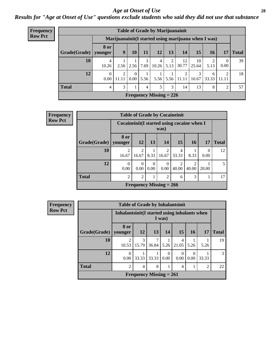#### *Age at Onset of Use* **28**

*Results for "Age at Onset of Use" questions exclude students who said they did not use that substance*

| Frequency      | <b>Table of Grade by Marijuanainit</b> |                        |            |                      |           |                                |           |                     |             |                                                     |                  |              |
|----------------|----------------------------------------|------------------------|------------|----------------------|-----------|--------------------------------|-----------|---------------------|-------------|-----------------------------------------------------|------------------|--------------|
| <b>Row Pct</b> |                                        |                        |            |                      |           |                                |           |                     |             | Marijuanainit(I started using marijuana when I was) |                  |              |
|                | Grade(Grade)                           | <b>8 or</b><br>younger | 9          | <b>10</b>            | 11        | 12                             | 13        | 14                  | 15          | <b>16</b>                                           | 17               | <b>Total</b> |
|                | 10                                     | 4<br>10.26             | 2.56       | 2.56                 | 3<br>7.69 | 4<br>10.26                     | 2<br>5.13 | 12<br>30.77         | 10<br>25.64 | $\mathcal{D}_{\mathcal{A}}$<br>5.13                 | $\Omega$<br>0.00 | 39           |
|                | 12                                     | $\left($<br>0.00       | 2<br>11.11 | $\theta$<br>$0.00-1$ | 5.56      | 5.56                           |           | 2<br>$5.56$   11.11 | 3<br>16.67  | 6<br>33.33                                          | 2<br>  11.11     | 18           |
|                | <b>Total</b>                           | $\overline{4}$         | 3          |                      | 4         | 5                              | 3         | 14                  | 13          | 8                                                   | $\overline{2}$   | 57           |
|                |                                        |                        |            |                      |           | <b>Frequency Missing = 226</b> |           |                     |             |                                                     |                  |              |

| Frequency      |                        |                         | <b>Table of Grade by Cocaineinit</b>                   |                  |                           |                         |                                      |                  |              |  |  |
|----------------|------------------------|-------------------------|--------------------------------------------------------|------------------|---------------------------|-------------------------|--------------------------------------|------------------|--------------|--|--|
| <b>Row Pct</b> |                        |                         | Cocaineinit(I started using cocaine when I<br>was)     |                  |                           |                         |                                      |                  |              |  |  |
|                | Grade(Grade)   younger | 8 or                    | 12                                                     | 13 <sup>1</sup>  | 14                        | 15                      | <b>16</b>                            | <b>17</b>        | <b>Total</b> |  |  |
|                | 10                     | $\mathfrak{D}$<br>16.67 | $\mathfrak{D}$<br>16.67                                | 8.33             | 2<br>16.67                | 4<br>33.33              | 8.33                                 | $\theta$<br>0.00 | 12           |  |  |
|                | 12                     | 0<br>0.00               | $\theta$<br>0.00                                       | $\Omega$<br>0.00 | $\Omega$<br>0.00          | $\mathfrak{D}$<br>40.00 | $\mathcal{D}_{\mathcal{A}}$<br>40.00 | 20.00            | 5            |  |  |
|                | <b>Total</b>           | $\mathcal{D}$           | $\mathcal{R}$<br>$\mathfrak{D}$<br>$\overline{2}$<br>6 |                  |                           |                         |                                      |                  |              |  |  |
|                |                        |                         |                                                        |                  | Frequency Missing $= 266$ |                         |                                      |                  |              |  |  |

**Frequency Row Pct**

| <b>Table of Grade by Inhalantsinit</b> |                                                                                      |                                                         |  |  |  |  |  |  |  |  |  |
|----------------------------------------|--------------------------------------------------------------------------------------|---------------------------------------------------------|--|--|--|--|--|--|--|--|--|
|                                        |                                                                                      | Inhalantsinit (I started using inhalants when<br>I was) |  |  |  |  |  |  |  |  |  |
| Grade(Grade)   younger                 | 8 or                                                                                 | 15<br><b>12</b><br>13<br>14<br><b>16</b><br>17          |  |  |  |  |  |  |  |  |  |
| 10                                     | 3<br>15.79<br>$36.84$ 5.26<br>21.05<br>10.53<br>5.26<br>5.26                         |                                                         |  |  |  |  |  |  |  |  |  |
| 12                                     | $\Omega$<br>$\Omega$<br>0<br>33.33<br>33.33<br>0.00<br>0.00<br>0.00<br>0.00<br>33.33 |                                                         |  |  |  |  |  |  |  |  |  |
| <b>Total</b>                           | $\mathfrak{D}$<br>8<br>$\mathfrak{D}$<br>4<br>4                                      |                                                         |  |  |  |  |  |  |  |  |  |
| Frequency Missing $= 261$              |                                                                                      |                                                         |  |  |  |  |  |  |  |  |  |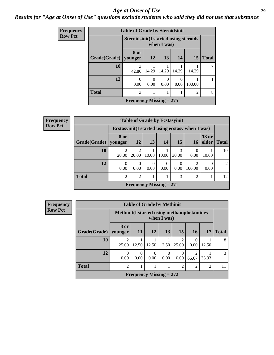#### *Age at Onset of Use* **29**

### *Results for "Age at Onset of Use" questions exclude students who said they did not use that substance*

| <b>Frequency</b> |              | <b>Table of Grade by Steroidsinit</b>         |           |           |                  |           |              |  |  |
|------------------|--------------|-----------------------------------------------|-----------|-----------|------------------|-----------|--------------|--|--|
| <b>Row Pct</b>   |              | <b>Steroidsinit (I started using steroids</b> |           |           |                  |           |              |  |  |
|                  | Grade(Grade) | 8 or<br>younger                               | <b>12</b> | 13        | 14               | <b>15</b> | <b>Total</b> |  |  |
|                  | 10           | 3<br>42.86                                    | 14.29     | 14.29     | 14.29            | 14.29     |              |  |  |
|                  | 12           | 0<br>0.00                                     | 0<br>0.00 | 0<br>0.00 | $\Omega$<br>0.00 | 100.00    |              |  |  |
|                  | <b>Total</b> | 3<br>2                                        |           |           |                  |           |              |  |  |
|                  |              | Frequency Missing $= 275$                     |           |           |                  |           |              |  |  |

| Frequency      |              |                                                  | <b>Table of Grade by Ecstasyinit</b> |       |           |            |                         |                       |              |  |  |  |  |
|----------------|--------------|--------------------------------------------------|--------------------------------------|-------|-----------|------------|-------------------------|-----------------------|--------------|--|--|--|--|
| <b>Row Pct</b> |              | Ecstasyinit (I started using ecstasy when I was) |                                      |       |           |            |                         |                       |              |  |  |  |  |
|                | Grade(Grade) | 8 or<br>vounger                                  | <b>12</b>                            | 13    | <b>14</b> | 15         | 16                      | <b>18 or</b><br>older | <b>Total</b> |  |  |  |  |
|                | 10           | 2<br>20.00                                       | $\overline{2}$<br>20.00              | 10.00 | 10.00     | 3<br>30.00 | 0.00                    | 10.00                 | 10           |  |  |  |  |
|                | 12           | $\Omega$<br>0.00                                 | $\Omega$<br>0.00                     | 0.00  | 0<br>0.00 | 0<br>0.00  | $\mathcal{D}$<br>100.00 | 0.00                  | 2            |  |  |  |  |
|                | <b>Total</b> | $\overline{c}$                                   | 2<br>3<br>$\mathfrak{D}$             |       |           |            |                         |                       |              |  |  |  |  |
|                |              |                                                  | Frequency Missing $= 271$            |       |           |            |                         |                       |              |  |  |  |  |

| Frequency      | <b>Table of Grade by Methinit</b> |                                            |                           |                  |                  |            |            |       |               |
|----------------|-----------------------------------|--------------------------------------------|---------------------------|------------------|------------------|------------|------------|-------|---------------|
| <b>Row Pct</b> |                                   | Methinit (I started using methamphetamines |                           |                  | when I was)      |            |            |       |               |
|                | Grade(Grade)   younger            | 8 or                                       | <b>11</b>                 | <b>12</b>        | <b>13</b>        | 15         | <b>16</b>  | 17    | <b>Total</b>  |
|                | 10                                | 2<br>25.00                                 | 12.50                     | 12.50            | 12.50            | っ<br>25.00 | 0.00       | 12.50 | 8             |
|                | 12                                | $\Omega$<br>0.00                           | $\Omega$<br>0.00          | $\theta$<br>0.00 | $\Omega$<br>0.00 | 0.00       | 2<br>66.67 | 33.33 | $\mathcal{R}$ |
|                | <b>Total</b>                      | 2                                          | $\overline{2}$            | 11               |                  |            |            |       |               |
|                |                                   |                                            | Frequency Missing $= 272$ |                  |                  |            |            |       |               |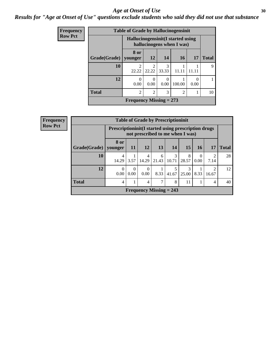#### Age at Onset of Use **30**

### *Results for "Age at Onset of Use" questions exclude students who said they did not use that substance*

| <b>Frequency</b> |              | <b>Table of Grade by Hallucinogensinit</b>                      |                         |                  |        |      |              |
|------------------|--------------|-----------------------------------------------------------------|-------------------------|------------------|--------|------|--------------|
| <b>Row Pct</b>   |              | Hallucinogensinit (I started using<br>hallucinogens when I was) |                         |                  |        |      |              |
|                  | Grade(Grade) | 8 or<br>vounger                                                 | <b>12</b>               | 14               | 16     | 17   | <b>Total</b> |
|                  | 10           | $\overline{2}$<br>22.22                                         | $\mathfrak{D}$<br>22.22 | 3<br>33.33       | 11.11  |      | 9            |
|                  | 12           | $\theta$<br>0.00                                                | $\Omega$<br>0.00        | $\Omega$<br>0.00 | 100.00 | 0.00 |              |
|                  | <b>Total</b> | $\overline{2}$                                                  | 10                      |                  |        |      |              |
|                  |              | Frequency Missing $= 273$                                       |                         |                  |        |      |              |

| <b>Frequency</b>                                 |              |                                                              |                  |                  | <b>Table of Grade by Prescriptioninit</b> |            |            |                  |            |              |  |  |
|--------------------------------------------------|--------------|--------------------------------------------------------------|------------------|------------------|-------------------------------------------|------------|------------|------------------|------------|--------------|--|--|
| <b>Row Pct</b>                                   |              | <b>Prescriptioninit (I started using prescription drugs)</b> |                  |                  | not prescribed to me when I was)          |            |            |                  |            |              |  |  |
|                                                  | Grade(Grade) | <b>8 or</b><br>younger                                       | 11               | <b>12</b>        | 13                                        | 14         | 15         | 16 <sup>1</sup>  | 17         | <b>Total</b> |  |  |
|                                                  | 10           | 4<br>14.29                                                   | 3.57             | 4<br>14.29       | 6<br>21.43                                | 3<br>10.71 | 8<br>28.57 | $\Omega$<br>0.00 | ∍<br>7.14  | 28           |  |  |
|                                                  | 12           | $\Omega$<br>0.00                                             | $\Omega$<br>0.00 | $\Omega$<br>0.00 | 8.33                                      | 5<br>41.67 | 3<br>25.00 | 8.33             | ◠<br>16.67 | 12           |  |  |
| <b>Total</b><br>8<br>⇁<br>1<br>11<br>4<br>4<br>4 |              |                                                              |                  |                  |                                           |            |            |                  | 40         |              |  |  |
|                                                  |              |                                                              |                  |                  | Frequency Missing $= 243$                 |            |            |                  |            |              |  |  |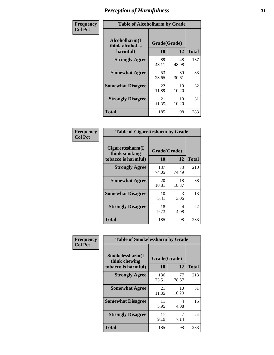| Frequency      |                                               | <b>Table of Alcoholharm by Grade</b> |             |              |  |  |  |  |  |  |  |  |
|----------------|-----------------------------------------------|--------------------------------------|-------------|--------------|--|--|--|--|--|--|--|--|
| <b>Col Pct</b> | Alcoholharm(I<br>think alcohol is<br>harmful) | Grade(Grade)<br>10                   | 12          | <b>Total</b> |  |  |  |  |  |  |  |  |
|                | <b>Strongly Agree</b>                         | 89<br>48.11                          | 48<br>48.98 | 137          |  |  |  |  |  |  |  |  |
|                | <b>Somewhat Agree</b>                         | 53<br>28.65                          | 30<br>30.61 | 83           |  |  |  |  |  |  |  |  |
|                | <b>Somewhat Disagree</b>                      | 22<br>11.89                          | 10<br>10.20 | 32           |  |  |  |  |  |  |  |  |
|                | <b>Strongly Disagree</b>                      | 21<br>11.35                          | 10<br>10.20 | 31           |  |  |  |  |  |  |  |  |
|                | <b>Total</b>                                  | 185                                  | 98          | 283          |  |  |  |  |  |  |  |  |

| <b>Table of Cigarettesharm by Grade</b>                  |                    |             |              |  |  |  |  |  |
|----------------------------------------------------------|--------------------|-------------|--------------|--|--|--|--|--|
| Cigarettesharm(I<br>think smoking<br>tobacco is harmful) | Grade(Grade)<br>10 | 12          | <b>Total</b> |  |  |  |  |  |
| <b>Strongly Agree</b>                                    | 137<br>74.05       | 73<br>74.49 | 210          |  |  |  |  |  |
| <b>Somewhat Agree</b>                                    | 20<br>10.81        | 18<br>18.37 | 38           |  |  |  |  |  |
| <b>Somewhat Disagree</b>                                 | 10<br>5.41         | 3<br>3.06   | 13           |  |  |  |  |  |
| <b>Strongly Disagree</b>                                 | 18<br>9.73         | 4<br>4.08   | 22           |  |  |  |  |  |
| <b>Total</b>                                             | 185                | 98          | 283          |  |  |  |  |  |

| Frequency      | <b>Table of Smokelessharm by Grade</b>                  |                    |             |              |
|----------------|---------------------------------------------------------|--------------------|-------------|--------------|
| <b>Col Pct</b> | Smokelessharm(I<br>think chewing<br>tobacco is harmful) | Grade(Grade)<br>10 | 12          | <b>Total</b> |
|                | <b>Strongly Agree</b>                                   | 136<br>73.51       | 77<br>78.57 | 213          |
|                | <b>Somewhat Agree</b>                                   | 21<br>11.35        | 10<br>10.20 | 31           |
|                | <b>Somewhat Disagree</b>                                | 11<br>5.95         | 4<br>4.08   | 15           |
|                | <b>Strongly Disagree</b>                                | 17<br>9.19         | 7<br>7.14   | 24           |
|                | <b>Total</b>                                            | 185                | 98          | 283          |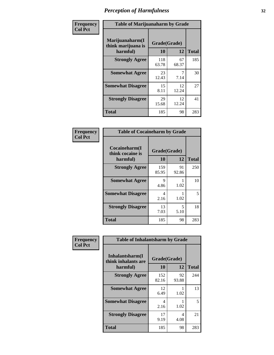| Frequency      | <b>Table of Marijuanaharm by Grade</b>            |                    |             |              |
|----------------|---------------------------------------------------|--------------------|-------------|--------------|
| <b>Col Pct</b> | Marijuanaharm(I<br>think marijuana is<br>harmful) | Grade(Grade)<br>10 | 12          | <b>Total</b> |
|                | <b>Strongly Agree</b>                             | 118<br>63.78       | 67<br>68.37 | 185          |
|                | <b>Somewhat Agree</b>                             | 23<br>12.43        | 7.14        | 30           |
|                | <b>Somewhat Disagree</b>                          | 15<br>8.11         | 12<br>12.24 | 27           |
|                | <b>Strongly Disagree</b>                          | 29<br>15.68        | 12<br>12.24 | 41           |
|                | <b>Total</b>                                      | 185                | 98          | 283          |

| <b>Table of Cocaineharm by Grade</b>          |                    |             |              |  |  |
|-----------------------------------------------|--------------------|-------------|--------------|--|--|
| Cocaineharm(I<br>think cocaine is<br>harmful) | Grade(Grade)<br>10 | 12          | <b>Total</b> |  |  |
| <b>Strongly Agree</b>                         | 159<br>85.95       | 91<br>92.86 | 250          |  |  |
| <b>Somewhat Agree</b>                         | 9<br>4.86          | 1.02        | 10           |  |  |
| <b>Somewhat Disagree</b>                      | 4<br>2.16          | 1.02        | 5            |  |  |
| <b>Strongly Disagree</b>                      | 13<br>7.03         | 5<br>5.10   | 18           |  |  |
| <b>Total</b>                                  | 185                | 98          | 283          |  |  |

| Frequency      | <b>Table of Inhalantsharm by Grade</b>             |                    |             |              |
|----------------|----------------------------------------------------|--------------------|-------------|--------------|
| <b>Col Pct</b> | Inhalantsharm(I<br>think inhalants are<br>harmful) | Grade(Grade)<br>10 | 12          | <b>Total</b> |
|                | <b>Strongly Agree</b>                              | 152<br>82.16       | 92<br>93.88 | 244          |
|                | <b>Somewhat Agree</b>                              | 12<br>6.49         | 1.02        | 13           |
|                | <b>Somewhat Disagree</b>                           | 4<br>2.16          | 1.02        | 5            |
|                | <b>Strongly Disagree</b>                           | 17<br>9.19         | 4<br>4.08   | 21           |
|                | <b>Total</b>                                       | 185                | 98          | 283          |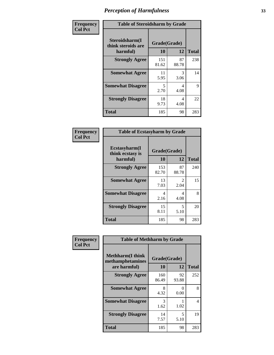| Frequency      | <b>Table of Steroidsharm by Grade</b>            |                    |             |              |
|----------------|--------------------------------------------------|--------------------|-------------|--------------|
| <b>Col Pct</b> | Steroidsharm(I<br>think steroids are<br>harmful) | Grade(Grade)<br>10 | 12          | <b>Total</b> |
|                | <b>Strongly Agree</b>                            | 151<br>81.62       | 87<br>88.78 | 238          |
|                | <b>Somewhat Agree</b>                            | 11<br>5.95         | 3<br>3.06   | 14           |
|                | <b>Somewhat Disagree</b>                         | 5<br>2.70          | 4<br>4.08   | 9            |
|                | <b>Strongly Disagree</b>                         | 18<br>9.73         | 4<br>4.08   | 22           |
|                | <b>Total</b>                                     | 185                | 98          | 283          |

| <b>Table of Ecstasyharm by Grade</b>          |                    |                        |              |  |  |
|-----------------------------------------------|--------------------|------------------------|--------------|--|--|
| Ecstasyharm(I<br>think ecstasy is<br>harmful) | Grade(Grade)<br>10 | 12                     | <b>Total</b> |  |  |
| <b>Strongly Agree</b>                         | 153<br>82.70       | 87<br>88.78            | 240          |  |  |
| <b>Somewhat Agree</b>                         | 13<br>7.03         | $\mathfrak{D}$<br>2.04 | 15           |  |  |
| <b>Somewhat Disagree</b>                      | 4<br>2.16          | 4<br>4.08              | 8            |  |  |
| <b>Strongly Disagree</b>                      | 15<br>8.11         | 5<br>5.10              | 20           |  |  |
| <b>Total</b>                                  | 185                | 98                     | 283          |  |  |

| Frequency      | <b>Table of Methharm by Grade</b>                           |                    |             |              |
|----------------|-------------------------------------------------------------|--------------------|-------------|--------------|
| <b>Col Pct</b> | <b>Methharm(I think</b><br>methamphetamines<br>are harmful) | Grade(Grade)<br>10 | 12          | <b>Total</b> |
|                | <b>Strongly Agree</b>                                       | 160<br>86.49       | 92<br>93.88 | 252          |
|                | <b>Somewhat Agree</b>                                       | 8<br>4.32          | 0<br>0.00   | 8            |
|                | <b>Somewhat Disagree</b>                                    | 3<br>1.62          | 1.02        | 4            |
|                | <b>Strongly Disagree</b>                                    | 14<br>7.57         | 5<br>5.10   | 19           |
|                | Total                                                       | 185                | 98          | 283          |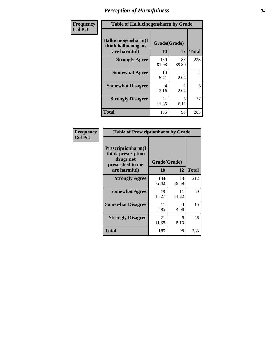| Frequency | <b>Table of Hallucinogensharm by Grade</b>                 |                    |                       |              |
|-----------|------------------------------------------------------------|--------------------|-----------------------|--------------|
| Col Pct   | Hallucinogensharm(I<br>think hallucinogens<br>are harmful) | Grade(Grade)<br>10 | 12                    | <b>Total</b> |
|           | <b>Strongly Agree</b>                                      | 150<br>81.08       | 88<br>89.80           | 238          |
|           | <b>Somewhat Agree</b>                                      | 10<br>5.41         | $\mathcal{L}$<br>2.04 | 12           |
|           | <b>Somewhat Disagree</b>                                   | 4<br>2.16          | $\mathcal{L}$<br>2.04 | 6            |
|           | <b>Strongly Disagree</b>                                   | 21<br>11.35        | 6<br>6.12             | 27           |
|           | <b>Total</b>                                               | 185                | 98                    | 283          |

| <b>Table of Prescriptionharm by Grade</b>                                         |              |             |              |  |
|-----------------------------------------------------------------------------------|--------------|-------------|--------------|--|
| <b>Prescriptionharm(I)</b><br>think prescription<br>drugs not<br>prescribed to me | Grade(Grade) |             |              |  |
| are harmful)                                                                      | 10           | 12          | <b>Total</b> |  |
| <b>Strongly Agree</b>                                                             | 134<br>72.43 | 78<br>79.59 | 212          |  |
| <b>Somewhat Agree</b>                                                             | 19<br>10.27  | 11<br>11.22 | 30           |  |
| <b>Somewhat Disagree</b>                                                          | 11<br>5.95   | 4<br>4.08   | 15           |  |
| <b>Strongly Disagree</b>                                                          | 21<br>11.35  | 5<br>5.10   | 26           |  |
| <b>Total</b>                                                                      | 185          | 98          | 283          |  |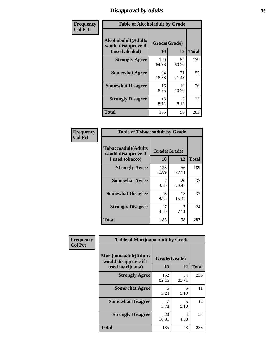# *Disapproval by Adults* **35**

| Frequency      | <b>Table of Alcoholadult by Grade</b>                                 |                    |             |              |
|----------------|-----------------------------------------------------------------------|--------------------|-------------|--------------|
| <b>Col Pct</b> | <b>Alcoholadult</b> (Adults<br>would disapprove if<br>I used alcohol) | Grade(Grade)<br>10 | 12          | <b>Total</b> |
|                | <b>Strongly Agree</b>                                                 | 120<br>64.86       | 59<br>60.20 | 179          |
|                | <b>Somewhat Agree</b>                                                 | 34<br>18.38        | 21<br>21.43 | 55           |
|                | <b>Somewhat Disagree</b>                                              | 16<br>8.65         | 10<br>10.20 | 26           |
|                | <b>Strongly Disagree</b>                                              | 15<br>8.11         | 8<br>8.16   | 23           |
|                | <b>Total</b>                                                          | 185                | 98          | 283          |

| <b>Table of Tobaccoadult by Grade</b>                                 |                    |             |              |
|-----------------------------------------------------------------------|--------------------|-------------|--------------|
| <b>Tobaccoadult</b> (Adults<br>would disapprove if<br>I used tobacco) | Grade(Grade)<br>10 | 12          | <b>Total</b> |
| <b>Strongly Agree</b>                                                 | 133<br>71.89       | 56<br>57.14 | 189          |
| <b>Somewhat Agree</b>                                                 | 17<br>9.19         | 20<br>20.41 | 37           |
| <b>Somewhat Disagree</b>                                              | 18<br>9.73         | 15<br>15.31 | 33           |
| <b>Strongly Disagree</b>                                              | 17<br>9.19         | 7<br>7.14   | 24           |
| Total                                                                 | 185                | 98          | 283          |

| Frequency<br><b>Col Pct</b> | <b>Table of Marijuanaadult by Grade</b>                           |                    |                                  |              |
|-----------------------------|-------------------------------------------------------------------|--------------------|----------------------------------|--------------|
|                             | Marijuanaadult(Adults<br>would disapprove if I<br>used marijuana) | Grade(Grade)<br>10 | 12                               | <b>Total</b> |
|                             | <b>Strongly Agree</b>                                             | 152<br>82.16       | 84<br>85.71                      | 236          |
|                             | <b>Somewhat Agree</b>                                             | 6<br>3.24          | $\overline{\phantom{0}}$<br>5.10 | 11           |
|                             | <b>Somewhat Disagree</b>                                          | 3.78               | $\overline{\phantom{0}}$<br>5.10 | 12           |
|                             | <b>Strongly Disagree</b>                                          | 20<br>10.81        | 4<br>4.08                        | 24           |
|                             | <b>Total</b>                                                      | 185                | 98                               | 283          |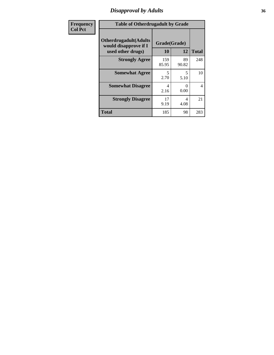### *Disapproval by Adults* **36**

| <b>Frequency</b> | <b>Table of Otherdrugadult by Grade</b>                                     |                    |             |                          |
|------------------|-----------------------------------------------------------------------------|--------------------|-------------|--------------------------|
| <b>Col Pct</b>   | <b>Otherdrugadult</b> (Adults<br>would disapprove if I<br>used other drugs) | Grade(Grade)<br>10 | 12          | <b>Total</b>             |
|                  | <b>Strongly Agree</b>                                                       | 159<br>85.95       | 89<br>90.82 | 248                      |
|                  | <b>Somewhat Agree</b>                                                       | 5<br>2.70          | 5<br>5.10   | 10                       |
|                  | <b>Somewhat Disagree</b>                                                    | 4<br>2.16          | 0<br>0.00   | $\overline{\mathcal{A}}$ |
|                  | <b>Strongly Disagree</b>                                                    | 17<br>9.19         | 4<br>4.08   | 21                       |
|                  | <b>Total</b>                                                                | 185                | 98          | 283                      |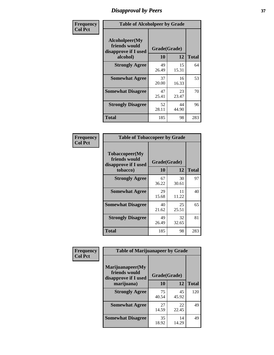# *Disapproval by Peers* **37**

| Frequency      | <b>Table of Alcoholpeer by Grade</b>                    |              |             |              |  |
|----------------|---------------------------------------------------------|--------------|-------------|--------------|--|
| <b>Col Pct</b> | Alcoholpeer(My<br>friends would<br>disapprove if I used | Grade(Grade) |             |              |  |
|                | alcohol)                                                | 10           | 12          | <b>Total</b> |  |
|                | <b>Strongly Agree</b>                                   | 49<br>26.49  | 15<br>15.31 | 64           |  |
|                | <b>Somewhat Agree</b>                                   | 37<br>20.00  | 16<br>16.33 | 53           |  |
|                | <b>Somewhat Disagree</b>                                | 47<br>25.41  | 23<br>23.47 | 70           |  |
|                | <b>Strongly Disagree</b>                                | 52<br>28.11  | 44<br>44.90 | 96           |  |
|                | Total                                                   | 185          | 98          | 283          |  |

| Frequency      | <b>Table of Tobaccopeer by Grade</b>                                |                    |             |              |
|----------------|---------------------------------------------------------------------|--------------------|-------------|--------------|
| <b>Col Pct</b> | Tobaccopeer(My<br>friends would<br>disapprove if I used<br>tobacco) | Grade(Grade)<br>10 | 12          | <b>Total</b> |
|                | <b>Strongly Agree</b>                                               | 67<br>36.22        | 30<br>30.61 | 97           |
|                | <b>Somewhat Agree</b>                                               | 29<br>15.68        | 11<br>11.22 | 40           |
|                | <b>Somewhat Disagree</b>                                            | 40<br>21.62        | 25<br>25.51 | 65           |
|                | <b>Strongly Disagree</b>                                            | 49<br>26.49        | 32<br>32.65 | 81           |
|                | Total                                                               | 185                | 98          | 283          |

| Frequency<br><b>Col Pct</b> | <b>Table of Marijuanapeer by Grade</b>                    |              |             |              |
|-----------------------------|-----------------------------------------------------------|--------------|-------------|--------------|
|                             | Marijuanapeer(My<br>friends would<br>disapprove if I used | Grade(Grade) |             |              |
|                             | marijuana)                                                | <b>10</b>    | 12          | <b>Total</b> |
|                             | <b>Strongly Agree</b>                                     | 75<br>40.54  | 45<br>45.92 | 120          |
|                             | <b>Somewhat Agree</b>                                     | 27<br>14.59  | 22<br>22.45 | 49           |
|                             | <b>Somewhat Disagree</b>                                  | 35<br>18.92  | 14<br>14.29 | 49           |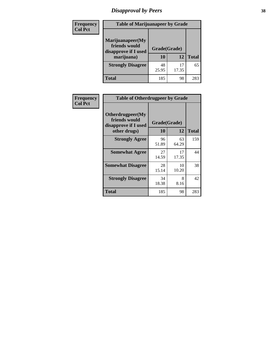# *Disapproval by Peers* **38**

| <b>Frequency</b> | <b>Table of Marijuanapeer by Grade</b>                                  |                    |             |              |  |
|------------------|-------------------------------------------------------------------------|--------------------|-------------|--------------|--|
| <b>Col Pct</b>   | Marijuanapeer(My<br>friends would<br>disapprove if I used<br>marijuana) | Grade(Grade)<br>10 | 12          | <b>Total</b> |  |
|                  | <b>Strongly Disagree</b>                                                | 48<br>25.95        | 17<br>17.35 | 65           |  |
|                  | <b>Total</b>                                                            | 185                | 98          | 283          |  |

| Frequency      | <b>Table of Otherdrugpeer by Grade</b>                                    |                    |             |              |
|----------------|---------------------------------------------------------------------------|--------------------|-------------|--------------|
| <b>Col Pct</b> | Otherdrugpeer(My<br>friends would<br>disapprove if I used<br>other drugs) | Grade(Grade)<br>10 | 12          | <b>Total</b> |
|                | <b>Strongly Agree</b>                                                     | 96<br>51.89        | 63<br>64.29 | 159          |
|                | <b>Somewhat Agree</b>                                                     | 27<br>14.59        | 17<br>17.35 | 44           |
|                | <b>Somewhat Disagree</b>                                                  | 28<br>15.14        | 10<br>10.20 | 38           |
|                | <b>Strongly Disagree</b>                                                  | 34<br>18.38        | 8<br>8.16   | 42           |
|                | <b>Total</b>                                                              | 185                | 98          | 283          |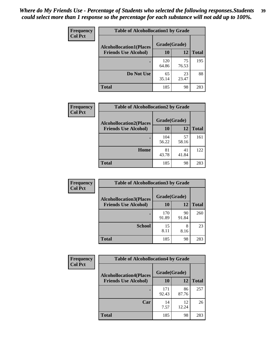| Frequency      | <b>Table of Alcohollocation1 by Grade</b> |              |             |              |
|----------------|-------------------------------------------|--------------|-------------|--------------|
| <b>Col Pct</b> | <b>Alcohollocation1(Places</b>            | Grade(Grade) |             |              |
|                | <b>Friends Use Alcohol)</b>               | 10           | 12          | <b>Total</b> |
|                |                                           | 120<br>64.86 | 75<br>76.53 | 195          |
|                | Do Not Use                                | 65<br>35.14  | 23<br>23.47 | 88           |
|                | <b>Total</b>                              | 185          | 98          | 283          |

| Frequency      | <b>Table of Alcohollocation2 by Grade</b>                     |                    |             |              |
|----------------|---------------------------------------------------------------|--------------------|-------------|--------------|
| <b>Col Pct</b> | <b>Alcohollocation2(Places</b><br><b>Friends Use Alcohol)</b> | Grade(Grade)<br>10 | <b>12</b>   | <b>Total</b> |
|                |                                                               | 104<br>56.22       | 57<br>58.16 | 161          |
|                | Home                                                          | 81<br>43.78        | 41<br>41.84 | 122          |
|                | <b>Total</b>                                                  | 185                | 98          | 283          |

| Frequency<br><b>Col Pct</b> | <b>Table of Alcohollocation 3 by Grade</b>                    |                    |             |              |
|-----------------------------|---------------------------------------------------------------|--------------------|-------------|--------------|
|                             | <b>Alcohollocation3(Places</b><br><b>Friends Use Alcohol)</b> | Grade(Grade)<br>10 | 12          | <b>Total</b> |
|                             |                                                               | 170<br>91.89       | 90<br>91.84 | 260          |
|                             | <b>School</b>                                                 | 15<br>8.11         | 8<br>8.16   | 23           |
|                             | <b>Total</b>                                                  | 185                | 98          | 283          |

| Frequency      | <b>Table of Alcohollocation4 by Grade</b> |              |             |              |
|----------------|-------------------------------------------|--------------|-------------|--------------|
| <b>Col Pct</b> | <b>Alcohollocation4(Places</b>            | Grade(Grade) |             |              |
|                | <b>Friends Use Alcohol)</b>               | 10           | 12          | <b>Total</b> |
|                |                                           | 171<br>92.43 | 86<br>87.76 | 257          |
|                | Car                                       | 14<br>7.57   | 12<br>12.24 | 26           |
|                | <b>Total</b>                              | 185          | 98          | 283          |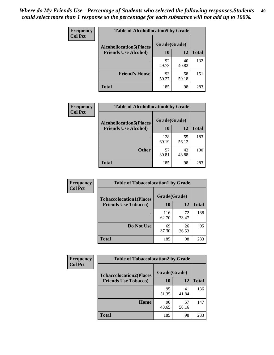| Frequency<br><b>Col Pct</b> | <b>Table of Alcohollocation5 by Grade</b>      |             |             |              |  |
|-----------------------------|------------------------------------------------|-------------|-------------|--------------|--|
|                             | Grade(Grade)<br><b>Alcohollocation5(Places</b> |             |             |              |  |
|                             | <b>Friends Use Alcohol)</b>                    | 10          | 12          | <b>Total</b> |  |
|                             |                                                | 92<br>49.73 | 40<br>40.82 | 132          |  |
|                             | <b>Friend's House</b>                          | 93<br>50.27 | 58<br>59.18 | 151          |  |
|                             | <b>Total</b>                                   | 185         | 98          | 283          |  |

| <b>Frequency</b> | <b>Table of Alcohollocation6 by Grade</b> |              |             |              |
|------------------|-------------------------------------------|--------------|-------------|--------------|
| <b>Col Pct</b>   | <b>Alcohollocation6(Places</b>            | Grade(Grade) |             |              |
|                  | <b>Friends Use Alcohol)</b>               | 10           | 12          | <b>Total</b> |
|                  |                                           | 128<br>69.19 | 55<br>56.12 | 183          |
|                  | <b>Other</b>                              | 57<br>30.81  | 43<br>43.88 | 100          |
|                  | <b>Total</b>                              | 185          | 98          | 283          |

| Frequency      | <b>Table of Tobaccolocation1 by Grade</b> |              |             |              |
|----------------|-------------------------------------------|--------------|-------------|--------------|
| <b>Col Pct</b> | <b>Tobaccolocation1(Places</b>            | Grade(Grade) |             |              |
|                | <b>Friends Use Tobacco)</b>               | 10           | 12          | <b>Total</b> |
|                |                                           | 116<br>62.70 | 72<br>73.47 | 188          |
|                | Do Not Use                                | 69<br>37.30  | 26<br>26.53 | 95           |
|                | <b>Total</b>                              | 185          | 98          | 283          |

| Frequency      | <b>Table of Tobaccolocation2 by Grade</b> |              |             |              |  |  |
|----------------|-------------------------------------------|--------------|-------------|--------------|--|--|
| <b>Col Pct</b> | <b>Tobaccolocation2(Places</b>            | Grade(Grade) |             |              |  |  |
|                | <b>Friends Use Tobacco)</b>               | 10           | <b>12</b>   | <b>Total</b> |  |  |
|                |                                           | 95<br>51.35  | 41<br>41.84 | 136          |  |  |
|                | Home                                      | 90<br>48.65  | 57<br>58.16 | 147          |  |  |
|                | <b>Total</b>                              | 185          | 98          | 283          |  |  |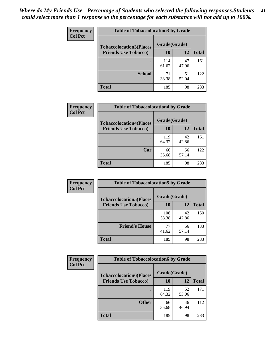| Frequency      | <b>Table of Tobaccolocation 3 by Grade</b> |              |             |              |  |
|----------------|--------------------------------------------|--------------|-------------|--------------|--|
| <b>Col Pct</b> | <b>Tobaccolocation3(Places</b>             | Grade(Grade) |             |              |  |
|                | <b>Friends Use Tobacco)</b>                | 10           | 12          | <b>Total</b> |  |
|                |                                            | 114<br>61.62 | 47<br>47.96 | 161          |  |
|                | <b>School</b>                              | 71<br>38.38  | 51<br>52.04 | 122          |  |
|                | <b>Total</b>                               | 185          | 98          | 283          |  |

| Frequency      | <b>Table of Tobaccolocation4 by Grade</b>                     |                           |             |              |
|----------------|---------------------------------------------------------------|---------------------------|-------------|--------------|
| <b>Col Pct</b> | <b>Tobaccolocation4(Places</b><br><b>Friends Use Tobacco)</b> | Grade(Grade)<br><b>10</b> | 12          | <b>Total</b> |
|                |                                                               | 119<br>64.32              | 42<br>42.86 | 161          |
|                | Car                                                           | 66<br>35.68               | 56<br>57.14 | 122          |
|                | <b>Total</b>                                                  | 185                       | 98          | 283          |

| Frequency      | <b>Table of Tobaccolocation5 by Grade</b> |              |             |              |
|----------------|-------------------------------------------|--------------|-------------|--------------|
| <b>Col Pct</b> | <b>Tobaccolocation5(Places</b>            | Grade(Grade) |             |              |
|                | <b>Friends Use Tobacco)</b>               | 10           | <b>12</b>   | <b>Total</b> |
|                |                                           | 108<br>58.38 | 42<br>42.86 | 150          |
|                | <b>Friend's House</b>                     | 77<br>41.62  | 56<br>57.14 | 133          |
|                | <b>Total</b>                              | 185          | 98          | 283          |

| <b>Frequency</b> | <b>Table of Tobaccolocation6 by Grade</b> |              |             |              |  |  |
|------------------|-------------------------------------------|--------------|-------------|--------------|--|--|
| <b>Col Pct</b>   | <b>Tobaccolocation6(Places</b>            | Grade(Grade) |             |              |  |  |
|                  | <b>Friends Use Tobacco)</b>               | 10           | 12          | <b>Total</b> |  |  |
|                  |                                           | 119<br>64.32 | 52<br>53.06 | 171          |  |  |
|                  | <b>Other</b>                              | 66<br>35.68  | 46<br>46.94 | 112          |  |  |
|                  | <b>Total</b>                              | 185          | 98          | 283          |  |  |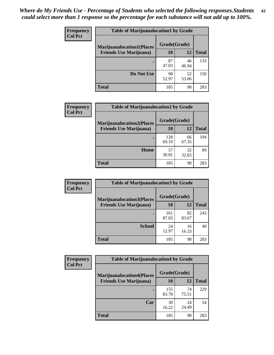| <b>Frequency</b> | <b>Table of Marijuanalocation1 by Grade</b> |              |             |              |
|------------------|---------------------------------------------|--------------|-------------|--------------|
| <b>Col Pct</b>   | <b>Marijuanalocation1(Places</b>            | Grade(Grade) |             |              |
|                  | <b>Friends Use Marijuana</b> )              | <b>10</b>    | 12          | <b>Total</b> |
|                  |                                             | 87<br>47.03  | 46<br>46.94 | 133          |
|                  | Do Not Use                                  | 98<br>52.97  | 52<br>53.06 | 150          |
|                  | <b>Total</b>                                | 185          | 98          | 283          |

| <b>Frequency</b> | <b>Table of Marijuanalocation2 by Grade</b>                        |                    |             |              |
|------------------|--------------------------------------------------------------------|--------------------|-------------|--------------|
| <b>Col Pct</b>   | <b>Marijuanalocation2(Places</b><br><b>Friends Use Marijuana</b> ) | Grade(Grade)<br>10 | 12          | <b>Total</b> |
|                  |                                                                    | 128<br>69.19       | 66<br>67.35 | 194          |
|                  | <b>Home</b>                                                        | 57<br>30.81        | 32<br>32.65 | 89           |
|                  | <b>Total</b>                                                       | 185                | 98          | 283          |

| Frequency<br><b>Col Pct</b> | <b>Table of Marijuanalocation3 by Grade</b> |              |             |              |
|-----------------------------|---------------------------------------------|--------------|-------------|--------------|
|                             | <b>Marijuanalocation3(Places</b>            | Grade(Grade) |             |              |
|                             | <b>Friends Use Marijuana</b> )              | 10           | 12          | <b>Total</b> |
|                             |                                             | 161<br>87.03 | 82<br>83.67 | 243          |
|                             | <b>School</b>                               | 24<br>12.97  | 16<br>16.33 | 40           |
|                             | <b>Total</b>                                | 185          | 98          | 283          |

| <b>Frequency</b> | <b>Table of Marijuanalocation4 by Grade</b> |              |             |              |  |
|------------------|---------------------------------------------|--------------|-------------|--------------|--|
| <b>Col Pct</b>   | <b>Marijuanalocation4(Places</b>            | Grade(Grade) |             |              |  |
|                  | <b>Friends Use Marijuana</b> )              | <b>10</b>    | 12          | <b>Total</b> |  |
|                  |                                             | 155<br>83.78 | 74<br>75.51 | 229          |  |
|                  | Car                                         | 30<br>16.22  | 24<br>24.49 | 54           |  |
|                  | <b>Total</b>                                | 185          | 98          | 283          |  |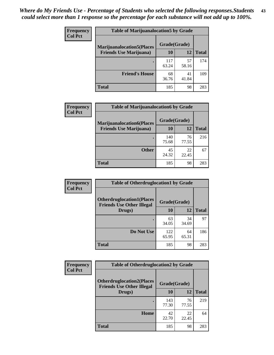| <b>Frequency</b> | <b>Table of Marijuanalocation5 by Grade</b> |              |             |              |
|------------------|---------------------------------------------|--------------|-------------|--------------|
| <b>Col Pct</b>   | <b>Marijuanalocation5</b> (Places           | Grade(Grade) |             |              |
|                  | <b>Friends Use Marijuana</b> )              | 10           | 12          | <b>Total</b> |
|                  |                                             | 117<br>63.24 | 57<br>58.16 | 174          |
|                  | <b>Friend's House</b>                       | 68<br>36.76  | 41<br>41.84 | 109          |
|                  | <b>Total</b>                                | 185          | 98          | 283          |

| <b>Frequency</b> | <b>Table of Marijuanalocation6 by Grade</b>                        |                    |             |              |
|------------------|--------------------------------------------------------------------|--------------------|-------------|--------------|
| <b>Col Pct</b>   | <b>Marijuanalocation6(Places</b><br><b>Friends Use Marijuana</b> ) | Grade(Grade)<br>10 | 12          | <b>Total</b> |
|                  |                                                                    | 140<br>75.68       | 76<br>77.55 | 216          |
|                  | <b>Other</b>                                                       | 45<br>24.32        | 22<br>22.45 | 67           |
|                  | <b>Total</b>                                                       | 185                | 98          | 283          |

| <b>Frequency</b> | <b>Table of Otherdruglocation1 by Grade</b>                          |              |             |              |
|------------------|----------------------------------------------------------------------|--------------|-------------|--------------|
| <b>Col Pct</b>   | <b>Otherdruglocation1(Places</b><br><b>Friends Use Other Illegal</b> | Grade(Grade) |             |              |
|                  | Drugs)                                                               | 10           | 12          | <b>Total</b> |
|                  |                                                                      | 63<br>34.05  | 34<br>34.69 | 97           |
|                  | Do Not Use                                                           | 122<br>65.95 | 64<br>65.31 | 186          |
|                  | <b>Total</b>                                                         | 185          | 98          | 283          |

| <b>Frequency</b> | <b>Table of Otherdruglocation2 by Grade</b>                          |              |             |              |
|------------------|----------------------------------------------------------------------|--------------|-------------|--------------|
| <b>Col Pct</b>   | <b>Otherdruglocation2(Places</b><br><b>Friends Use Other Illegal</b> | Grade(Grade) |             |              |
|                  | Drugs)                                                               | 10           | 12          | <b>Total</b> |
|                  |                                                                      | 143<br>77.30 | 76<br>77.55 | 219          |
|                  | Home                                                                 | 42<br>22.70  | 22<br>22.45 | 64           |
|                  | <b>Total</b>                                                         | 185          | 98          | 283          |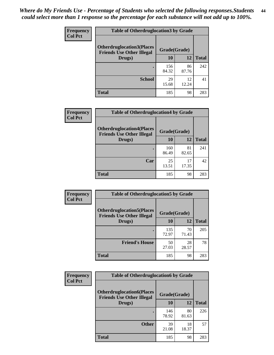| <b>Frequency</b> | <b>Table of Otherdruglocation 3 by Grade</b>                          |              |             |              |
|------------------|-----------------------------------------------------------------------|--------------|-------------|--------------|
| <b>Col Pct</b>   | <b>Otherdruglocation3(Places)</b><br><b>Friends Use Other Illegal</b> | Grade(Grade) |             |              |
|                  | Drugs)                                                                | 10           | 12          | <b>Total</b> |
|                  |                                                                       | 156<br>84.32 | 86<br>87.76 | 242          |
|                  | <b>School</b>                                                         | 29<br>15.68  | 12<br>12.24 | 41           |
|                  | <b>Total</b>                                                          | 185          | 98          | 283          |

| Frequency      | <b>Table of Otherdruglocation4 by Grade</b>                          |              |             |              |
|----------------|----------------------------------------------------------------------|--------------|-------------|--------------|
| <b>Col Pct</b> | <b>Otherdruglocation4(Places</b><br><b>Friends Use Other Illegal</b> | Grade(Grade) |             |              |
|                | Drugs)                                                               | 10           | 12          | <b>Total</b> |
|                |                                                                      | 160<br>86.49 | 81<br>82.65 | 241          |
|                | Car                                                                  | 25<br>13.51  | 17<br>17.35 | 42           |
|                | <b>Total</b>                                                         | 185          | 98          | 283          |

| <b>Frequency</b><br><b>Col Pct</b> | <b>Table of Otherdruglocation5 by Grade</b>                          |              |             |              |
|------------------------------------|----------------------------------------------------------------------|--------------|-------------|--------------|
|                                    | <b>Otherdruglocation5(Places</b><br><b>Friends Use Other Illegal</b> | Grade(Grade) |             |              |
|                                    | Drugs)                                                               | <b>10</b>    | 12          | <b>Total</b> |
|                                    |                                                                      | 135<br>72.97 | 70<br>71.43 | 205          |
|                                    | <b>Friend's House</b>                                                | 50<br>27.03  | 28<br>28.57 | 78           |
|                                    | <b>Total</b>                                                         | 185          | 98          | 283          |

| <b>Frequency</b> | <b>Table of Otherdruglocation6 by Grade</b>                          |              |             |              |
|------------------|----------------------------------------------------------------------|--------------|-------------|--------------|
| <b>Col Pct</b>   | <b>Otherdruglocation6(Places</b><br><b>Friends Use Other Illegal</b> | Grade(Grade) |             |              |
|                  | Drugs)                                                               | 10           | 12          | <b>Total</b> |
|                  |                                                                      | 146<br>78.92 | 80<br>81.63 | 226          |
|                  | <b>Other</b>                                                         | 39<br>21.08  | 18<br>18.37 | 57           |
|                  | <b>Total</b>                                                         | 185          | 98          | 283          |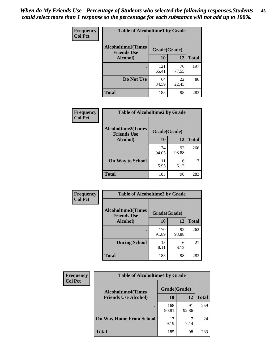| Frequency      | <b>Table of Alcoholtime1 by Grade</b>           |              |             |              |
|----------------|-------------------------------------------------|--------------|-------------|--------------|
| <b>Col Pct</b> | <b>Alcoholtime1(Times</b><br><b>Friends Use</b> | Grade(Grade) |             |              |
|                | Alcohol)                                        | 10           | 12          | <b>Total</b> |
|                |                                                 | 121<br>65.41 | 76<br>77.55 | 197          |
|                | Do Not Use                                      | 64<br>34.59  | 22<br>22.45 | 86           |
|                | <b>Total</b>                                    | 185          | 98          | 283          |

| Frequency      | <b>Table of Alcoholtime2 by Grade</b>           |              |             |              |
|----------------|-------------------------------------------------|--------------|-------------|--------------|
| <b>Col Pct</b> | <b>Alcoholtime2(Times</b><br><b>Friends Use</b> | Grade(Grade) |             |              |
|                | <b>Alcohol</b> )                                | 10           | 12          | <b>Total</b> |
|                |                                                 | 174<br>94.05 | 92<br>93.88 | 266          |
|                | <b>On Way to School</b>                         | 11<br>5.95   | 6<br>6.12   | 17           |
|                | <b>Total</b>                                    | 185          | 98          | 283          |

| Frequency      | <b>Table of Alcoholtime3 by Grade</b>           |              |             |              |
|----------------|-------------------------------------------------|--------------|-------------|--------------|
| <b>Col Pct</b> | <b>Alcoholtime3(Times</b><br><b>Friends Use</b> | Grade(Grade) |             |              |
|                | Alcohol)                                        | 10           | 12          | <b>Total</b> |
|                |                                                 | 170<br>91.89 | 92<br>93.88 | 262          |
|                | <b>During School</b>                            | 15<br>8.11   | 6<br>6.12   | 21           |
|                | <b>Total</b>                                    | 185          | 98          | 283          |

| <b>Frequency</b> | <b>Table of Alcoholtime4 by Grade</b> |              |             |              |
|------------------|---------------------------------------|--------------|-------------|--------------|
| <b>Col Pct</b>   | <b>Alcoholtime4(Times</b>             | Grade(Grade) |             |              |
|                  | <b>Friends Use Alcohol)</b>           | 10           | 12          | <b>Total</b> |
|                  |                                       | 168<br>90.81 | 91<br>92.86 | 259          |
|                  | <b>On Way Home From School</b>        | 17<br>9.19   | 7.14        | 24           |
|                  | <b>Total</b>                          | 185          | 98          | 283          |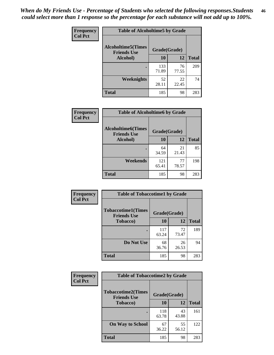*When do My Friends Use - Percentage of Students who selected the following responses.Students could select more than 1 response so the percentage for each substance will not add up to 100%.* **46**

| Frequency      | <b>Table of Alcoholtime5 by Grade</b>           |              |             |              |
|----------------|-------------------------------------------------|--------------|-------------|--------------|
| <b>Col Pct</b> | <b>Alcoholtime5(Times</b><br><b>Friends Use</b> | Grade(Grade) |             |              |
|                | Alcohol)                                        | 10           | 12          | <b>Total</b> |
|                |                                                 | 133<br>71.89 | 76<br>77.55 | 209          |
|                | <b>Weeknights</b>                               | 52<br>28.11  | 22<br>22.45 | 74           |
|                | <b>Total</b>                                    | 185          | 98          | 283          |

| <b>Frequency</b> | <b>Table of Alcoholtime6 by Grade</b>           |              |             |              |
|------------------|-------------------------------------------------|--------------|-------------|--------------|
| <b>Col Pct</b>   | <b>Alcoholtime6(Times</b><br><b>Friends Use</b> | Grade(Grade) |             |              |
|                  | Alcohol)                                        | 10           | 12          | <b>Total</b> |
|                  |                                                 | 64<br>34.59  | 21<br>21.43 | 85           |
|                  | Weekends                                        | 121<br>65.41 | 77<br>78.57 | 198          |
|                  | <b>Total</b>                                    | 185          | 98          | 283          |

| Frequency      | <b>Table of Tobaccotime1 by Grade</b>           |              |             |              |
|----------------|-------------------------------------------------|--------------|-------------|--------------|
| <b>Col Pct</b> | <b>Tobaccotime1(Times</b><br><b>Friends Use</b> | Grade(Grade) |             |              |
|                | <b>Tobacco</b> )                                | 10           | 12          | <b>Total</b> |
|                | $\bullet$                                       | 117<br>63.24 | 72<br>73.47 | 189          |
|                | Do Not Use                                      | 68<br>36.76  | 26<br>26.53 | 94           |
|                | <b>Total</b>                                    | 185          | 98          | 283          |

| <b>Frequency</b> | <b>Table of Tobaccotime2 by Grade</b>           |              |             |              |
|------------------|-------------------------------------------------|--------------|-------------|--------------|
| <b>Col Pct</b>   | <b>Tobaccotime2(Times</b><br><b>Friends Use</b> | Grade(Grade) |             |              |
|                  | <b>Tobacco</b> )                                | 10           | 12          | <b>Total</b> |
|                  |                                                 | 118<br>63.78 | 43<br>43.88 | 161          |
|                  | <b>On Way to School</b>                         | 67<br>36.22  | 55<br>56.12 | 122          |
|                  | <b>Total</b>                                    | 185          | 98          | 283          |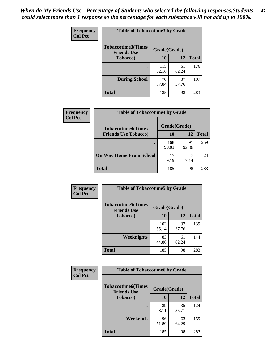*When do My Friends Use - Percentage of Students who selected the following responses.Students could select more than 1 response so the percentage for each substance will not add up to 100%.* **47**

| <b>Frequency</b> | <b>Table of Tobaccotime3 by Grade</b>           |              |             |              |  |
|------------------|-------------------------------------------------|--------------|-------------|--------------|--|
| <b>Col Pct</b>   | <b>Tobaccotime3(Times</b><br><b>Friends Use</b> | Grade(Grade) |             |              |  |
|                  | <b>Tobacco</b> )                                | 10           | 12          | <b>Total</b> |  |
|                  |                                                 | 115<br>62.16 | 61<br>62.24 | 176          |  |
|                  | <b>During School</b>                            | 70<br>37.84  | 37<br>37.76 | 107          |  |
|                  | <b>Total</b>                                    | 185          | 98          | 283          |  |

| <b>Frequency</b> | <b>Table of Tobaccotime4 by Grade</b> |              |             |              |
|------------------|---------------------------------------|--------------|-------------|--------------|
| <b>Col Pct</b>   | <b>Tobaccotime4(Times</b>             | Grade(Grade) |             |              |
|                  | <b>Friends Use Tobacco)</b>           | 10           | 12          | <b>Total</b> |
|                  |                                       | 168<br>90.81 | 91<br>92.86 | 259          |
|                  | <b>On Way Home From School</b>        | 17<br>9.19   | 7.14        | 24           |
|                  | <b>Total</b>                          | 185          | 98          | 283          |

| <b>Frequency</b> | <b>Table of Tobaccotime5 by Grade</b>           |              |             |              |
|------------------|-------------------------------------------------|--------------|-------------|--------------|
| <b>Col Pct</b>   | <b>Tobaccotime5(Times</b><br><b>Friends Use</b> | Grade(Grade) |             |              |
|                  | <b>Tobacco</b> )                                | 10           | 12          | <b>Total</b> |
|                  |                                                 | 102<br>55.14 | 37<br>37.76 | 139          |
|                  | Weeknights                                      | 83<br>44.86  | 61<br>62.24 | 144          |
|                  | <b>Total</b>                                    | 185          | 98          | 283          |

| <b>Frequency</b> | <b>Table of Tobaccotime6 by Grade</b>           |              |             |              |  |
|------------------|-------------------------------------------------|--------------|-------------|--------------|--|
| <b>Col Pct</b>   | <b>Tobaccotime6(Times</b><br><b>Friends Use</b> | Grade(Grade) |             |              |  |
|                  | <b>Tobacco</b> )                                | 10           | 12          | <b>Total</b> |  |
|                  | ٠                                               | 89<br>48.11  | 35<br>35.71 | 124          |  |
|                  | Weekends                                        | 96<br>51.89  | 63<br>64.29 | 159          |  |
|                  | <b>Total</b>                                    | 185          | 98          | 283          |  |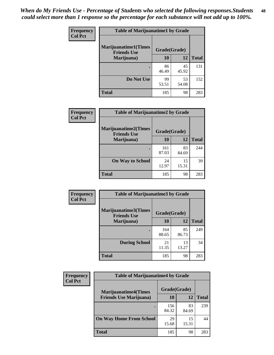| Frequency      | <b>Table of Marijuanatime1 by Grade</b>           |              |             |              |
|----------------|---------------------------------------------------|--------------|-------------|--------------|
| <b>Col Pct</b> | <b>Marijuanatime1(Times</b><br><b>Friends Use</b> | Grade(Grade) |             |              |
|                | Marijuana)                                        | 10           | 12          | <b>Total</b> |
|                |                                                   | 86<br>46.49  | 45<br>45.92 | 131          |
|                | Do Not Use                                        | 99<br>53.51  | 53<br>54.08 | 152          |
|                | <b>Total</b>                                      | 185          | 98          | 283          |

| Frequency      | <b>Table of Marijuanatime2 by Grade</b>           |              |             |              |
|----------------|---------------------------------------------------|--------------|-------------|--------------|
| <b>Col Pct</b> | <b>Marijuanatime2(Times</b><br><b>Friends Use</b> | Grade(Grade) |             |              |
|                | Marijuana)                                        | 10           | 12          | <b>Total</b> |
|                |                                                   | 161<br>87.03 | 83<br>84.69 | 244          |
|                | <b>On Way to School</b>                           | 24<br>12.97  | 15<br>15.31 | 39           |
|                | <b>Total</b>                                      | 185          | 98          | 283          |

| <b>Frequency</b> | <b>Table of Marijuanatime3 by Grade</b>    |              |             |              |  |
|------------------|--------------------------------------------|--------------|-------------|--------------|--|
| <b>Col Pct</b>   | Marijuanatime3(Times<br><b>Friends Use</b> | Grade(Grade) |             |              |  |
|                  | Marijuana)                                 | 10           | 12          | <b>Total</b> |  |
|                  |                                            | 164<br>88.65 | 85<br>86.73 | 249          |  |
|                  | <b>During School</b>                       | 21<br>11.35  | 13<br>13.27 | 34           |  |
|                  | <b>Total</b>                               | 185          | 98          | 283          |  |

| <b>Frequency</b> | <b>Table of Marijuanatime4 by Grade</b> |              |             |              |
|------------------|-----------------------------------------|--------------|-------------|--------------|
| <b>Col Pct</b>   | <b>Marijuanatime4</b> (Times            | Grade(Grade) |             |              |
|                  | <b>Friends Use Marijuana</b> )          | 10           | 12          | <b>Total</b> |
|                  |                                         | 156<br>84.32 | 83<br>84.69 | 239          |
|                  | <b>On Way Home From School</b>          | 29<br>15.68  | 15<br>15.31 | 44           |
|                  | <b>Total</b>                            | 185          | 98          | 283          |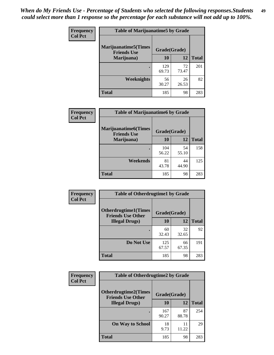| Frequency      | <b>Table of Marijuanatime5 by Grade</b>            |              |             |              |
|----------------|----------------------------------------------------|--------------|-------------|--------------|
| <b>Col Pct</b> | <b>Marijuanatime5</b> (Times<br><b>Friends Use</b> | Grade(Grade) |             |              |
|                | Marijuana)                                         | 10           | 12          | <b>Total</b> |
|                |                                                    | 129<br>69.73 | 72<br>73.47 | 201          |
|                | Weeknights                                         | 56<br>30.27  | 26<br>26.53 | 82           |
|                | <b>Total</b>                                       | 185          | 98          | 283          |

| Frequency      | <b>Table of Marijuanatime6 by Grade</b>            |              |             |              |
|----------------|----------------------------------------------------|--------------|-------------|--------------|
| <b>Col Pct</b> | <b>Marijuanatime6</b> (Times<br><b>Friends Use</b> | Grade(Grade) |             |              |
|                | Marijuana)                                         | 10           | 12          | <b>Total</b> |
|                | ٠                                                  | 104<br>56.22 | 54<br>55.10 | 158          |
|                | <b>Weekends</b>                                    | 81<br>43.78  | 44<br>44.90 | 125          |
|                | <b>Total</b>                                       | 185          | 98          | 283          |

| Frequency      | <b>Table of Otherdrugtime1 by Grade</b>                 |              |             |              |
|----------------|---------------------------------------------------------|--------------|-------------|--------------|
| <b>Col Pct</b> | <b>Otherdrugtime1(Times</b><br><b>Friends Use Other</b> | Grade(Grade) |             |              |
|                | <b>Illegal Drugs</b> )                                  | 10           | 12          | <b>Total</b> |
|                |                                                         | 60<br>32.43  | 32<br>32.65 | 92           |
|                | Do Not Use                                              | 125<br>67.57 | 66<br>67.35 | 191          |
|                | <b>Total</b>                                            | 185          | 98          | 283          |

| Frequency      | <b>Table of Otherdrugtime2 by Grade</b>                 |              |             |              |  |  |  |
|----------------|---------------------------------------------------------|--------------|-------------|--------------|--|--|--|
| <b>Col Pct</b> | <b>Otherdrugtime2(Times</b><br><b>Friends Use Other</b> | Grade(Grade) |             |              |  |  |  |
|                | <b>Illegal Drugs</b> )                                  | 10           | 12          | <b>Total</b> |  |  |  |
|                |                                                         | 167<br>90.27 | 87<br>88.78 | 254          |  |  |  |
|                | <b>On Way to School</b>                                 | 18<br>9.73   | 11<br>11.22 | 29           |  |  |  |
|                | Total                                                   | 185          | 98          | 283          |  |  |  |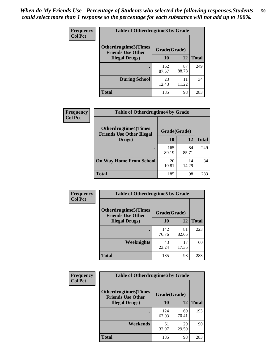| <b>Frequency</b> | <b>Table of Otherdrugtime3 by Grade</b>          |              |             |              |  |  |
|------------------|--------------------------------------------------|--------------|-------------|--------------|--|--|
| <b>Col Pct</b>   | Otherdrugtime3(Times<br><b>Friends Use Other</b> | Grade(Grade) |             |              |  |  |
|                  | <b>Illegal Drugs</b> )                           | 10           | 12          | <b>Total</b> |  |  |
|                  |                                                  | 162<br>87.57 | 87<br>88.78 | 249          |  |  |
|                  | <b>During School</b>                             | 23<br>12.43  | 11<br>11.22 | 34           |  |  |
|                  | Total                                            | 185          | 98          | 283          |  |  |

| Frequency      | <b>Table of Otherdrugtime4 by Grade</b>                         |              |             |              |  |  |  |
|----------------|-----------------------------------------------------------------|--------------|-------------|--------------|--|--|--|
| <b>Col Pct</b> | <b>Otherdrugtime4(Times</b><br><b>Friends Use Other Illegal</b> | Grade(Grade) |             |              |  |  |  |
|                | Drugs)                                                          | 10           | 12          | <b>Total</b> |  |  |  |
|                | $\bullet$                                                       | 165<br>89.19 | 84<br>85.71 | 249          |  |  |  |
|                | <b>On Way Home From School</b>                                  | 20<br>10.81  | 14<br>14.29 | 34           |  |  |  |
|                | Total                                                           | 185          | 98          | 283          |  |  |  |

| <b>Frequency</b> | <b>Table of Otherdrugtime5 by Grade</b>                  |              |             |              |  |  |  |
|------------------|----------------------------------------------------------|--------------|-------------|--------------|--|--|--|
| <b>Col Pct</b>   | <b>Otherdrugtime5</b> (Times<br><b>Friends Use Other</b> | Grade(Grade) |             |              |  |  |  |
|                  | <b>Illegal Drugs)</b>                                    | 10           | 12          | <b>Total</b> |  |  |  |
|                  |                                                          | 142<br>76.76 | 81<br>82.65 | 223          |  |  |  |
|                  | Weeknights                                               | 43<br>23.24  | 17<br>17.35 | 60           |  |  |  |
|                  | <b>Total</b>                                             | 185          | 98          | 283          |  |  |  |

| <b>Frequency</b> | <b>Table of Otherdrugtime6 by Grade</b>                 |              |             |              |  |  |  |
|------------------|---------------------------------------------------------|--------------|-------------|--------------|--|--|--|
| <b>Col Pct</b>   | <b>Otherdrugtime6(Times</b><br><b>Friends Use Other</b> | Grade(Grade) |             |              |  |  |  |
|                  | <b>Illegal Drugs</b> )                                  | 10           | 12          | <b>Total</b> |  |  |  |
|                  |                                                         | 124<br>67.03 | 69<br>70.41 | 193          |  |  |  |
|                  | Weekends                                                | 61<br>32.97  | 29<br>29.59 | 90           |  |  |  |
|                  | <b>Total</b>                                            | 185          | 98          | 283          |  |  |  |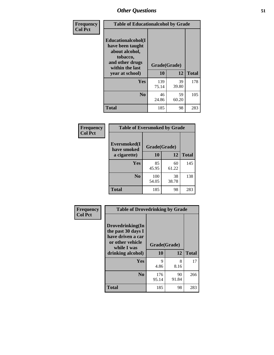| Frequency      | <b>Table of Educationalcohol by Grade</b>                                                                  |              |             |              |  |  |
|----------------|------------------------------------------------------------------------------------------------------------|--------------|-------------|--------------|--|--|
| <b>Col Pct</b> | Educationalcohol(I<br>have been taught<br>about alcohol,<br>tobacco,<br>and other drugs<br>within the last | Grade(Grade) |             |              |  |  |
|                | year at school)                                                                                            | 10           | 12          | <b>Total</b> |  |  |
|                | <b>Yes</b>                                                                                                 | 139<br>75.14 | 39<br>39.80 | 178          |  |  |
|                | N <sub>0</sub>                                                                                             | 46<br>24.86  | 59<br>60.20 | 105          |  |  |
|                | <b>Total</b>                                                                                               | 185          | 98          | 283          |  |  |

| Frequency      | <b>Table of Eversmoked by Grade</b> |              |             |              |  |  |  |
|----------------|-------------------------------------|--------------|-------------|--------------|--|--|--|
| <b>Col Pct</b> | Eversmoked(I<br>have smoked         | Grade(Grade) |             |              |  |  |  |
|                | a cigarette)                        | 10           | 12          | <b>Total</b> |  |  |  |
|                | Yes                                 | 85<br>45.95  | 60<br>61.22 | 145          |  |  |  |
|                | N <sub>0</sub>                      | 100<br>54.05 | 38<br>38.78 | 138          |  |  |  |
|                | <b>Total</b>                        | 185          | 98          | 283          |  |  |  |

| Frequency      | <b>Table of Drovedrinking by Grade</b>                                                                              |                    |             |              |  |  |
|----------------|---------------------------------------------------------------------------------------------------------------------|--------------------|-------------|--------------|--|--|
| <b>Col Pct</b> | Drovedrinking(In<br>the past 30 days I<br>have driven a car<br>or other vehicle<br>while I was<br>drinking alcohol) | Grade(Grade)<br>10 | 12          | <b>Total</b> |  |  |
|                | <b>Yes</b>                                                                                                          | 9<br>4.86          | 8<br>8.16   | 17           |  |  |
|                | N <sub>0</sub>                                                                                                      | 176<br>95.14       | 90<br>91.84 | 266          |  |  |
|                | <b>Total</b>                                                                                                        | 185                | 98          | 283          |  |  |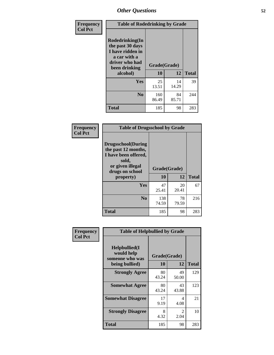| Frequency<br><b>Col Pct</b> | <b>Table of Rodedrinking by Grade</b>                                                                                  |                    |              |     |  |  |  |
|-----------------------------|------------------------------------------------------------------------------------------------------------------------|--------------------|--------------|-----|--|--|--|
|                             | Rodedrinking(In<br>the past 30 days<br>I have ridden in<br>a car with a<br>driver who had<br>been drinking<br>alcohol) | Grade(Grade)<br>10 | <b>Total</b> |     |  |  |  |
|                             | <b>Yes</b>                                                                                                             | 25<br>13.51        | 14<br>14.29  | 39  |  |  |  |
|                             | N <sub>0</sub>                                                                                                         | 160<br>86.49       | 84<br>85.71  | 244 |  |  |  |
|                             | <b>Total</b>                                                                                                           | 185                | 98           | 283 |  |  |  |

#### **Frequency Col Pct**

| <b>Table of Drugsschool by Grade</b>                                                                                      |              |             |              |  |  |  |
|---------------------------------------------------------------------------------------------------------------------------|--------------|-------------|--------------|--|--|--|
| <b>Drugsschool</b> (During<br>the past 12 months,<br>I have been offered,<br>sold,<br>or given illegal<br>drugs on school | Grade(Grade) |             |              |  |  |  |
| property)                                                                                                                 | 10           | 12          | <b>Total</b> |  |  |  |
| Yes                                                                                                                       | 47<br>25.41  | 20<br>20.41 | 67           |  |  |  |
| N <sub>0</sub>                                                                                                            | 138<br>74.59 | 78<br>79.59 | 216          |  |  |  |
| <b>Total</b>                                                                                                              | 185          | 98          | 283          |  |  |  |

| Frequency      | <b>Table of Helpbullied by Grade</b>                                         |             |                    |              |  |  |  |
|----------------|------------------------------------------------------------------------------|-------------|--------------------|--------------|--|--|--|
| <b>Col Pct</b> | $Helpb$ ullied $(I$<br>would help<br>someone who was<br>10<br>being bullied) |             | Grade(Grade)<br>12 |              |  |  |  |
|                |                                                                              |             |                    | <b>Total</b> |  |  |  |
|                | <b>Strongly Agree</b>                                                        | 80<br>43.24 | 49<br>50.00        | 129          |  |  |  |
|                | <b>Somewhat Agree</b>                                                        | 80<br>43.24 | 43<br>43.88        | 123          |  |  |  |
|                | <b>Somewhat Disagree</b>                                                     | 17<br>9.19  | 4<br>4.08          | 21           |  |  |  |
|                | <b>Strongly Disagree</b>                                                     | 8<br>4.32   | 2<br>2.04          | 10           |  |  |  |
|                | <b>Total</b>                                                                 | 185         | 98                 | 283          |  |  |  |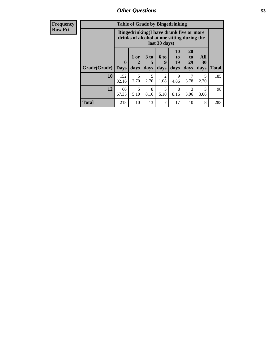| <b>Frequency</b> |              |                                                                                                         | <b>Table of Grade by Bingedrinking</b> |                              |                          |                               |                               |                   |              |
|------------------|--------------|---------------------------------------------------------------------------------------------------------|----------------------------------------|------------------------------|--------------------------|-------------------------------|-------------------------------|-------------------|--------------|
| <b>Row Pct</b>   |              | Bingedrinking(I have drunk five or more<br>drinks of alcohol at one sitting during the<br>last 30 days) |                                        |                              |                          |                               |                               |                   |              |
|                  | Grade(Grade) | $\mathbf{0}$<br><b>Days</b>                                                                             | 1 or<br>$\mathbf 2$<br>days            | 3 <sub>to</sub><br>5<br>days | <b>6 to</b><br>9<br>days | <b>10</b><br>to<br>19<br>days | <b>20</b><br>to<br>29<br>days | All<br>30<br>days | <b>Total</b> |
|                  | 10           | 152<br>82.16                                                                                            | 5<br>2.70                              | 5<br>2.70                    | $\overline{2}$<br>1.08   | 9<br>4.86                     | 7<br>3.78                     | 5<br>2.70         | 185          |
|                  | 12           | 66<br>67.35                                                                                             | 5<br>5.10                              | 8<br>8.16                    | 5<br>5.10                | 8<br>8.16                     | 3<br>3.06                     | 3<br>3.06         | 98           |
|                  | <b>Total</b> | 218                                                                                                     | 10                                     | 13                           | 7                        | 17                            | 10                            | 8                 | 283          |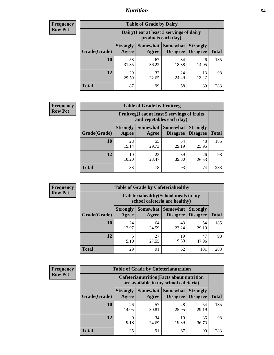#### *Nutrition* **54**

| <b>Frequency</b> |
|------------------|
| <b>Row Pct</b>   |

| <b>Table of Grade by Dairy</b> |                          |                                                                 |                                    |                                    |              |  |
|--------------------------------|--------------------------|-----------------------------------------------------------------|------------------------------------|------------------------------------|--------------|--|
|                                |                          | Dairy (I eat at least 3 servings of dairy<br>products each day) |                                    |                                    |              |  |
| Grade(Grade)                   | <b>Strongly</b><br>Agree | <b>Somewhat</b><br>Agree                                        | <b>Somewhat</b><br><b>Disagree</b> | <b>Strongly</b><br><b>Disagree</b> | <b>Total</b> |  |
| 10                             | 58<br>31.35              | 67<br>36.22                                                     | 34<br>18.38                        | 26<br>14.05                        | 185          |  |
| 12                             | 29<br>29.59              | 32<br>32.65                                                     | 24<br>24.49                        | 13<br>13.27                        | 98           |  |
| <b>Total</b>                   | 87                       | 99                                                              | 58                                 | 39                                 | 283          |  |

| <b>Frequency</b> |  |
|------------------|--|
| <b>Row Pct</b>   |  |

| <b>Table of Grade by Fruitveg</b>                                        |                          |             |                                        |                                    |              |
|--------------------------------------------------------------------------|--------------------------|-------------|----------------------------------------|------------------------------------|--------------|
| Fruitveg(I eat at least 5 servings of fruits<br>and vegetables each day) |                          |             |                                        |                                    |              |
| Grade(Grade)                                                             | <b>Strongly</b><br>Agree | Agree       | <b>Somewhat   Somewhat</b><br>Disagree | <b>Strongly</b><br><b>Disagree</b> | <b>Total</b> |
| 10                                                                       | 28<br>15.14              | 55<br>29.73 | 54<br>29.19                            | 48<br>25.95                        | 185          |
| 12                                                                       | 10<br>10.20              | 23<br>23.47 | 39<br>39.80                            | 26<br>26.53                        | 98           |
| <b>Total</b>                                                             | 38                       | 78          | 93                                     | 74                                 | 283          |

| <b>Frequency</b> |              |                          |                     | <b>Table of Grade by Cafeteriahealthy</b>                             |                                    |              |
|------------------|--------------|--------------------------|---------------------|-----------------------------------------------------------------------|------------------------------------|--------------|
| <b>Row Pct</b>   |              |                          |                     | Cafeteriahealthy (School meals in my<br>school cafeteria are healthy) |                                    |              |
|                  | Grade(Grade) | <b>Strongly</b><br>Agree | Somewhat  <br>Agree | <b>Somewhat</b><br><b>Disagree</b>                                    | <b>Strongly</b><br><b>Disagree</b> | <b>Total</b> |
|                  | 10           | 24<br>12.97              | 64<br>34.59         | 43<br>23.24                                                           | 54<br>29.19                        | 185          |
|                  | 12           | 5.10                     | 27<br>27.55         | 19<br>19.39                                                           | 47<br>47.96                        | 98           |
|                  | <b>Total</b> | 29                       | 91                  | 62                                                                    | 101                                | 283          |

| <b>Frequency</b> |
|------------------|
| <b>Row Pct</b>   |

| <b>Table of Grade by Cafeterianutrition</b>                                               |                          |             |                                        |                                    |              |
|-------------------------------------------------------------------------------------------|--------------------------|-------------|----------------------------------------|------------------------------------|--------------|
| <b>Cafeterianutrition</b> (Facts about nutrition<br>are available in my school cafeteria) |                          |             |                                        |                                    |              |
| Grade(Grade)                                                                              | <b>Strongly</b><br>Agree | Agree       | Somewhat   Somewhat<br><b>Disagree</b> | <b>Strongly</b><br><b>Disagree</b> | <b>Total</b> |
| 10                                                                                        | 26<br>14.05              | 57<br>30.81 | 48<br>25.95                            | 54<br>29.19                        | 185          |
| 12                                                                                        | 9<br>9.18                | 34<br>34.69 | 19<br>19.39                            | 36<br>36.73                        | 98           |
| <b>Total</b>                                                                              | 35                       | 91          | 67                                     | 90                                 | 283          |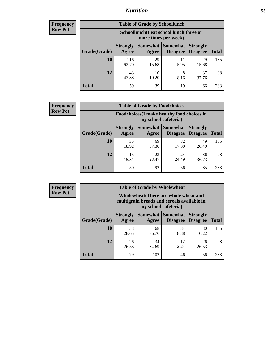# *Nutrition* **55**

| Frequency |
|-----------|
| Row Pct   |

| <b>Table of Grade by Schoollunch</b> |                                                                 |             |                               |                                    |              |  |
|--------------------------------------|-----------------------------------------------------------------|-------------|-------------------------------|------------------------------------|--------------|--|
|                                      | Schoollunch(I eat school lunch three or<br>more times per week) |             |                               |                                    |              |  |
| Grade(Grade)                         | <b>Strongly</b><br>Agree                                        | Agree       | Somewhat Somewhat<br>Disagree | <b>Strongly</b><br><b>Disagree</b> | <b>Total</b> |  |
| 10                                   | 116<br>62.70                                                    | 29<br>15.68 | 11<br>5.95                    | 29<br>15.68                        | 185          |  |
| 12                                   | 43<br>43.88                                                     | 10<br>10.20 | 8<br>8.16                     | 37<br>37.76                        | 98           |  |
| <b>Total</b>                         | 159                                                             | 39          | 19                            | 66                                 | 283          |  |

| <b>Frequency</b> |  |
|------------------|--|
| <b>Row Pct</b>   |  |

| <b>Table of Grade by Foodchoices</b>                                |                          |             |                               |                                    |              |
|---------------------------------------------------------------------|--------------------------|-------------|-------------------------------|------------------------------------|--------------|
| Foodchoices (I make healthy food choices in<br>my school cafeteria) |                          |             |                               |                                    |              |
| Grade(Grade)                                                        | <b>Strongly</b><br>Agree | Agree       | Somewhat Somewhat<br>Disagree | <b>Strongly</b><br><b>Disagree</b> | <b>Total</b> |
| 10                                                                  | 35<br>18.92              | 69<br>37.30 | 32<br>17.30                   | 49<br>26.49                        | 185          |
| 12                                                                  | 15<br>15.31              | 23<br>23.47 | 24<br>24.49                   | 36<br>36.73                        | 98           |
| <b>Total</b>                                                        | 50                       | 92          | 56                            | 85                                 | 283          |

| <b>Frequency</b> | <b>Table of Grade by Wholewheat</b> |                          |                      |                                                                                     |                                    |              |  |  |  |
|------------------|-------------------------------------|--------------------------|----------------------|-------------------------------------------------------------------------------------|------------------------------------|--------------|--|--|--|
| <b>Row Pct</b>   |                                     |                          | my school cafeteria) | Wholewheat (There are whole wheat and<br>multigrain breads and cereals available in |                                    |              |  |  |  |
|                  | Grade(Grade)                        | <b>Strongly</b><br>Agree | Agree                | <b>Somewhat   Somewhat</b><br><b>Disagree</b>                                       | <b>Strongly</b><br><b>Disagree</b> | <b>Total</b> |  |  |  |
|                  | 10                                  | 53<br>28.65              | 68<br>36.76          | 34<br>18.38                                                                         | 30<br>16.22                        | 185          |  |  |  |
|                  | 12                                  | 26<br>26.53              | 34<br>34.69          | 12<br>12.24                                                                         | 26<br>26.53                        | 98           |  |  |  |
|                  | <b>Total</b>                        | 79                       | 102                  | 46                                                                                  | 56                                 | 283          |  |  |  |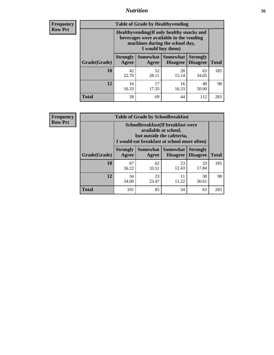#### *Nutrition* **56**

**Frequency Row Pct**

| <b>Table of Grade by Healthyvending</b> |                                                                                                                                               |                          |                                    |                                    |              |  |
|-----------------------------------------|-----------------------------------------------------------------------------------------------------------------------------------------------|--------------------------|------------------------------------|------------------------------------|--------------|--|
|                                         | Healthyvending (If only healthy snacks and<br>beverages were available in the vending<br>machines during the school day,<br>I would buy them) |                          |                                    |                                    |              |  |
| Grade(Grade)                            | <b>Strongly</b><br>Agree                                                                                                                      | <b>Somewhat</b><br>Agree | <b>Somewhat</b><br><b>Disagree</b> | <b>Strongly</b><br><b>Disagree</b> | <b>Total</b> |  |
| 10                                      | 42<br>22.70                                                                                                                                   | 52<br>28.11              | 28<br>15.14                        | 63<br>34.05                        | 185          |  |
| 12                                      | 16<br>16.33                                                                                                                                   | 17<br>17.35              | 16<br>16.33                        | 49<br>50.00                        | 98           |  |
| <b>Total</b>                            | 58                                                                                                                                            | 69                       | 44                                 | 112                                | 283          |  |

**Frequency Row Pct**

| <b>Table of Grade by Schoolbreakfast</b> |                                                                                                                                        |             |             |             |     |  |
|------------------------------------------|----------------------------------------------------------------------------------------------------------------------------------------|-------------|-------------|-------------|-----|--|
|                                          | Schoolbreakfast(If breakfast were<br>available at school,<br>but outside the cafeteria,<br>I would eat breakfast at school more often) |             |             |             |     |  |
| Grade(Grade)                             | Somewhat   Somewhat<br><b>Strongly</b><br><b>Strongly</b><br><b>Disagree</b><br><b>Total</b><br>Agree<br>Disagree<br>Agree             |             |             |             |     |  |
| <b>10</b>                                | 67<br>36.22                                                                                                                            | 62<br>33.51 | 23<br>12.43 | 33<br>17.84 | 185 |  |
| 12                                       | 23<br>11<br>30<br>34<br>11.22<br>23.47<br>34.69<br>30.61                                                                               |             |             |             |     |  |
| <b>Total</b>                             | 101                                                                                                                                    | 85          | 34          | 63          | 283 |  |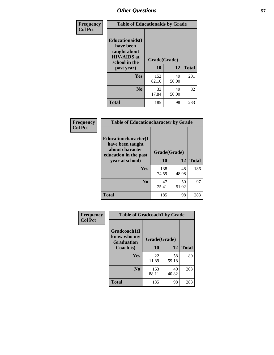| Frequency<br><b>Col Pct</b> | <b>Table of Educationaids by Grade</b>                                                                    |                    |             |              |
|-----------------------------|-----------------------------------------------------------------------------------------------------------|--------------------|-------------|--------------|
|                             | <b>Educationaids</b> (I<br>have been<br>taught about<br><b>HIV/AIDS</b> at<br>school in the<br>past year) | Grade(Grade)<br>10 | 12          | <b>Total</b> |
|                             | Yes                                                                                                       | 152<br>82.16       | 49<br>50.00 | 201          |
|                             | N <sub>0</sub>                                                                                            | 33<br>17.84        | 49<br>50.00 | 82           |
|                             | <b>Total</b>                                                                                              | 185                | 98          | 283          |

| <b>Frequency</b> | <b>Table of Educationcharacter by Grade</b>                                                 |              |             |              |
|------------------|---------------------------------------------------------------------------------------------|--------------|-------------|--------------|
| <b>Col Pct</b>   | <b>Educationcharacter(I</b><br>have been taught<br>about character<br>education in the past | Grade(Grade) |             |              |
|                  | year at school)                                                                             | 10           | 12          | <b>Total</b> |
|                  | <b>Yes</b>                                                                                  | 138<br>74.59 | 48<br>48.98 | 186          |
|                  | N <sub>0</sub>                                                                              | 47<br>25.41  | 50<br>51.02 | 97           |
|                  | <b>Total</b>                                                                                | 185          | 98          | 283          |

| Frequency      | <b>Table of Gradcoach1 by Grade</b>              |              |             |              |  |
|----------------|--------------------------------------------------|--------------|-------------|--------------|--|
| <b>Col Pct</b> | Gradcoach1(I<br>know who my<br><b>Graduation</b> | Grade(Grade) |             |              |  |
|                | Coach is)                                        | 10           | 12          | <b>Total</b> |  |
|                | Yes                                              | 22<br>11.89  | 58<br>59.18 | 80           |  |
|                | N <sub>0</sub>                                   | 163<br>88.11 | 40<br>40.82 | 203          |  |
|                | <b>Total</b>                                     | 185          | 98          | 283          |  |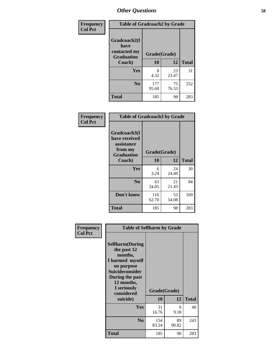| Frequency      | <b>Table of Gradcoach2 by Grade</b> |              |             |              |
|----------------|-------------------------------------|--------------|-------------|--------------|
| <b>Col Pct</b> |                                     |              |             |              |
|                | Gradcoach2(I<br>have                |              |             |              |
|                | contacted my<br><b>Graduation</b>   | Grade(Grade) |             |              |
|                | Coach)                              | 10           | 12          | <b>Total</b> |
|                | Yes                                 | 8<br>4.32    | 23<br>23.47 | 31           |
|                | N <sub>0</sub>                      | 177<br>95.68 | 75<br>76.53 | 252          |
|                | <b>Total</b>                        | 185          | 98          | 283          |

| <b>Frequency</b><br><b>Col Pct</b> | <b>Table of Gradcoach3 by Grade</b>                                         |              |             |              |
|------------------------------------|-----------------------------------------------------------------------------|--------------|-------------|--------------|
|                                    | Gradcoach3(I<br>have received<br>assistance<br>from my<br><b>Graduation</b> | Grade(Grade) |             |              |
|                                    | Coach)                                                                      | 10           | 12          | <b>Total</b> |
|                                    | Yes                                                                         | 6<br>3.24    | 24<br>24.49 | 30           |
|                                    | N <sub>0</sub>                                                              | 63<br>34.05  | 21<br>21.43 | 84           |
|                                    | Don't know                                                                  | 116<br>62.70 | 53<br>54.08 | 169          |
|                                    | <b>Total</b>                                                                | 185          | 98          | 283          |

| Frequency      | <b>Table of Selfharm by Grade</b>                                                                                                                                                      |                    |             |              |
|----------------|----------------------------------------------------------------------------------------------------------------------------------------------------------------------------------------|--------------------|-------------|--------------|
| <b>Col Pct</b> | <b>Selfharm</b> (During<br>the past 12<br>months,<br>I harmed myself<br>on purpose<br><b>Suicideconsider</b><br>During the past<br>12 months,<br>I seriously<br>considered<br>suicide) | Grade(Grade)<br>10 | 12          | <b>Total</b> |
|                | Yes                                                                                                                                                                                    | 31<br>16.76        | 9<br>9.18   | 40           |
|                | N <sub>0</sub>                                                                                                                                                                         | 154<br>83.24       | 89<br>90.82 | 243          |
|                | Total                                                                                                                                                                                  | 185                | 98          | 283          |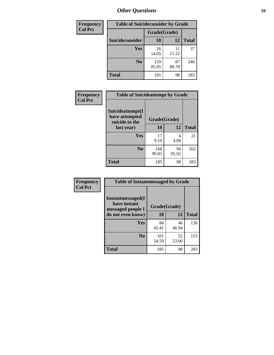| <b>Frequency</b> | <b>Table of Suicideconsider by Grade</b> |              |             |              |
|------------------|------------------------------------------|--------------|-------------|--------------|
| <b>Col Pct</b>   |                                          | Grade(Grade) |             |              |
|                  | Suicideconsider                          | <b>10</b>    | 12          | <b>Total</b> |
|                  | Yes                                      | 26<br>14.05  | 11<br>11.22 | 37           |
|                  | N <sub>0</sub>                           | 159<br>85.95 | 87<br>88.78 | 246          |
|                  | <b>Total</b>                             | 185          | 98          | 283          |

| Frequency      | <b>Table of Suicideattempt by Grade</b>              |              |             |              |
|----------------|------------------------------------------------------|--------------|-------------|--------------|
| <b>Col Pct</b> | Suicideattempt(I<br>have attempted<br>suicide in the | Grade(Grade) |             |              |
|                | last year)                                           | 10           | 12          | <b>Total</b> |
|                | Yes                                                  | 17<br>9.19   | 4<br>4.08   | 21           |
|                | $\bf No$                                             | 168<br>90.81 | 94<br>95.92 | 262          |
|                | <b>Total</b>                                         | 185          | 98          | 283          |

| Frequency      | <b>Table of Instantmessaged by Grade</b>               |              |             |              |
|----------------|--------------------------------------------------------|--------------|-------------|--------------|
| <b>Col Pct</b> | Instantmessaged(I<br>have instant<br>messaged people I | Grade(Grade) |             |              |
|                | do not even know)                                      | 10           | 12          | <b>Total</b> |
|                | Yes                                                    | 84<br>45.41  | 46<br>46.94 | 130          |
|                | N <sub>0</sub>                                         | 101<br>54.59 | 52<br>53.06 | 153          |
|                | <b>Total</b>                                           | 185          | 98          | 283          |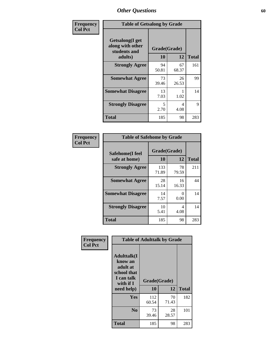| Frequency      | <b>Table of Getsalong by Grade</b>                          |             |              |              |
|----------------|-------------------------------------------------------------|-------------|--------------|--------------|
| <b>Col Pct</b> | <b>Getsalong</b> (I get<br>along with other<br>students and |             | Grade(Grade) |              |
|                | adults)                                                     | 10          | 12           | <b>Total</b> |
|                | <b>Strongly Agree</b>                                       | 94<br>50.81 | 67<br>68.37  | 161          |
|                | <b>Somewhat Agree</b>                                       | 73<br>39.46 | 26<br>26.53  | 99           |
|                | <b>Somewhat Disagree</b>                                    | 13<br>7.03  | 1.02         | 14           |
|                | <b>Strongly Disagree</b>                                    | 5<br>2.70   | 4<br>4.08    | 9            |
|                | <b>Total</b>                                                | 185         | 98           | 283          |

| Frequency      | <b>Table of Safehome by Grade</b> |                    |             |              |
|----------------|-----------------------------------|--------------------|-------------|--------------|
| <b>Col Pct</b> | Safehome(I feel<br>safe at home)  | Grade(Grade)<br>10 | 12          | <b>Total</b> |
|                | <b>Strongly Agree</b>             | 133<br>71.89       | 78<br>79.59 | 211          |
|                | <b>Somewhat Agree</b>             | 28<br>15.14        | 16<br>16.33 | 44           |
|                | <b>Somewhat Disagree</b>          | 14<br>7.57         | 0<br>0.00   | 14           |
|                | <b>Strongly Disagree</b>          | 10<br>5.41         | 4<br>4.08   | 14           |
|                | <b>Total</b>                      | 185                | 98          | 283          |

| Frequency      |                                                                                      | <b>Table of Adulttalk by Grade</b> |             |              |
|----------------|--------------------------------------------------------------------------------------|------------------------------------|-------------|--------------|
| <b>Col Pct</b> | <b>Adulttalk</b> (I<br>know an<br>adult at<br>school that<br>I can talk<br>with if I | Grade(Grade)                       |             |              |
|                | need help)                                                                           | 10                                 | 12          | <b>Total</b> |
|                | <b>Yes</b>                                                                           | 112<br>60.54                       | 70<br>71.43 | 182          |
|                | N <sub>0</sub>                                                                       | 73<br>39.46                        | 28<br>28.57 | 101          |
|                | <b>Total</b>                                                                         | 185                                | 98          | 283          |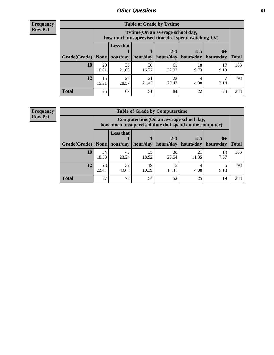**Frequency Row Pct**

| <b>Table of Grade by Tvtime</b> |             |                                                                                                                                                                                                                           |             |             |            |            |     |  |  |
|---------------------------------|-------------|---------------------------------------------------------------------------------------------------------------------------------------------------------------------------------------------------------------------------|-------------|-------------|------------|------------|-----|--|--|
|                                 |             | Tytime (On an average school day,<br>how much unsupervised time do I spend watching TV)<br><b>Less that</b><br>$2 - 3$<br>$4 - 5$<br>$6+$<br>hour/day   hour/day<br>hours/day<br>hours/day<br>  hours/day<br><b>Total</b> |             |             |            |            |     |  |  |
| Grade(Grade)   None             |             |                                                                                                                                                                                                                           |             |             |            |            |     |  |  |
| <b>10</b>                       | 20<br>10.81 | 39<br>21.08                                                                                                                                                                                                               | 30<br>16.22 | 61<br>32.97 | 18<br>9.73 | 17<br>9.19 | 185 |  |  |
| 12                              | 15<br>15.31 | 28<br>28.57                                                                                                                                                                                                               | 21<br>21.43 | 23<br>23.47 | 4<br>4.08  | 7.14       | 98  |  |  |
| <b>Total</b>                    | 35          | 67                                                                                                                                                                                                                        | 51          | 84          | 22         | 24         | 283 |  |  |

**Frequency Row Pct**

| <b>Table of Grade by Computertime</b> |             |                                                                                                   |                     |             |                                  |                   |              |  |  |
|---------------------------------------|-------------|---------------------------------------------------------------------------------------------------|---------------------|-------------|----------------------------------|-------------------|--------------|--|--|
|                                       |             | Computertime (On an average school day,<br>how much unsupervised time do I spend on the computer) |                     |             |                                  |                   |              |  |  |
| Grade(Grade)                          | None        | <b>Less that</b>                                                                                  | hour/day   hour/day | $2 - 3$     | $4 - 5$<br>hours/day   hours/day | $6+$<br>hours/day | <b>Total</b> |  |  |
| 10                                    | 34<br>18.38 | 43<br>23.24                                                                                       | 35<br>18.92         | 38<br>20.54 | 21<br>11.35                      | 14<br>7.57        | 185          |  |  |
| 12                                    | 23<br>23.47 | 32<br>19<br>15<br>19.39<br>4.08<br>32.65<br>15.31<br>5.10                                         |                     |             |                                  |                   |              |  |  |
| <b>Total</b>                          | 57          | 75                                                                                                | 54                  | 53          | 25                               | 19                | 283          |  |  |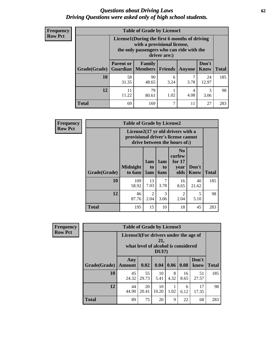#### *Questions about Driving Laws* **62** *Driving Questions were asked only of high school students.*

| <b>Frequency</b> |
|------------------|
| <b>Row Pct</b>   |

| <b>Table of Grade by License1</b> |                                                              |                                                                                                                                           |           |        |               |              |  |  |  |
|-----------------------------------|--------------------------------------------------------------|-------------------------------------------------------------------------------------------------------------------------------------------|-----------|--------|---------------|--------------|--|--|--|
|                                   |                                                              | License1(During the first 6 months of driving<br>with a provisional license,<br>the only passengers who can ride with the<br>driver are:) |           |        |               |              |  |  |  |
| Grade(Grade)                      | <b>Parent or</b>                                             | Family<br><b>Guardian</b>   Members                                                                                                       | Friends   | Anyone | Don't<br>Know | <b>Total</b> |  |  |  |
| 10                                | 58<br>31.35                                                  | 90<br>48.65                                                                                                                               | 6<br>3.24 | 3.78   | 24<br>12.97   | 185          |  |  |  |
| 12                                | 79<br>3<br>11<br>4<br>11.22<br>1.02<br>4.08<br>80.61<br>3.06 |                                                                                                                                           |           |        |               |              |  |  |  |
| Total                             | 69                                                           | 169                                                                                                                                       | ┑         | 11     | 27            | 283          |  |  |  |

| <b>Frequency</b> |                     | <b>Table of Grade by License2</b> |                                                                                                          |                  |                                                      |               |              |  |  |
|------------------|---------------------|-----------------------------------|----------------------------------------------------------------------------------------------------------|------------------|------------------------------------------------------|---------------|--------------|--|--|
| <b>Row Pct</b>   |                     |                                   | License2(17 yr old drivers with a<br>provisional driver's license cannot<br>drive between the hours of:) |                  |                                                      |               |              |  |  |
|                  | <b>Grade(Grade)</b> | <b>Midnight</b><br>to 6am         | 1am<br>to<br>5am                                                                                         | 1am<br>to<br>6am | N <sub>0</sub><br>curfew<br>for $17$<br>year<br>olds | Don't<br>Know | <b>Total</b> |  |  |
|                  | 10                  | 109<br>58.92                      | 13<br>7.03                                                                                               | 7<br>3.78        | 16<br>8.65                                           | 40<br>21.62   | 185          |  |  |
|                  | 12                  | 86<br>87.76                       | $\mathfrak{D}$<br>2.04                                                                                   | 3<br>3.06        | $\mathfrak{D}$<br>2.04                               | 5<br>5.10     | 98           |  |  |
|                  | <b>Total</b>        | 195                               | 15                                                                                                       | 10               | 18                                                   | 45            | 283          |  |  |

| Frequency      | <b>Table of Grade by License3</b> |                                       |                                     |              |           |            |               |              |
|----------------|-----------------------------------|---------------------------------------|-------------------------------------|--------------|-----------|------------|---------------|--------------|
| <b>Row Pct</b> |                                   | License3(For drivers under the age of | what level of alcohol is considered | 21,<br>DUI?) |           |            |               |              |
|                | Grade(Grade)                      | Any<br><b>Amount</b>                  | 0.02                                | 0.04         | 0.06      | 0.08       | Don't<br>know | <b>Total</b> |
|                | 10                                | 45<br>24.32                           | 55<br>29.73                         | 10<br>5.41   | 8<br>4.32 | 16<br>8.65 | 51<br>27.57   | 185          |
|                | 12                                | 44<br>44.90                           | 20<br>20.41                         | 10<br>10.20  | 1.02      | 6<br>6.12  | 17<br>17.35   | 98           |
|                | <b>Total</b>                      | 89                                    | 75                                  | 20           | 9         | 22         | 68            | 283          |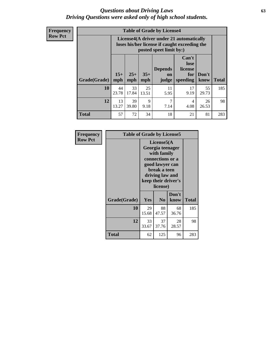#### *Questions about Driving Laws* **63** *Driving Questions were asked only of high school students.*

**Frequency Row Pct**

| <b>Table of Grade by License4</b> |              |                                                                                                                                                      |             |            |            |             |     |  |
|-----------------------------------|--------------|------------------------------------------------------------------------------------------------------------------------------------------------------|-------------|------------|------------|-------------|-----|--|
|                                   |              | License4(A driver under 21 automatically<br>loses his/her license if caught exceeding the<br>posted speet limit by:)                                 |             |            |            |             |     |  |
| Grade(Grade)                      | $15+$<br>mph | Can't<br>lose<br><b>Depends</b><br>license<br>$25+$<br>$35+$<br>Don't<br>for<br><b>on</b><br><b>Total</b><br>mph<br>speeding<br>know<br>mph<br>judge |             |            |            |             |     |  |
| 10                                | 44<br>23.78  | 33<br>17.84                                                                                                                                          | 25<br>13.51 | 11<br>5.95 | 17<br>9.19 | 55<br>29.73 | 185 |  |
| 12                                | 13<br>13.27  | 39<br>39.80                                                                                                                                          | 9<br>9.18   | 7<br>7.14  | 4<br>4.08  | 26<br>26.53 | 98  |  |
| <b>Total</b>                      | 57           | 72                                                                                                                                                   | 34          | 18         | 21         | 81          | 283 |  |

| Frequency      | <b>Table of Grade by License5</b> |                                                                                                                                                             |                |               |       |  |
|----------------|-----------------------------------|-------------------------------------------------------------------------------------------------------------------------------------------------------------|----------------|---------------|-------|--|
| <b>Row Pct</b> |                                   | License5(A)<br>Georgia teenager<br>with family<br>connections or a<br>good lawyer can<br>break a teen<br>driving law and<br>keep their driver's<br>license) |                |               |       |  |
|                | Grade(Grade)                      | Yes                                                                                                                                                         | N <sub>0</sub> | Don't<br>know | Total |  |
|                | 10                                | 29<br>15.68                                                                                                                                                 | 88<br>47.57    | 68<br>36.76   | 185   |  |
|                | 12                                | 33<br>33.67                                                                                                                                                 | 37<br>37.76    | 28<br>28.57   | 98    |  |
|                | Total                             | 62                                                                                                                                                          | 125            | 96            | 283   |  |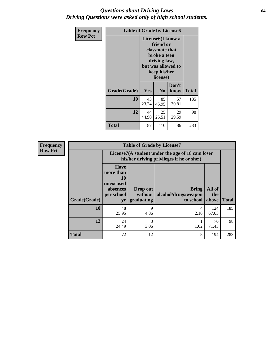#### *Questions about Driving Laws* **64** *Driving Questions were asked only of high school students.*

| <b>Frequency</b> | <b>Table of Grade by License6</b> |             |                                                                                                                           |                    |              |  |
|------------------|-----------------------------------|-------------|---------------------------------------------------------------------------------------------------------------------------|--------------------|--------------|--|
| <b>Row Pct</b>   |                                   |             | License <sub>6</sub> (I know a<br>friend or<br>classmate that<br>broke a teen<br>driving law,<br>keep his/her<br>license) | but was allowed to |              |  |
|                  | Grade(Grade)                      | Yes         | N <sub>0</sub>                                                                                                            | Don't<br>know      | <b>Total</b> |  |
|                  | 10                                | 43<br>23.24 | 85<br>45.95                                                                                                               | 57<br>30.81        | 185          |  |
|                  | 12                                | 44<br>44.90 | 25<br>25.51                                                                                                               | 29<br>29.59        | 98           |  |
|                  | <b>Total</b>                      | 87          | 110                                                                                                                       | 86                 | 283          |  |

| <b>Frequency</b> | <b>Table of Grade by License7</b> |                                                                             |                                   |                                                                                               |                        |              |  |  |
|------------------|-----------------------------------|-----------------------------------------------------------------------------|-----------------------------------|-----------------------------------------------------------------------------------------------|------------------------|--------------|--|--|
| <b>Row Pct</b>   |                                   |                                                                             |                                   | License7(A student under the age of 18 cam loser<br>his/her driving privileges if he or she:) |                        |              |  |  |
| Grade(Grade)     |                                   | <b>Have</b><br>more than<br>10<br>unexcused<br>absences<br>per school<br>yr | Drop out<br>without<br>graduating | <b>Bring</b><br>alcohol/drugs/weapon<br>to school                                             | All of<br>the<br>above | <b>Total</b> |  |  |
|                  | 10                                | 48<br>25.95                                                                 | 9<br>4.86                         | 4<br>2.16                                                                                     | 124<br>67.03           | 185          |  |  |
|                  | 12                                | 24<br>24.49                                                                 | 3<br>3.06                         | 1.02                                                                                          | 70<br>71.43            | 98           |  |  |
|                  | <b>Total</b>                      | 72                                                                          | 12                                | 5                                                                                             | 194                    | 283          |  |  |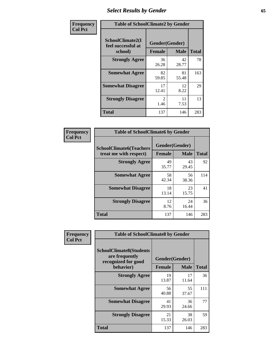# *Select Results by Gender* **65**

| Frequency      | <b>Table of SchoolClimate2 by Gender</b>          |                                 |             |              |  |
|----------------|---------------------------------------------------|---------------------------------|-------------|--------------|--|
| <b>Col Pct</b> | SchoolClimate2(I<br>feel successful at<br>school) | Gender(Gender)<br><b>Female</b> | <b>Male</b> | <b>Total</b> |  |
|                | <b>Strongly Agree</b>                             | 36<br>26.28                     | 42<br>28.77 | 78           |  |
|                | <b>Somewhat Agree</b>                             | 82<br>59.85                     | 81<br>55.48 | 163          |  |
|                | <b>Somewhat Disagree</b>                          | 17<br>12.41                     | 12<br>8.22  | 29           |  |
|                | <b>Strongly Disagree</b>                          | $\mathcal{L}$<br>1.46           | 11<br>7.53  | 13           |  |
|                | <b>Total</b>                                      | 137                             | 146         | 283          |  |

| Frequency      | <b>Table of SchoolClimate6 by Gender</b>                 |                                 |             |              |  |
|----------------|----------------------------------------------------------|---------------------------------|-------------|--------------|--|
| <b>Col Pct</b> | <b>SchoolClimate6(Teachers</b><br>treat me with respect) | Gender(Gender)<br><b>Female</b> | <b>Male</b> | <b>Total</b> |  |
|                | <b>Strongly Agree</b>                                    | 49<br>35.77                     | 43<br>29.45 | 92           |  |
|                | <b>Somewhat Agree</b>                                    | 58<br>42.34                     | 56<br>38.36 | 114          |  |
|                | <b>Somewhat Disagree</b>                                 | 18<br>13.14                     | 23<br>15.75 | 41           |  |
|                | <b>Strongly Disagree</b>                                 | 12<br>8.76                      | 24<br>16.44 | 36           |  |
|                | Total                                                    | 137                             | 146         | 283          |  |

| Frequency      | <b>Table of SchoolClimate8 by Gender</b>                                             |                                 |             |              |  |
|----------------|--------------------------------------------------------------------------------------|---------------------------------|-------------|--------------|--|
| <b>Col Pct</b> | <b>SchoolClimate8(Students</b><br>are frequently<br>recognized for good<br>behavior) | Gender(Gender)<br><b>Female</b> | <b>Male</b> | <b>Total</b> |  |
|                | <b>Strongly Agree</b>                                                                | 19<br>13.87                     | 17<br>11.64 | 36           |  |
|                | <b>Somewhat Agree</b>                                                                | 56<br>40.88                     | 55<br>37.67 | 111          |  |
|                | <b>Somewhat Disagree</b>                                                             | 41<br>29.93                     | 36<br>24.66 | 77           |  |
|                | <b>Strongly Disagree</b>                                                             | 21<br>15.33                     | 38<br>26.03 | 59           |  |
|                | Total                                                                                | 137                             | 146         | 283          |  |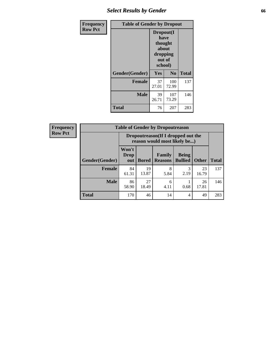# *Select Results by Gender* **66**

| <b>Frequency</b> | <b>Table of Gender by Dropout</b> |                                                                        |                |              |
|------------------|-----------------------------------|------------------------------------------------------------------------|----------------|--------------|
| <b>Row Pct</b>   |                                   | Dropout(I<br>have<br>thought<br>about<br>dropping<br>out of<br>school) |                |              |
|                  | Gender(Gender)                    | Yes                                                                    | N <sub>0</sub> | <b>Total</b> |
|                  | <b>Female</b>                     | 37<br>27.01                                                            | 100<br>72.99   | 137          |
|                  | <b>Male</b>                       | 39<br>26.71                                                            | 107<br>73.29   | 146          |
|                  | <b>Total</b>                      | 76                                                                     | 207            | 283          |

| <b>Frequency</b> |                | <b>Table of Gender by Dropoutreason</b>                             |              |                                 |                                |              |              |
|------------------|----------------|---------------------------------------------------------------------|--------------|---------------------------------|--------------------------------|--------------|--------------|
| <b>Row Pct</b>   |                | Dropoutreason (If I dropped out the<br>reason would most likely be) |              |                                 |                                |              |              |
|                  | Gender(Gender) | Won't<br><b>Drop</b><br>out                                         | <b>Bored</b> | <b>Family</b><br><b>Reasons</b> | <b>Being</b><br><b>Bullied</b> | <b>Other</b> | <b>Total</b> |
|                  | <b>Female</b>  | 84<br>61.31                                                         | 19<br>13.87  | 8<br>5.84                       | 3<br>2.19                      | 23<br>16.79  | 137          |
|                  | <b>Male</b>    | 86<br>58.90                                                         | 27<br>18.49  | 6<br>4.11                       | 0.68                           | 26<br>17.81  | 146          |
|                  | <b>Total</b>   | 170                                                                 | 46           | 14                              | $\overline{4}$                 | 49           | 283          |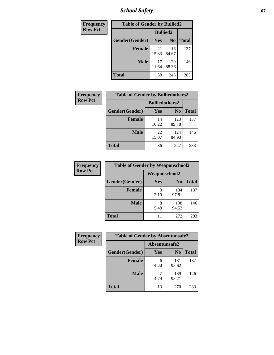*School Safety* **67**

| Frequency      | <b>Table of Gender by Bullied2</b> |                 |                |              |
|----------------|------------------------------------|-----------------|----------------|--------------|
| <b>Row Pct</b> |                                    | <b>Bullied2</b> |                |              |
|                | Gender(Gender)                     | <b>Yes</b>      | N <sub>0</sub> | <b>Total</b> |
|                | <b>Female</b>                      | 21<br>15.33     | 116<br>84.67   | 137          |
|                | <b>Male</b>                        | 17<br>11.64     | 129<br>88.36   | 146          |
|                | <b>Total</b>                       | 38              | 245            | 283          |

| <b>Frequency</b> | <b>Table of Gender by Bulliedothers2</b> |                       |                |              |
|------------------|------------------------------------------|-----------------------|----------------|--------------|
| <b>Row Pct</b>   |                                          | <b>Bulliedothers2</b> |                |              |
|                  | Gender(Gender)                           | Yes                   | N <sub>0</sub> | <b>Total</b> |
|                  | <b>Female</b>                            | 14<br>10.22           | 123<br>89.78   | 137          |
|                  | Male                                     | 22<br>15.07           | 124<br>84.93   | 146          |
|                  | <b>Total</b>                             | 36                    | 247            | 283          |

| Frequency      | <b>Table of Gender by Weaponschool2</b> |                      |                |              |
|----------------|-----------------------------------------|----------------------|----------------|--------------|
| <b>Row Pct</b> |                                         | <b>Weaponschool2</b> |                |              |
|                | Gender(Gender)                          | Yes                  | N <sub>0</sub> | <b>Total</b> |
|                | <b>Female</b>                           | 3<br>2.19            | 134<br>97.81   | 137          |
|                | <b>Male</b>                             | 8<br>5.48            | 138<br>94.52   | 146          |
|                | <b>Total</b>                            | 11                   | 272            | 283          |

| Frequency      | <b>Table of Gender by Absentunsafe2</b> |               |                |              |  |
|----------------|-----------------------------------------|---------------|----------------|--------------|--|
| <b>Row Pct</b> |                                         | Absentunsafe2 |                |              |  |
|                | Gender(Gender)                          | Yes           | N <sub>0</sub> | <b>Total</b> |  |
|                | <b>Female</b>                           | 6<br>4.38     | 131<br>95.62   | 137          |  |
|                | <b>Male</b>                             | 4.79          | 139<br>95.21   | 146          |  |
|                | <b>Total</b>                            | 13            | 270            | 283          |  |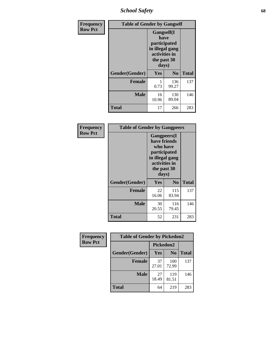*School Safety* **68**

| Frequency      | <b>Table of Gender by Gangself</b> |                                                                                                |                |              |
|----------------|------------------------------------|------------------------------------------------------------------------------------------------|----------------|--------------|
| <b>Row Pct</b> |                                    | Gangself(I<br>have<br>participated<br>in illegal gang<br>activities in<br>the past 30<br>days) |                |              |
|                | Gender(Gender)                     | Yes                                                                                            | N <sub>0</sub> | <b>Total</b> |
|                | <b>Female</b>                      | 0.73                                                                                           | 136<br>99.27   | 137          |
|                | <b>Male</b>                        | 16<br>10.96                                                                                    | 130<br>89.04   | 146          |
|                | <b>Total</b>                       | 17                                                                                             | 266            | 283          |

| Frequency      | <b>Table of Gender by Gangpeers</b> |                                                                                                                             |                |              |
|----------------|-------------------------------------|-----------------------------------------------------------------------------------------------------------------------------|----------------|--------------|
| <b>Row Pct</b> |                                     | <b>Gangpeers</b> (I<br>have friends<br>who have<br>participated<br>in illegal gang<br>activities in<br>the past 30<br>days) |                |              |
|                | Gender(Gender)                      | <b>Yes</b>                                                                                                                  | N <sub>0</sub> | <b>Total</b> |
|                | <b>Female</b>                       | 22<br>16.06                                                                                                                 | 115<br>83.94   | 137          |
|                | <b>Male</b>                         | 30<br>20.55                                                                                                                 | 116<br>79.45   | 146          |
|                | Total                               | 52                                                                                                                          | 231            | 283          |

| Frequency      | <b>Table of Gender by Pickedon2</b> |             |                |              |
|----------------|-------------------------------------|-------------|----------------|--------------|
| <b>Row Pct</b> |                                     | Pickedon2   |                |              |
|                | Gender(Gender)                      | <b>Yes</b>  | N <sub>0</sub> | <b>Total</b> |
|                | <b>Female</b>                       | 37<br>27.01 | 100<br>72.99   | 137          |
|                | <b>Male</b>                         | 27<br>18.49 | 119<br>81.51   | 146          |
|                | <b>Total</b>                        | 64          | 219            | 283          |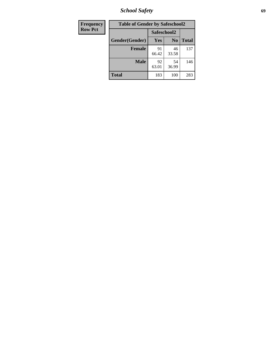*School Safety* **69**

| <b>Frequency</b> | <b>Table of Gender by Safeschool2</b> |             |                |              |  |
|------------------|---------------------------------------|-------------|----------------|--------------|--|
| <b>Row Pct</b>   |                                       | Safeschool2 |                |              |  |
|                  | Gender(Gender)                        | <b>Yes</b>  | N <sub>0</sub> | <b>Total</b> |  |
|                  | <b>Female</b>                         | 91<br>66.42 | 46<br>33.58    | 137          |  |
|                  | <b>Male</b>                           | 92<br>63.01 | 54<br>36.99    | 146          |  |
|                  | <b>Total</b>                          | 183         | 100            | 283          |  |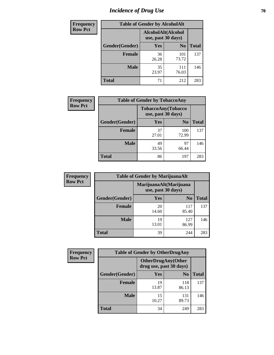# *Incidence of Drug Use* **70**

| <b>Frequency</b> | <b>Table of Gender by AlcoholAlt</b>     |             |                |              |  |
|------------------|------------------------------------------|-------------|----------------|--------------|--|
| <b>Row Pct</b>   | AlcoholAlt(Alcohol<br>use, past 30 days) |             |                |              |  |
|                  | Gender(Gender)                           | <b>Yes</b>  | N <sub>0</sub> | <b>Total</b> |  |
|                  | <b>Female</b>                            | 36<br>26.28 | 101<br>73.72   | 137          |  |
|                  | <b>Male</b>                              | 35<br>23.97 | 111<br>76.03   | 146          |  |
|                  | <b>Total</b>                             | 71          | 212            | 283          |  |

| <b>Frequency</b> | <b>Table of Gender by TobaccoAny</b> |                    |                    |              |
|------------------|--------------------------------------|--------------------|--------------------|--------------|
| <b>Row Pct</b>   |                                      | use, past 30 days) | TobaccoAny(Tobacco |              |
|                  | Gender(Gender)                       | Yes                | N <sub>0</sub>     | <b>Total</b> |
|                  | <b>Female</b>                        | 37<br>27.01        | 100<br>72.99       | 137          |
|                  | <b>Male</b>                          | 49<br>33.56        | 97<br>66.44        | 146          |
|                  | <b>Total</b>                         | 86                 | 197                | 283          |

| <b>Frequency</b> | <b>Table of Gender by MarijuanaAlt</b> |                                              |                |              |
|------------------|----------------------------------------|----------------------------------------------|----------------|--------------|
| <b>Row Pct</b>   |                                        | MarijuanaAlt(Marijuana<br>use, past 30 days) |                |              |
|                  | Gender(Gender)                         | <b>Yes</b>                                   | N <sub>0</sub> | <b>Total</b> |
|                  | <b>Female</b>                          | 20<br>14.60                                  | 117<br>85.40   | 137          |
|                  | <b>Male</b>                            | 19<br>13.01                                  | 127<br>86.99   | 146          |
|                  | <b>Total</b>                           | 39                                           | 244            | 283          |

| <b>Frequency</b> | <b>Table of Gender by OtherDrugAny</b> |                         |                           |              |
|------------------|----------------------------------------|-------------------------|---------------------------|--------------|
| <b>Row Pct</b>   |                                        | drug use, past 30 days) | <b>OtherDrugAny(Other</b> |              |
|                  | <b>Gender</b> (Gender)                 | <b>Yes</b>              | N <sub>0</sub>            | <b>Total</b> |
|                  | <b>Female</b>                          | 19<br>13.87             | 118<br>86.13              | 137          |
|                  | <b>Male</b>                            | 15<br>10.27             | 131<br>89.73              | 146          |
|                  | <b>Total</b>                           | 34                      | 249                       | 283          |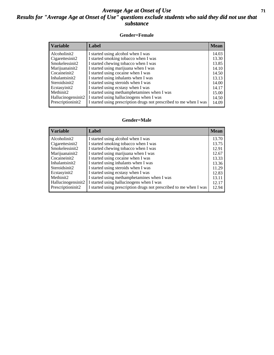#### *Average Age at Onset of Use* **71** *Results for "Average Age at Onset of Use" questions exclude students who said they did not use that substance*

#### **Gender=Female**

| <b>Variable</b>    | Label                                                              | <b>Mean</b> |
|--------------------|--------------------------------------------------------------------|-------------|
| Alcoholinit2       | I started using alcohol when I was                                 | 14.03       |
| Cigarettesinit2    | I started smoking tobacco when I was                               | 13.30       |
| Smokelessinit2     | I started chewing tobacco when I was                               | 13.85       |
| Marijuanainit2     | I started using marijuana when I was                               | 14.10       |
| Cocaineinit2       | I started using cocaine when I was                                 | 14.50       |
| Inhalantsinit2     | I started using inhalants when I was                               | 13.13       |
| Steroidsinit2      | I started using steroids when I was                                | 14.00       |
| Ecstasyinit2       | I started using ecstasy when I was                                 | 14.17       |
| Methinit2          | I started using methamphetamines when I was                        | 15.00       |
| Hallucinogensinit2 | I started using hallucinogens when I was                           | 14.50       |
| Prescriptioninit2  | I started using prescription drugs not prescribed to me when I was | 14.09       |

#### **Gender=Male**

| <b>Variable</b>                 | Label                                                              | <b>Mean</b> |
|---------------------------------|--------------------------------------------------------------------|-------------|
| Alcoholinit2                    | I started using alcohol when I was                                 | 13.70       |
| Cigarettesinit2                 | I started smoking tobacco when I was                               | 13.75       |
| Smokelessinit2                  | I started chewing tobacco when I was                               | 12.91       |
| Marijuanainit2                  | I started using marijuana when I was                               | 12.67       |
| Cocaineinit2                    | I started using cocaine when I was                                 | 13.33       |
| Inhalantsinit2                  | I started using inhalants when I was                               | 13.36       |
| Steroidsinit2                   | I started using steroids when I was                                | 11.29       |
| Ecstasyinit2                    | I started using ecstasy when I was                                 | 12.83       |
| Methinit2                       | I started using methamphetamines when I was                        | 13.11       |
| Hallucinogensinit2              | I started using hallucinogens when I was                           | 12.17       |
| Prescription in it <sub>2</sub> | I started using prescription drugs not prescribed to me when I was | 12.94       |
|                                 |                                                                    |             |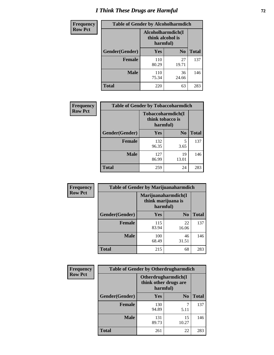# *I Think These Drugs are Harmful* **72**

| Frequency      | <b>Table of Gender by Alcoholharmdich</b> |                  |                               |              |
|----------------|-------------------------------------------|------------------|-------------------------------|--------------|
| <b>Row Pct</b> |                                           | think alcohol is | Alcoholharmdich(I<br>harmful) |              |
|                | Gender(Gender)                            | <b>Yes</b>       | N <sub>0</sub>                | <b>Total</b> |
|                | <b>Female</b>                             | 110<br>80.29     | 27<br>19.71                   | 137          |
|                | <b>Male</b>                               | 110<br>75.34     | 36<br>24.66                   | 146          |
|                | <b>Total</b>                              | 220              | 63                            | 283          |

| Frequency      | <b>Table of Gender by Tobaccoharmdich</b> |                                                   |                |              |  |
|----------------|-------------------------------------------|---------------------------------------------------|----------------|--------------|--|
| <b>Row Pct</b> |                                           | Tobaccoharmdich(I<br>think tobacco is<br>harmful) |                |              |  |
|                | Gender(Gender)                            | <b>Yes</b>                                        | N <sub>0</sub> | <b>Total</b> |  |
|                | <b>Female</b>                             | 132<br>96.35                                      | 5<br>3.65      | 137          |  |
|                | <b>Male</b>                               | 127<br>86.99                                      | 19<br>13.01    | 146          |  |
|                | <b>Total</b>                              | 259                                               | 24             | 283          |  |

| Frequency      | <b>Table of Gender by Marijuanaharmdich</b> |                                                       |                |              |  |
|----------------|---------------------------------------------|-------------------------------------------------------|----------------|--------------|--|
| <b>Row Pct</b> |                                             | Marijuanaharmdich(I<br>think marijuana is<br>harmful) |                |              |  |
|                | Gender(Gender)                              | <b>Yes</b>                                            | N <sub>0</sub> | <b>Total</b> |  |
|                | <b>Female</b>                               | 115<br>83.94                                          | 22<br>16.06    | 137          |  |
|                | <b>Male</b>                                 | 100<br>68.49                                          | 46<br>31.51    | 146          |  |
|                | <b>Total</b>                                | 215                                                   | 68             | 283          |  |

| Frequency      | <b>Table of Gender by Otherdrugharmdich</b> |                                                          |                |              |  |
|----------------|---------------------------------------------|----------------------------------------------------------|----------------|--------------|--|
| <b>Row Pct</b> |                                             | Otherdrugharmdich(I<br>think other drugs are<br>harmful) |                |              |  |
|                | Gender(Gender)                              | <b>Yes</b>                                               | N <sub>0</sub> | <b>Total</b> |  |
|                | <b>Female</b>                               | 130<br>94.89                                             | 7<br>5.11      | 137          |  |
|                | <b>Male</b>                                 | 131<br>89.73                                             | 15<br>10.27    | 146          |  |
|                | <b>Total</b>                                | 261                                                      | 22             | 283          |  |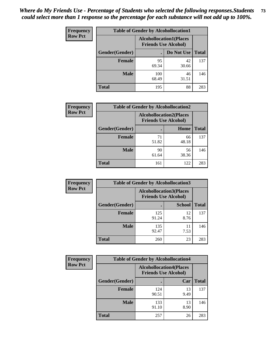| <b>Frequency</b>                                                                | <b>Table of Gender by Alcohollocation1</b> |              |             |              |
|---------------------------------------------------------------------------------|--------------------------------------------|--------------|-------------|--------------|
| <b>Row Pct</b><br><b>Alcohollocation1(Places</b><br><b>Friends Use Alcohol)</b> |                                            |              |             |              |
|                                                                                 | Gender(Gender)                             |              | Do Not Use  | <b>Total</b> |
|                                                                                 | <b>Female</b>                              | 95<br>69.34  | 42<br>30.66 | 137          |
|                                                                                 | <b>Male</b>                                | 100<br>68.49 | 46<br>31.51 | 146          |
|                                                                                 | <b>Total</b>                               | 195          | 88          | 283          |

| <b>Frequency</b> | <b>Table of Gender by Alcohollocation2</b> |             |                                                               |              |
|------------------|--------------------------------------------|-------------|---------------------------------------------------------------|--------------|
| <b>Row Pct</b>   |                                            |             | <b>Alcohollocation2(Places</b><br><b>Friends Use Alcohol)</b> |              |
|                  | Gender(Gender)                             |             | Home                                                          | <b>Total</b> |
|                  | <b>Female</b>                              | 71<br>51.82 | 66<br>48.18                                                   | 137          |
|                  | <b>Male</b>                                | 90<br>61.64 | 56<br>38.36                                                   | 146          |
|                  | <b>Total</b>                               | 161         | 122                                                           | 283          |

| Frequency      | <b>Table of Gender by Alcohollocation3</b> |              |                                                               |              |
|----------------|--------------------------------------------|--------------|---------------------------------------------------------------|--------------|
| <b>Row Pct</b> |                                            |              | <b>Alcohollocation3(Places</b><br><b>Friends Use Alcohol)</b> |              |
|                | Gender(Gender)                             |              | <b>School</b>                                                 | <b>Total</b> |
|                | <b>Female</b>                              | 125<br>91.24 | 12<br>8.76                                                    | 137          |
|                | <b>Male</b>                                | 135<br>92.47 | 11<br>7.53                                                    | 146          |
|                | <b>Total</b>                               | 260          | 23                                                            | 283          |

| Frequency      | <b>Table of Gender by Alcohollocation4</b> |                                                               |            |              |
|----------------|--------------------------------------------|---------------------------------------------------------------|------------|--------------|
| <b>Row Pct</b> |                                            | <b>Alcohollocation4(Places</b><br><b>Friends Use Alcohol)</b> |            |              |
|                | Gender(Gender)                             |                                                               | Car        | <b>Total</b> |
|                | Female                                     | 124<br>90.51                                                  | 13<br>9.49 | 137          |
|                | <b>Male</b>                                | 133<br>91.10                                                  | 13<br>8.90 | 146          |
|                | <b>Total</b>                               | 257                                                           | 26         | 283          |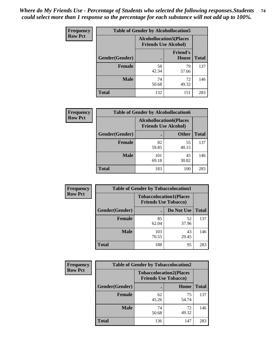| <b>Frequency</b> | <b>Table of Gender by Alcohollocation5</b> |                                                               |                                 |              |
|------------------|--------------------------------------------|---------------------------------------------------------------|---------------------------------|--------------|
| <b>Row Pct</b>   |                                            | <b>Alcohollocation5(Places</b><br><b>Friends Use Alcohol)</b> |                                 |              |
|                  | Gender(Gender)                             |                                                               | <b>Friend's</b><br><b>House</b> | <b>Total</b> |
|                  | <b>Female</b>                              | 58<br>42.34                                                   | 79<br>57.66                     | 137          |
|                  | <b>Male</b>                                | 74<br>50.68                                                   | 72<br>49.32                     | 146          |
|                  | <b>Total</b>                               | 132                                                           | 151                             | 283          |

| Frequency      | <b>Table of Gender by Alcohollocation6</b> |                                                               |              |              |
|----------------|--------------------------------------------|---------------------------------------------------------------|--------------|--------------|
| <b>Row Pct</b> |                                            | <b>Alcohollocation6(Places</b><br><b>Friends Use Alcohol)</b> |              |              |
|                | <b>Gender</b> (Gender)                     |                                                               | <b>Other</b> | <b>Total</b> |
|                | <b>Female</b>                              | 82<br>59.85                                                   | 55<br>40.15  | 137          |
|                | <b>Male</b>                                | 101<br>69.18                                                  | 45<br>30.82  | 146          |
|                | <b>Total</b>                               | 183                                                           | 100          | 283          |

| Frequency      | <b>Table of Gender by Tobaccolocation1</b> |                                                               |             |              |  |
|----------------|--------------------------------------------|---------------------------------------------------------------|-------------|--------------|--|
| <b>Row Pct</b> |                                            | <b>Tobaccolocation1(Places</b><br><b>Friends Use Tobacco)</b> |             |              |  |
|                | Gender(Gender)                             |                                                               | Do Not Use  | <b>Total</b> |  |
|                | Female                                     | 85<br>62.04                                                   | 52<br>37.96 | 137          |  |
|                | <b>Male</b>                                | 103<br>70.55                                                  | 43<br>29.45 | 146          |  |
|                | <b>Total</b>                               | 188                                                           | 95          | 283          |  |

| Frequency      |                        | <b>Table of Gender by Tobaccolocation2</b>                    |             |              |
|----------------|------------------------|---------------------------------------------------------------|-------------|--------------|
| <b>Row Pct</b> |                        | <b>Tobaccolocation2(Places</b><br><b>Friends Use Tobacco)</b> |             |              |
|                | <b>Gender</b> (Gender) |                                                               | Home        | <b>Total</b> |
|                | Female                 | 62<br>45.26                                                   | 75<br>54.74 | 137          |
|                | <b>Male</b>            | 74<br>50.68                                                   | 72<br>49.32 | 146          |
|                | <b>Total</b>           | 136                                                           | 147         | 283          |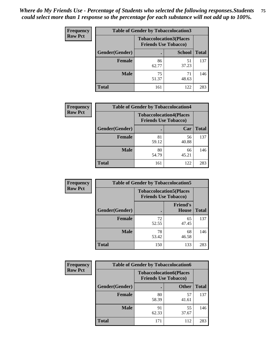| <b>Frequency</b> | <b>Table of Gender by Tobaccolocation3</b> |                                                               |               |              |
|------------------|--------------------------------------------|---------------------------------------------------------------|---------------|--------------|
| <b>Row Pct</b>   |                                            | <b>Tobaccolocation3(Places</b><br><b>Friends Use Tobacco)</b> |               |              |
|                  | Gender(Gender)                             |                                                               | <b>School</b> | <b>Total</b> |
|                  | <b>Female</b>                              | 86<br>62.77                                                   | 51<br>37.23   | 137          |
|                  | <b>Male</b>                                | 75<br>51.37                                                   | 71<br>48.63   | 146          |
|                  | Total                                      | 161                                                           | 122           | 283          |

| <b>Frequency</b> | <b>Table of Gender by Tobaccolocation4</b> |             |                                                               |              |
|------------------|--------------------------------------------|-------------|---------------------------------------------------------------|--------------|
| <b>Row Pct</b>   |                                            |             | <b>Tobaccolocation4(Places</b><br><b>Friends Use Tobacco)</b> |              |
|                  | Gender(Gender)                             |             | Car                                                           | <b>Total</b> |
|                  | Female                                     | 81<br>59.12 | 56<br>40.88                                                   | 137          |
|                  | <b>Male</b>                                | 80<br>54.79 | 66<br>45.21                                                   | 146          |
|                  | <b>Total</b>                               | 161         | 122                                                           | 283          |

| <b>Frequency</b> | <b>Table of Gender by Tobaccolocation5</b> |                                                               |                                 |              |
|------------------|--------------------------------------------|---------------------------------------------------------------|---------------------------------|--------------|
| <b>Row Pct</b>   |                                            | <b>Tobaccolocation5(Places</b><br><b>Friends Use Tobacco)</b> |                                 |              |
|                  | <b>Gender</b> (Gender)                     |                                                               | <b>Friend's</b><br><b>House</b> | <b>Total</b> |
|                  | <b>Female</b>                              | 72<br>52.55                                                   | 65<br>47.45                     | 137          |
|                  | <b>Male</b>                                | 78<br>53.42                                                   | 68<br>46.58                     | 146          |
|                  | <b>Total</b>                               | 150                                                           | 133                             | 283          |

| <b>Frequency</b> | <b>Table of Gender by Tobaccolocation6</b> |                                                               |              |              |
|------------------|--------------------------------------------|---------------------------------------------------------------|--------------|--------------|
| <b>Row Pct</b>   |                                            | <b>Tobaccolocation6(Places</b><br><b>Friends Use Tobacco)</b> |              |              |
|                  | Gender(Gender)                             |                                                               | <b>Other</b> | <b>Total</b> |
|                  | Female                                     | 80<br>58.39                                                   | 57<br>41.61  | 137          |
|                  | <b>Male</b>                                | 91<br>62.33                                                   | 55<br>37.67  | 146          |
|                  | <b>Total</b>                               | 171                                                           | 112          | 283          |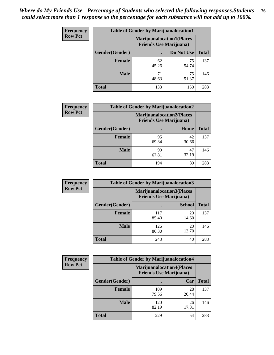| <b>Frequency</b> | <b>Table of Gender by Marijuanalocation1</b> |                                                                    |             |              |
|------------------|----------------------------------------------|--------------------------------------------------------------------|-------------|--------------|
| <b>Row Pct</b>   |                                              | <b>Marijuanalocation1(Places</b><br><b>Friends Use Marijuana</b> ) |             |              |
|                  | Gender(Gender)                               |                                                                    | Do Not Use  | <b>Total</b> |
|                  | <b>Female</b>                                | 62<br>45.26                                                        | 75<br>54.74 | 137          |
|                  | <b>Male</b>                                  | 71<br>48.63                                                        | 75<br>51.37 | 146          |
|                  | <b>Total</b>                                 | 133                                                                | 150         | 283          |

| <b>Frequency</b> | <b>Table of Gender by Marijuanalocation2</b> |                                                                    |             |              |
|------------------|----------------------------------------------|--------------------------------------------------------------------|-------------|--------------|
| <b>Row Pct</b>   |                                              | <b>Marijuanalocation2(Places</b><br><b>Friends Use Marijuana</b> ) |             |              |
|                  | Gender(Gender)                               |                                                                    | Home        | <b>Total</b> |
|                  | Female                                       | 95<br>69.34                                                        | 42<br>30.66 | 137          |
|                  | <b>Male</b>                                  | 99<br>67.81                                                        | 47<br>32.19 | 146          |
|                  | <b>Total</b>                                 | 194                                                                | 89          | 283          |

| Frequency      | <b>Table of Gender by Marijuanalocation3</b> |                                                                    |               |              |
|----------------|----------------------------------------------|--------------------------------------------------------------------|---------------|--------------|
| <b>Row Pct</b> |                                              | <b>Marijuanalocation3(Places</b><br><b>Friends Use Marijuana</b> ) |               |              |
|                | Gender(Gender)                               |                                                                    | <b>School</b> | <b>Total</b> |
|                | Female                                       | 117<br>85.40                                                       | 20<br>14.60   | 137          |
|                | <b>Male</b>                                  | 126<br>86.30                                                       | 20<br>13.70   | 146          |
|                | <b>Total</b>                                 | 243                                                                | 40            | 283          |

| <b>Frequency</b> | <b>Table of Gender by Marijuanalocation4</b> |                                                                    |             |              |  |
|------------------|----------------------------------------------|--------------------------------------------------------------------|-------------|--------------|--|
| <b>Row Pct</b>   |                                              | <b>Marijuanalocation4(Places</b><br><b>Friends Use Marijuana</b> ) |             |              |  |
|                  | Gender(Gender)                               |                                                                    | Car         | <b>Total</b> |  |
|                  | Female                                       | 109<br>79.56                                                       | 28<br>20.44 | 137          |  |
|                  | <b>Male</b>                                  | 120<br>82.19                                                       | 26<br>17.81 | 146          |  |
|                  | <b>Total</b>                                 | 229                                                                | 54          | 283          |  |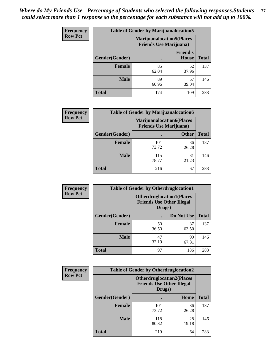| <b>Frequency</b> | <b>Table of Gender by Marijuanalocation5</b> |                                                                     |                                 |              |
|------------------|----------------------------------------------|---------------------------------------------------------------------|---------------------------------|--------------|
| <b>Row Pct</b>   |                                              | <b>Marijuanalocation5</b> (Places<br><b>Friends Use Marijuana</b> ) |                                 |              |
|                  | Gender(Gender)                               |                                                                     | <b>Friend's</b><br><b>House</b> | <b>Total</b> |
|                  | <b>Female</b>                                | 85<br>62.04                                                         | 52<br>37.96                     | 137          |
|                  | <b>Male</b>                                  | 89<br>60.96                                                         | 57<br>39.04                     | 146          |
|                  | <b>Total</b>                                 | 174                                                                 | 109                             | 283          |

| <b>Frequency</b> | <b>Table of Gender by Marijuanalocation6</b> |                                                                    |              |              |
|------------------|----------------------------------------------|--------------------------------------------------------------------|--------------|--------------|
| <b>Row Pct</b>   |                                              | <b>Marijuanalocation6(Places</b><br><b>Friends Use Marijuana</b> ) |              |              |
|                  | <b>Gender</b> (Gender)                       |                                                                    | <b>Other</b> | <b>Total</b> |
|                  | <b>Female</b>                                | 101<br>73.72                                                       | 36<br>26.28  | 137          |
|                  | <b>Male</b>                                  | 115<br>78.77                                                       | 31<br>21.23  | 146          |
|                  | <b>Total</b>                                 | 216                                                                | 67           | 283          |

| Frequency      | <b>Table of Gender by Otherdruglocation1</b> |                                                                                |             |              |
|----------------|----------------------------------------------|--------------------------------------------------------------------------------|-------------|--------------|
| <b>Row Pct</b> |                                              | <b>Otherdruglocation1(Places</b><br><b>Friends Use Other Illegal</b><br>Drugs) |             |              |
|                | Gender(Gender)                               |                                                                                | Do Not Use  | <b>Total</b> |
|                | <b>Female</b>                                | 50<br>36.50                                                                    | 87<br>63.50 | 137          |
|                | <b>Male</b>                                  | 47<br>32.19                                                                    | 99<br>67.81 | 146          |
|                | <b>Total</b>                                 | 97                                                                             | 186         | 283          |

| Frequency      | <b>Table of Gender by Otherdruglocation2</b> |                                            |                                  |              |
|----------------|----------------------------------------------|--------------------------------------------|----------------------------------|--------------|
| <b>Row Pct</b> |                                              | <b>Friends Use Other Illegal</b><br>Drugs) | <b>Otherdruglocation2(Places</b> |              |
|                | Gender(Gender)                               |                                            | Home                             | <b>Total</b> |
|                | <b>Female</b>                                | 101<br>73.72                               | 36<br>26.28                      | 137          |
|                | <b>Male</b>                                  | 118<br>80.82                               | 28<br>19.18                      | 146          |
|                | <b>Total</b>                                 | 219                                        | 64                               | 283          |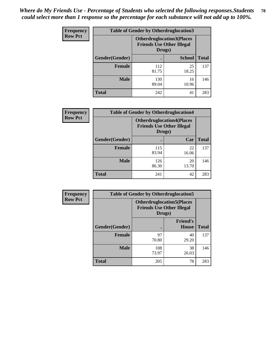| <b>Frequency</b> | <b>Table of Gender by Otherdruglocation3</b> |                                            |                                  |              |
|------------------|----------------------------------------------|--------------------------------------------|----------------------------------|--------------|
| <b>Row Pct</b>   |                                              | <b>Friends Use Other Illegal</b><br>Drugs) | <b>Otherdruglocation3(Places</b> |              |
|                  | Gender(Gender)                               |                                            | <b>School</b>                    | <b>Total</b> |
|                  | <b>Female</b>                                | 112<br>81.75                               | 25<br>18.25                      | 137          |
|                  | <b>Male</b>                                  | 130<br>89.04                               | 16<br>10.96                      | 146          |
|                  | <b>Total</b>                                 | 242                                        | 41                               | 283          |

| <b>Frequency</b> | <b>Table of Gender by Otherdruglocation4</b> |              |                                                                      |              |
|------------------|----------------------------------------------|--------------|----------------------------------------------------------------------|--------------|
| <b>Row Pct</b>   |                                              | Drugs)       | <b>Otherdruglocation4(Places</b><br><b>Friends Use Other Illegal</b> |              |
|                  | Gender(Gender)                               |              | Car                                                                  | <b>Total</b> |
|                  | <b>Female</b>                                | 115<br>83.94 | 22<br>16.06                                                          | 137          |
|                  | <b>Male</b>                                  | 126<br>86.30 | 20<br>13.70                                                          | 146          |
|                  | <b>Total</b>                                 | 241          | 42                                                                   | 283          |

| Frequency      | <b>Table of Gender by Otherdruglocation5</b>                                   |              |                                 |              |
|----------------|--------------------------------------------------------------------------------|--------------|---------------------------------|--------------|
| <b>Row Pct</b> | <b>Otherdruglocation5(Places</b><br><b>Friends Use Other Illegal</b><br>Drugs) |              |                                 |              |
|                | Gender(Gender)                                                                 |              | <b>Friend's</b><br><b>House</b> | <b>Total</b> |
|                | <b>Female</b>                                                                  | 97<br>70.80  | 40<br>29.20                     | 137          |
|                | <b>Male</b>                                                                    | 108<br>73.97 | 38<br>26.03                     | 146          |
|                | <b>Total</b>                                                                   | 205          | 78                              | 283          |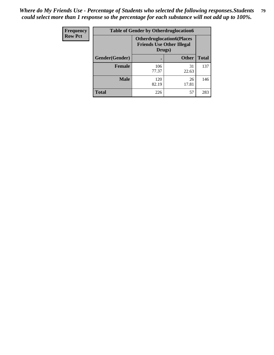| Frequency      | <b>Table of Gender by Otherdruglocation6</b> |                                            |                                  |              |
|----------------|----------------------------------------------|--------------------------------------------|----------------------------------|--------------|
| <b>Row Pct</b> |                                              | <b>Friends Use Other Illegal</b><br>Drugs) | <b>Otherdruglocation6(Places</b> |              |
|                | Gender(Gender)                               |                                            | <b>Other</b>                     | <b>Total</b> |
|                | <b>Female</b>                                | 106<br>77.37                               | 31<br>22.63                      | 137          |
|                | <b>Male</b>                                  | 120<br>82.19                               | 26<br>17.81                      | 146          |
|                | <b>Total</b>                                 | 226                                        | 57                               | 283          |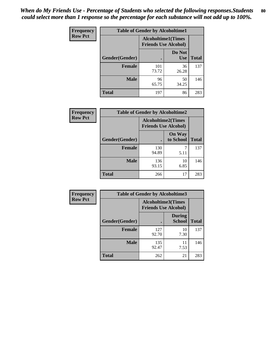| <b>Frequency</b> | <b>Table of Gender by Alcoholtime1</b> |                                                          |                      |              |
|------------------|----------------------------------------|----------------------------------------------------------|----------------------|--------------|
| <b>Row Pct</b>   |                                        | <b>Alcoholtime1(Times</b><br><b>Friends Use Alcohol)</b> |                      |              |
|                  | Gender(Gender)                         | $\bullet$                                                | Do Not<br><b>Use</b> | <b>Total</b> |
|                  | <b>Female</b>                          | 101<br>73.72                                             | 36<br>26.28          | 137          |
|                  | <b>Male</b>                            | 96<br>65.75                                              | 50<br>34.25          | 146          |
|                  | <b>Total</b>                           | 197                                                      | 86                   | 283          |

| Frequency      | <b>Table of Gender by Alcoholtime2</b> |                                                          |                            |              |
|----------------|----------------------------------------|----------------------------------------------------------|----------------------------|--------------|
| <b>Row Pct</b> |                                        | <b>Alcoholtime2(Times</b><br><b>Friends Use Alcohol)</b> |                            |              |
|                | Gender(Gender)                         |                                                          | <b>On Way</b><br>to School | <b>Total</b> |
|                | <b>Female</b>                          | 130<br>94.89                                             | 5.11                       | 137          |
|                | <b>Male</b>                            | 136<br>93.15                                             | 10<br>6.85                 | 146          |
|                | <b>Total</b>                           | 266                                                      | 17                         | 283          |

| <b>Frequency</b> | <b>Table of Gender by Alcoholtime3</b> |                                                          |                         |              |
|------------------|----------------------------------------|----------------------------------------------------------|-------------------------|--------------|
| <b>Row Pct</b>   |                                        | <b>Alcoholtime3(Times</b><br><b>Friends Use Alcohol)</b> |                         |              |
|                  | Gender(Gender)                         |                                                          | <b>During</b><br>School | <b>Total</b> |
|                  | Female                                 | 127<br>92.70                                             | 10<br>7.30              | 137          |
|                  | <b>Male</b>                            | 135<br>92.47                                             | 11<br>7.53              | 146          |
|                  | <b>Total</b>                           | 262                                                      | 21                      | 283          |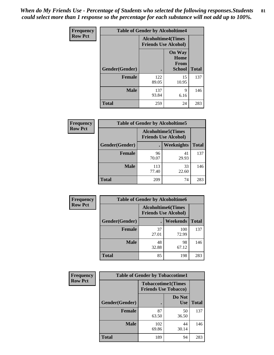*When do My Friends Use - Percentage of Students who selected the following responses.Students could select more than 1 response so the percentage for each substance will not add up to 100%.* **81**

| <b>Frequency</b> | <b>Table of Gender by Alcoholtime4</b> |                                                          |                                                       |              |
|------------------|----------------------------------------|----------------------------------------------------------|-------------------------------------------------------|--------------|
| <b>Row Pct</b>   |                                        | <b>Alcoholtime4(Times</b><br><b>Friends Use Alcohol)</b> |                                                       |              |
|                  | Gender(Gender)                         |                                                          | <b>On Way</b><br>Home<br><b>From</b><br><b>School</b> | <b>Total</b> |
|                  | <b>Female</b>                          | 122<br>89.05                                             | 15<br>10.95                                           | 137          |
|                  | <b>Male</b>                            | 137<br>93.84                                             | 9<br>6.16                                             | 146          |
|                  | <b>Total</b>                           | 259                                                      | 24                                                    | 283          |

| <b>Frequency</b> | <b>Table of Gender by Alcoholtime5</b> |                                                           |             |              |
|------------------|----------------------------------------|-----------------------------------------------------------|-------------|--------------|
| <b>Row Pct</b>   |                                        | <b>Alcoholtime5</b> (Times<br><b>Friends Use Alcohol)</b> |             |              |
|                  | Gender(Gender)                         |                                                           | Weeknights  | <b>Total</b> |
|                  | <b>Female</b>                          | 96<br>70.07                                               | 41<br>29.93 | 137          |
|                  | <b>Male</b>                            | 113<br>77.40                                              | 33<br>22.60 | 146          |
|                  | <b>Total</b>                           | 209                                                       | 74          | 283          |

| <b>Frequency</b> | <b>Table of Gender by Alcoholtime6</b> |                                                          |              |              |  |
|------------------|----------------------------------------|----------------------------------------------------------|--------------|--------------|--|
| <b>Row Pct</b>   |                                        | <b>Alcoholtime6(Times</b><br><b>Friends Use Alcohol)</b> |              |              |  |
|                  | Gender(Gender)                         |                                                          | Weekends     | <b>Total</b> |  |
|                  | Female                                 | 37<br>27.01                                              | 100<br>72.99 | 137          |  |
|                  | <b>Male</b>                            | 48<br>32.88                                              | 98<br>67.12  | 146          |  |
|                  | <b>Total</b>                           | 85                                                       | 198          | 283          |  |

| Frequency      | <b>Table of Gender by Tobaccotime1</b> |                                                          |                      |              |
|----------------|----------------------------------------|----------------------------------------------------------|----------------------|--------------|
| <b>Row Pct</b> |                                        | <b>Tobaccotime1(Times</b><br><b>Friends Use Tobacco)</b> |                      |              |
|                | Gender(Gender)                         |                                                          | Do Not<br><b>Use</b> | <b>Total</b> |
|                | <b>Female</b>                          | 87<br>63.50                                              | 50<br>36.50          | 137          |
|                | <b>Male</b>                            | 102<br>69.86                                             | 44<br>30.14          | 146          |
|                | <b>Total</b>                           | 189                                                      | 94                   | 283          |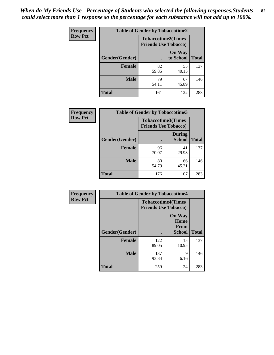| <b>Frequency</b> | <b>Table of Gender by Tobaccotime2</b> |                                                          |                            |              |
|------------------|----------------------------------------|----------------------------------------------------------|----------------------------|--------------|
| <b>Row Pct</b>   |                                        | <b>Tobaccotime2(Times</b><br><b>Friends Use Tobacco)</b> |                            |              |
|                  | Gender(Gender)                         |                                                          | <b>On Way</b><br>to School | <b>Total</b> |
|                  | <b>Female</b>                          | 82<br>59.85                                              | 55<br>40.15                | 137          |
|                  | <b>Male</b>                            | 79<br>54.11                                              | 67<br>45.89                | 146          |
|                  | <b>Total</b>                           | 161                                                      | 122                        | 283          |

| Frequency      | <b>Table of Gender by Tobaccotime3</b> |                                                          |                                |              |
|----------------|----------------------------------------|----------------------------------------------------------|--------------------------------|--------------|
| <b>Row Pct</b> |                                        | <b>Tobaccotime3(Times</b><br><b>Friends Use Tobacco)</b> |                                |              |
|                | Gender(Gender)                         |                                                          | <b>During</b><br><b>School</b> | <b>Total</b> |
|                | Female                                 | 96<br>70.07                                              | 41<br>29.93                    | 137          |
|                | <b>Male</b>                            | 80<br>54.79                                              | 66<br>45.21                    | 146          |
|                | <b>Total</b>                           | 176                                                      | 107                            | 283          |

| <b>Frequency</b> | <b>Table of Gender by Tobaccotime4</b> |                                                          |                                                |              |
|------------------|----------------------------------------|----------------------------------------------------------|------------------------------------------------|--------------|
| <b>Row Pct</b>   |                                        | <b>Tobaccotime4(Times</b><br><b>Friends Use Tobacco)</b> |                                                |              |
|                  | Gender(Gender)                         |                                                          | <b>On Way</b><br>Home<br><b>From</b><br>School | <b>Total</b> |
|                  | <b>Female</b>                          | 122<br>89.05                                             | 15<br>10.95                                    | 137          |
|                  | <b>Male</b>                            | 137<br>93.84                                             | 9<br>6.16                                      | 146          |
|                  | <b>Total</b>                           | 259                                                      | 24                                             | 283          |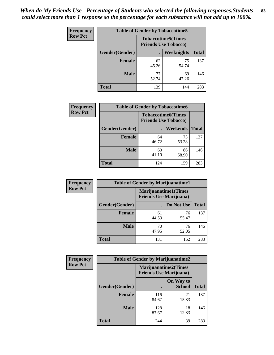| Frequency      | <b>Table of Gender by Tobaccotime5</b> |             |                                                          |              |  |
|----------------|----------------------------------------|-------------|----------------------------------------------------------|--------------|--|
| <b>Row Pct</b> |                                        |             | <b>Tobaccotime5(Times</b><br><b>Friends Use Tobacco)</b> |              |  |
|                | Gender(Gender)                         |             | Weeknights                                               | <b>Total</b> |  |
|                | <b>Female</b>                          | 62<br>45.26 | 75<br>54.74                                              | 137          |  |
|                | <b>Male</b>                            | 77<br>52.74 | 69<br>47.26                                              | 146          |  |
|                | <b>Total</b>                           | 139         | 144                                                      | 283          |  |

| Frequency      | <b>Table of Gender by Tobaccotime6</b> |                                                          |             |              |
|----------------|----------------------------------------|----------------------------------------------------------|-------------|--------------|
| <b>Row Pct</b> |                                        | <b>Tobaccotime6(Times</b><br><b>Friends Use Tobacco)</b> |             |              |
|                | Gender(Gender)                         |                                                          | Weekends    | <b>Total</b> |
|                | Female                                 | 64<br>46.72                                              | 73<br>53.28 | 137          |
|                | <b>Male</b>                            | 60<br>41.10                                              | 86<br>58.90 | 146          |
|                | <b>Total</b>                           | 124                                                      | 159         | 283          |

| <b>Frequency</b> | <b>Table of Gender by Marijuanatime1</b> |                                |                             |              |
|------------------|------------------------------------------|--------------------------------|-----------------------------|--------------|
| <b>Row Pct</b>   |                                          | <b>Friends Use Marijuana</b> ) | <b>Marijuanatime1(Times</b> |              |
|                  | Gender(Gender)                           |                                | Do Not Use                  | <b>Total</b> |
|                  | <b>Female</b>                            | 61<br>44.53                    | 76<br>55.47                 | 137          |
|                  | <b>Male</b>                              | 70<br>47.95                    | 76<br>52.05                 | 146          |
|                  | <b>Total</b>                             | 131                            | 152                         | 283          |

| <b>Frequency</b> | <b>Table of Gender by Marijuanatime2</b> |                                                               |                            |              |
|------------------|------------------------------------------|---------------------------------------------------------------|----------------------------|--------------|
| <b>Row Pct</b>   |                                          | <b>Marijuanatime2(Times</b><br><b>Friends Use Marijuana</b> ) |                            |              |
|                  | Gender(Gender)                           |                                                               | On Way to<br><b>School</b> | <b>Total</b> |
|                  | Female                                   | 116<br>84.67                                                  | 21<br>15.33                | 137          |
|                  | <b>Male</b>                              | 128<br>87.67                                                  | 18<br>12.33                | 146          |
|                  | <b>Total</b>                             | 244                                                           | 39                         | 283          |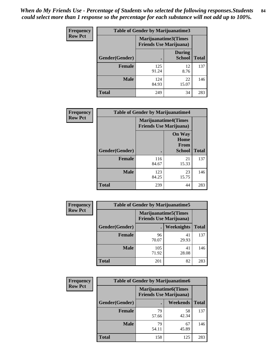*When do My Friends Use - Percentage of Students who selected the following responses.Students could select more than 1 response so the percentage for each substance will not add up to 100%.* **84**

| <b>Frequency</b> | Table of Gender by Marijuanatime3 |                                                        |                                |              |
|------------------|-----------------------------------|--------------------------------------------------------|--------------------------------|--------------|
| <b>Row Pct</b>   |                                   | Marijuanatime3(Times<br><b>Friends Use Marijuana</b> ) |                                |              |
|                  | Gender(Gender)                    |                                                        | <b>During</b><br><b>School</b> | <b>Total</b> |
|                  | <b>Female</b>                     | 125<br>91.24                                           | 12<br>8.76                     | 137          |
|                  | <b>Male</b>                       | 124<br>84.93                                           | 22<br>15.07                    | 146          |
|                  | <b>Total</b>                      | 249                                                    | 34                             | 283          |

| Frequency      | <b>Table of Gender by Marijuanatime4</b> |                                |                                                       |              |
|----------------|------------------------------------------|--------------------------------|-------------------------------------------------------|--------------|
| <b>Row Pct</b> |                                          | <b>Friends Use Marijuana</b> ) | <b>Marijuanatime4</b> (Times                          |              |
|                | <b>Gender</b> (Gender)                   |                                | <b>On Way</b><br>Home<br><b>From</b><br><b>School</b> | <b>Total</b> |
|                | <b>Female</b>                            | 116<br>84.67                   | 21<br>15.33                                           | 137          |
|                | <b>Male</b>                              | 123<br>84.25                   | 23<br>15.75                                           | 146          |
|                | <b>Total</b>                             | 239                            | 44                                                    | 283          |

| Frequency      | <b>Table of Gender by Marijuanatime5</b> |              |                                                                |              |  |
|----------------|------------------------------------------|--------------|----------------------------------------------------------------|--------------|--|
| <b>Row Pct</b> |                                          |              | <b>Marijuanatime5</b> (Times<br><b>Friends Use Marijuana</b> ) |              |  |
|                | Gender(Gender)                           |              | Weeknights                                                     | <b>Total</b> |  |
|                | <b>Female</b>                            | 96<br>70.07  | 41<br>29.93                                                    | 137          |  |
|                | <b>Male</b>                              | 105<br>71.92 | 41<br>28.08                                                    | 146          |  |
|                | <b>Total</b>                             | 201          | 82                                                             | 283          |  |

| <b>Frequency</b> | <b>Table of Gender by Marijuanatime6</b> |                                |                             |              |
|------------------|------------------------------------------|--------------------------------|-----------------------------|--------------|
| <b>Row Pct</b>   |                                          | <b>Friends Use Marijuana</b> ) | <b>Marijuanatime6(Times</b> |              |
|                  | Gender(Gender)                           |                                | Weekends                    | <b>Total</b> |
|                  | <b>Female</b>                            | 79<br>57.66                    | 58<br>42.34                 | 137          |
|                  | <b>Male</b>                              | 79<br>54.11                    | 67<br>45.89                 | 146          |
|                  | <b>Total</b>                             | 158                            | 125                         | 283          |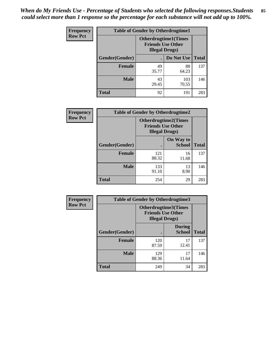| <b>Frequency</b> | <b>Table of Gender by Otherdrugtime1</b> |                                                                                    |              |              |
|------------------|------------------------------------------|------------------------------------------------------------------------------------|--------------|--------------|
| <b>Row Pct</b>   |                                          | <b>Otherdrugtime1</b> (Times<br><b>Friends Use Other</b><br><b>Illegal Drugs</b> ) |              |              |
|                  | Gender(Gender)                           |                                                                                    | Do Not Use   | <b>Total</b> |
|                  | <b>Female</b>                            | 49<br>35.77                                                                        | 88<br>64.23  | 137          |
|                  | <b>Male</b>                              | 43<br>29.45                                                                        | 103<br>70.55 | 146          |
|                  | <b>Total</b>                             | 92                                                                                 | 191          | 283          |

| Frequency      | <b>Table of Gender by Otherdrugtime2</b> |                                                                                   |                            |              |
|----------------|------------------------------------------|-----------------------------------------------------------------------------------|----------------------------|--------------|
| <b>Row Pct</b> |                                          | <b>Otherdrugtime2(Times</b><br><b>Friends Use Other</b><br><b>Illegal Drugs</b> ) |                            |              |
|                | Gender(Gender)                           |                                                                                   | On Way to<br><b>School</b> | <b>Total</b> |
|                | <b>Female</b>                            | 121<br>88.32                                                                      | 16<br>11.68                | 137          |
|                | <b>Male</b>                              | 133<br>91.10                                                                      | 13<br>8.90                 | 146          |
|                | <b>Total</b>                             | 254                                                                               | 29                         | 283          |

| <b>Frequency</b> | Table of Gender by Otherdrugtime3 |                                                                            |                                |              |
|------------------|-----------------------------------|----------------------------------------------------------------------------|--------------------------------|--------------|
| <b>Row Pct</b>   |                                   | Otherdrugtime3(Times<br><b>Friends Use Other</b><br><b>Illegal Drugs</b> ) |                                |              |
|                  | Gender(Gender)                    | $\bullet$                                                                  | <b>During</b><br><b>School</b> | <b>Total</b> |
|                  | <b>Female</b>                     | 120<br>87.59                                                               | 17<br>12.41                    | 137          |
|                  | <b>Male</b>                       | 129<br>88.36                                                               | 17<br>11.64                    | 146          |
|                  | <b>Total</b>                      | 249                                                                        | 34                             | 283          |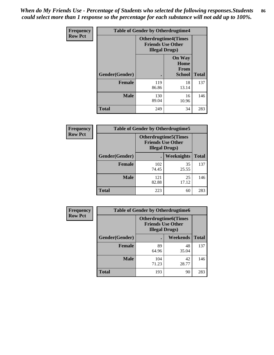*When do My Friends Use - Percentage of Students who selected the following responses.Students could select more than 1 response so the percentage for each substance will not add up to 100%.* **86**

| <b>Frequency</b> | <b>Table of Gender by Otherdrugtime4</b> |                                                    |                                                |              |
|------------------|------------------------------------------|----------------------------------------------------|------------------------------------------------|--------------|
| <b>Row Pct</b>   |                                          | <b>Friends Use Other</b><br><b>Illegal Drugs</b> ) | <b>Otherdrugtime4(Times</b>                    |              |
|                  | Gender(Gender)                           |                                                    | <b>On Way</b><br>Home<br>From<br><b>School</b> | <b>Total</b> |
|                  | Female                                   | 119<br>86.86                                       | 18<br>13.14                                    | 137          |
|                  | <b>Male</b>                              | 130<br>89.04                                       | 16<br>10.96                                    | 146          |
|                  | <b>Total</b>                             | 249                                                | 34                                             | 283          |

| <b>Frequency</b> | <b>Table of Gender by Otherdrugtime5</b> |              |                                                                                    |              |
|------------------|------------------------------------------|--------------|------------------------------------------------------------------------------------|--------------|
| <b>Row Pct</b>   |                                          |              | <b>Otherdrugtime5</b> (Times<br><b>Friends Use Other</b><br><b>Illegal Drugs</b> ) |              |
|                  | Gender(Gender)                           |              | Weeknights                                                                         | <b>Total</b> |
|                  | <b>Female</b>                            | 102<br>74.45 | 35<br>25.55                                                                        | 137          |
|                  | <b>Male</b>                              | 121<br>82.88 | 25<br>17.12                                                                        | 146          |
|                  | <b>Total</b>                             | 223          | 60                                                                                 | 283          |

| <b>Frequency</b> | <b>Table of Gender by Otherdrugtime6</b> |                                                                                   |             |              |
|------------------|------------------------------------------|-----------------------------------------------------------------------------------|-------------|--------------|
| <b>Row Pct</b>   |                                          | <b>Otherdrugtime6(Times</b><br><b>Friends Use Other</b><br><b>Illegal Drugs</b> ) |             |              |
|                  | Gender(Gender)                           |                                                                                   | Weekends    | <b>Total</b> |
|                  | Female                                   | 89<br>64.96                                                                       | 48<br>35.04 | 137          |
|                  | <b>Male</b>                              | 104<br>71.23                                                                      | 42<br>28.77 | 146          |
|                  | <b>Total</b>                             | 193                                                                               | 90          | 283          |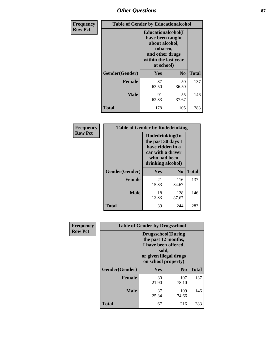# *Other Questions* **87**

| <b>Frequency</b> | <b>Table of Gender by Educationalcohol</b> |                                                                                                                                       |                |              |  |
|------------------|--------------------------------------------|---------------------------------------------------------------------------------------------------------------------------------------|----------------|--------------|--|
| <b>Row Pct</b>   |                                            | <b>Educationalcohol</b> (I<br>have been taught<br>about alcohol,<br>tobacco,<br>and other drugs<br>within the last year<br>at school) |                |              |  |
|                  | Gender(Gender)                             | <b>Yes</b>                                                                                                                            | N <sub>0</sub> | <b>Total</b> |  |
|                  | <b>Female</b>                              | 87<br>63.50                                                                                                                           | 50<br>36.50    | 137          |  |
|                  | <b>Male</b>                                | 91<br>62.33                                                                                                                           | 55<br>37.67    | 146          |  |
|                  | <b>Total</b>                               | 178                                                                                                                                   | 105            | 283          |  |

| Frequency      | <b>Table of Gender by Rodedrinking</b> |                                                                                                                     |                |              |  |
|----------------|----------------------------------------|---------------------------------------------------------------------------------------------------------------------|----------------|--------------|--|
| <b>Row Pct</b> |                                        | Rodedrinking(In<br>the past 30 days I<br>have ridden in a<br>car with a driver<br>who had been<br>drinking alcohol) |                |              |  |
|                | Gender(Gender)                         | Yes                                                                                                                 | N <sub>0</sub> | <b>Total</b> |  |
|                | <b>Female</b>                          | 21<br>15.33                                                                                                         | 116<br>84.67   | 137          |  |
|                | <b>Male</b>                            | 18<br>12.33                                                                                                         | 128<br>87.67   | 146          |  |
|                | <b>Total</b>                           | 39                                                                                                                  | 244            | 283          |  |

| Frequency      | <b>Table of Gender by Drugsschool</b> |                                                                                                                                     |                |              |  |
|----------------|---------------------------------------|-------------------------------------------------------------------------------------------------------------------------------------|----------------|--------------|--|
| <b>Row Pct</b> |                                       | <b>Drugsschool</b> (During<br>the past 12 months,<br>I have been offered,<br>sold,<br>or given illegal drugs<br>on school property) |                |              |  |
|                | Gender(Gender)                        | <b>Yes</b>                                                                                                                          | N <sub>0</sub> | <b>Total</b> |  |
|                | <b>Female</b>                         | 30<br>21.90                                                                                                                         | 107<br>78.10   | 137          |  |
|                | <b>Male</b>                           | 37<br>25.34                                                                                                                         | 109<br>74.66   | 146          |  |
|                | <b>Total</b>                          | 67                                                                                                                                  | 216            | 283          |  |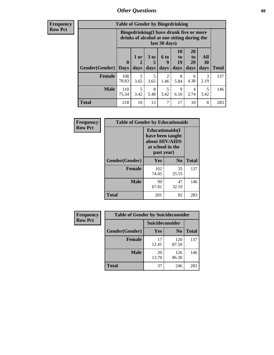# *Other Questions* **88**

**Frequency Row Pct**

| <b>Table of Gender by Bingedrinking</b> |                         |                                                                                                         |                   |                   |                               |                               |                   |              |
|-----------------------------------------|-------------------------|---------------------------------------------------------------------------------------------------------|-------------------|-------------------|-------------------------------|-------------------------------|-------------------|--------------|
|                                         |                         | Bingedrinking(I have drunk five or more<br>drinks of alcohol at one sitting during the<br>last 30 days) |                   |                   |                               |                               |                   |              |
| <b>Gender</b> (Gender)                  | $\bf{0}$<br><b>Days</b> | 1 or<br>days                                                                                            | 3 to<br>5<br>days | 6 to<br>9<br>days | <b>10</b><br>to<br>19<br>days | <b>20</b><br>to<br>29<br>days | All<br>30<br>days | <b>Total</b> |
| <b>Female</b>                           | 108<br>78.83            | 5<br>3.65                                                                                               | 5<br>3.65         | 2<br>1.46         | 8<br>5.84                     | 6<br>4.38                     | 3<br>2.19         | 137          |
| <b>Male</b>                             | 110<br>75.34            | 5<br>3.42                                                                                               | 8<br>5.48         | 5<br>3.42         | 9<br>6.16                     | 4<br>2.74                     | 5<br>3.42         | 146          |
| <b>Total</b>                            | 218                     | 10                                                                                                      | 13                | 7                 | 17                            | 10                            | 8                 | 283          |

| Frequency      | <b>Table of Gender by Educationaids</b> |                                                                                                 |                |              |  |
|----------------|-----------------------------------------|-------------------------------------------------------------------------------------------------|----------------|--------------|--|
| <b>Row Pct</b> |                                         | <b>Educationaids</b> (I<br>have been taught<br>about HIV/AIDS<br>at school in the<br>past year) |                |              |  |
|                | Gender(Gender)                          | Yes                                                                                             | N <sub>0</sub> | <b>Total</b> |  |
|                | <b>Female</b>                           | 102<br>74.45                                                                                    | 35<br>25.55    | 137          |  |
|                | <b>Male</b>                             | 99<br>67.81                                                                                     | 47<br>32.19    | 146          |  |
|                | <b>Total</b>                            | 201                                                                                             | 82             | 283          |  |

| <b>Frequency</b> | <b>Table of Gender by Suicideconsider</b> |                 |                |              |  |
|------------------|-------------------------------------------|-----------------|----------------|--------------|--|
| <b>Row Pct</b>   |                                           | Suicideconsider |                |              |  |
|                  | Gender(Gender)                            | Yes             | N <sub>0</sub> | <b>Total</b> |  |
|                  | <b>Female</b>                             | 17<br>12.41     | 120<br>87.59   | 137          |  |
|                  | <b>Male</b>                               | 20<br>13.70     | 126<br>86.30   | 146          |  |
|                  | Total                                     | 37              | 246            | 283          |  |